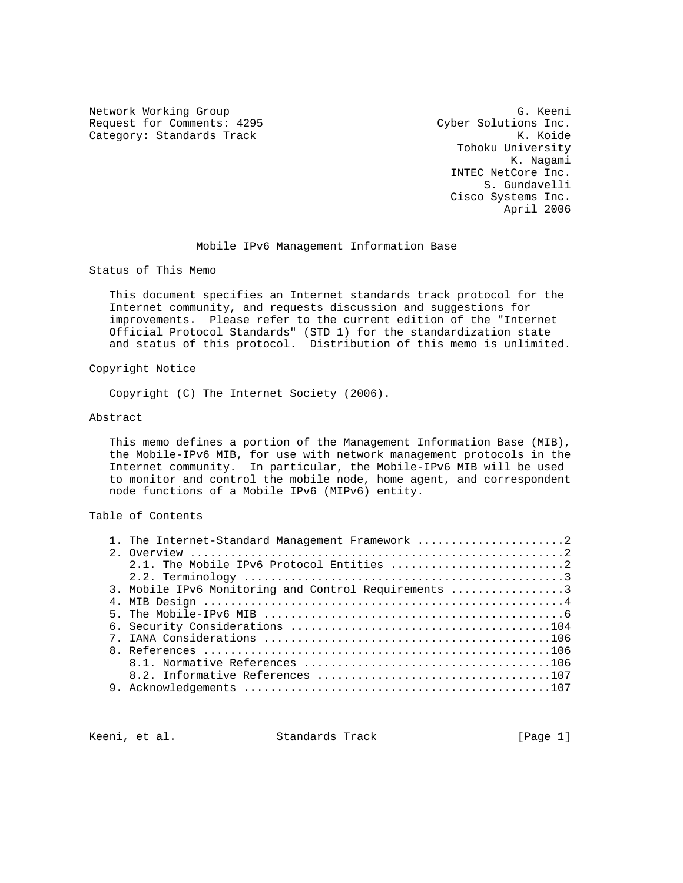Network Working Group G. G. Keeni Request for Comments: 4295 Cyber Solutions Inc.<br>Category: Standards Track Category: K. Koide Category: Standards Track

 Tohoku University K. Nagami INTEC NetCore Inc. S. Gundavelli Cisco Systems Inc. April 2006

Mobile IPv6 Management Information Base

Status of This Memo

 This document specifies an Internet standards track protocol for the Internet community, and requests discussion and suggestions for improvements. Please refer to the current edition of the "Internet Official Protocol Standards" (STD 1) for the standardization state and status of this protocol. Distribution of this memo is unlimited.

## Copyright Notice

Copyright (C) The Internet Society (2006).

## Abstract

 This memo defines a portion of the Management Information Base (MIB), the Mobile-IPv6 MIB, for use with network management protocols in the Internet community. In particular, the Mobile-IPv6 MIB will be used to monitor and control the mobile node, home agent, and correspondent node functions of a Mobile IPv6 (MIPv6) entity.

Table of Contents

|  | 1. The Internet-Standard Management Framework 2      |
|--|------------------------------------------------------|
|  |                                                      |
|  |                                                      |
|  |                                                      |
|  | 3. Mobile IPv6 Monitoring and Control Requirements 3 |
|  |                                                      |
|  |                                                      |
|  |                                                      |
|  |                                                      |
|  |                                                      |
|  |                                                      |
|  |                                                      |
|  |                                                      |
|  |                                                      |

Keeni, et al. Standards Track [Page 1]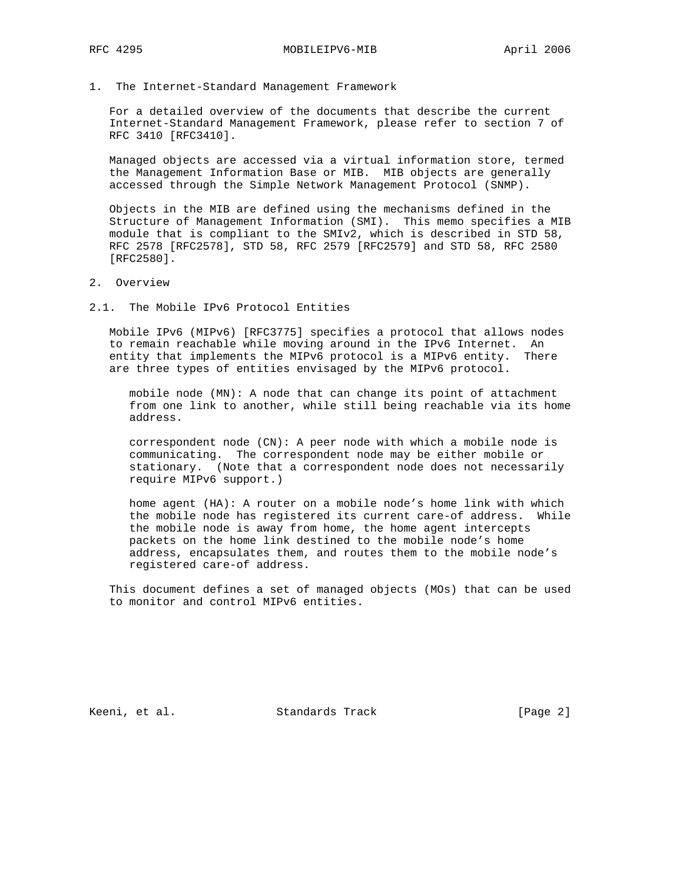1. The Internet-Standard Management Framework

 For a detailed overview of the documents that describe the current Internet-Standard Management Framework, please refer to section 7 of RFC 3410 [RFC3410].

 Managed objects are accessed via a virtual information store, termed the Management Information Base or MIB. MIB objects are generally accessed through the Simple Network Management Protocol (SNMP).

 Objects in the MIB are defined using the mechanisms defined in the Structure of Management Information (SMI). This memo specifies a MIB module that is compliant to the SMIv2, which is described in STD 58, RFC 2578 [RFC2578], STD 58, RFC 2579 [RFC2579] and STD 58, RFC 2580 [RFC2580].

- 2. Overview
- 2.1. The Mobile IPv6 Protocol Entities

 Mobile IPv6 (MIPv6) [RFC3775] specifies a protocol that allows nodes to remain reachable while moving around in the IPv6 Internet. An entity that implements the MIPv6 protocol is a MIPv6 entity. There are three types of entities envisaged by the MIPv6 protocol.

 mobile node (MN): A node that can change its point of attachment from one link to another, while still being reachable via its home address.

 correspondent node (CN): A peer node with which a mobile node is communicating. The correspondent node may be either mobile or stationary. (Note that a correspondent node does not necessarily require MIPv6 support.)

 home agent (HA): A router on a mobile node's home link with which the mobile node has registered its current care-of address. While the mobile node is away from home, the home agent intercepts packets on the home link destined to the mobile node's home address, encapsulates them, and routes them to the mobile node's registered care-of address.

 This document defines a set of managed objects (MOs) that can be used to monitor and control MIPv6 entities.

Keeni, et al. Standards Track [Page 2]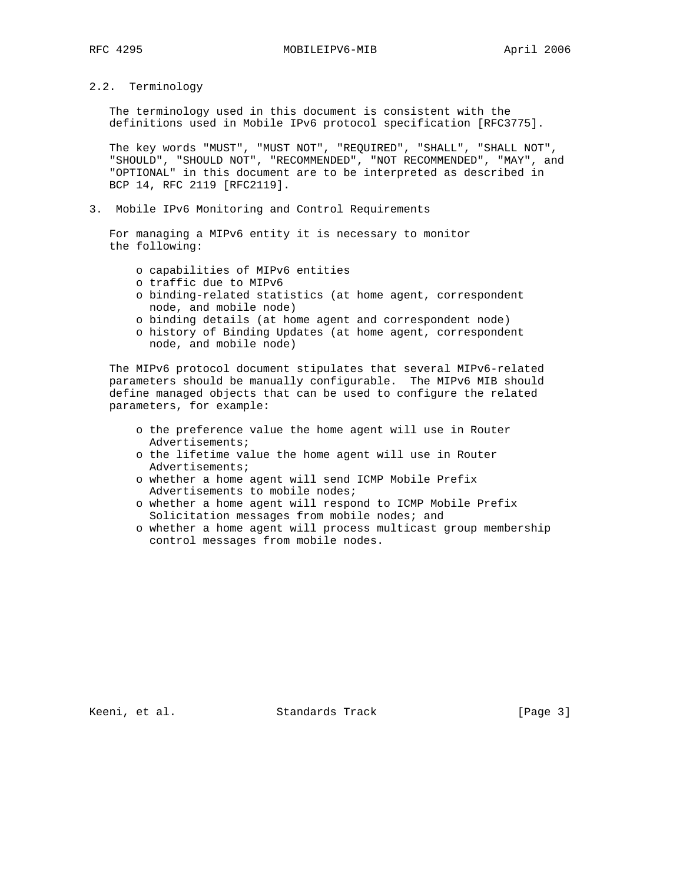2.2. Terminology

 The terminology used in this document is consistent with the definitions used in Mobile IPv6 protocol specification [RFC3775].

 The key words "MUST", "MUST NOT", "REQUIRED", "SHALL", "SHALL NOT", "SHOULD", "SHOULD NOT", "RECOMMENDED", "NOT RECOMMENDED", "MAY", and "OPTIONAL" in this document are to be interpreted as described in BCP 14, RFC 2119 [RFC2119].

3. Mobile IPv6 Monitoring and Control Requirements

 For managing a MIPv6 entity it is necessary to monitor the following:

- o capabilities of MIPv6 entities
- o traffic due to MIPv6
- o binding-related statistics (at home agent, correspondent node, and mobile node)
- o binding details (at home agent and correspondent node)
- o history of Binding Updates (at home agent, correspondent node, and mobile node)

 The MIPv6 protocol document stipulates that several MIPv6-related parameters should be manually configurable. The MIPv6 MIB should define managed objects that can be used to configure the related parameters, for example:

- o the preference value the home agent will use in Router Advertisements;
- o the lifetime value the home agent will use in Router Advertisements;
- o whether a home agent will send ICMP Mobile Prefix Advertisements to mobile nodes;
- o whether a home agent will respond to ICMP Mobile Prefix Solicitation messages from mobile nodes; and
- o whether a home agent will process multicast group membership control messages from mobile nodes.

Keeni, et al. Standards Track [Page 3]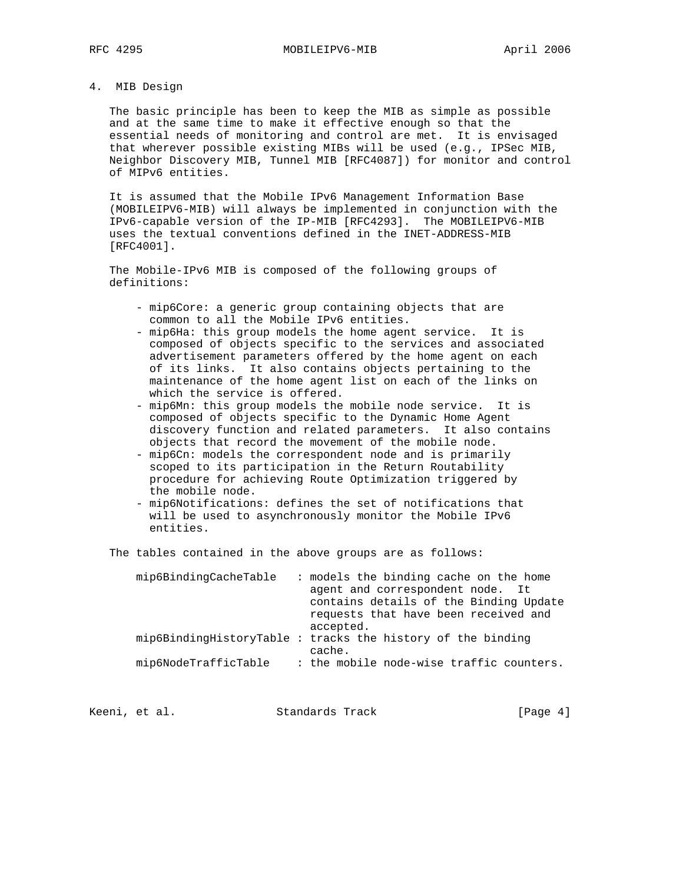## 4. MIB Design

 The basic principle has been to keep the MIB as simple as possible and at the same time to make it effective enough so that the essential needs of monitoring and control are met. It is envisaged that wherever possible existing MIBs will be used (e.g., IPSec MIB, Neighbor Discovery MIB, Tunnel MIB [RFC4087]) for monitor and control of MIPv6 entities.

 It is assumed that the Mobile IPv6 Management Information Base (MOBILEIPV6-MIB) will always be implemented in conjunction with the IPv6-capable version of the IP-MIB [RFC4293]. The MOBILEIPV6-MIB uses the textual conventions defined in the INET-ADDRESS-MIB [RFC4001].

 The Mobile-IPv6 MIB is composed of the following groups of definitions:

- mip6Core: a generic group containing objects that are common to all the Mobile IPv6 entities.
- mip6Ha: this group models the home agent service. It is composed of objects specific to the services and associated advertisement parameters offered by the home agent on each of its links. It also contains objects pertaining to the maintenance of the home agent list on each of the links on which the service is offered.
- mip6Mn: this group models the mobile node service. It is composed of objects specific to the Dynamic Home Agent discovery function and related parameters. It also contains objects that record the movement of the mobile node.
- mip6Cn: models the correspondent node and is primarily scoped to its participation in the Return Routability procedure for achieving Route Optimization triggered by the mobile node.
- mip6Notifications: defines the set of notifications that will be used to asynchronously monitor the Mobile IPv6 entities.

The tables contained in the above groups are as follows:

| mip6BindingCacheTable | : models the binding cache on the home<br>agent and correspondent node. It<br>contains details of the Binding Update<br>requests that have been received and<br>accepted. |
|-----------------------|---------------------------------------------------------------------------------------------------------------------------------------------------------------------------|
|                       | mip6BindingHistoryTable : tracks the history of the binding                                                                                                               |
| mip6NodeTrafficTable  | cache.<br>: the mobile node-wise traffic counters.                                                                                                                        |

Keeni, et al. Standards Track [Page 4]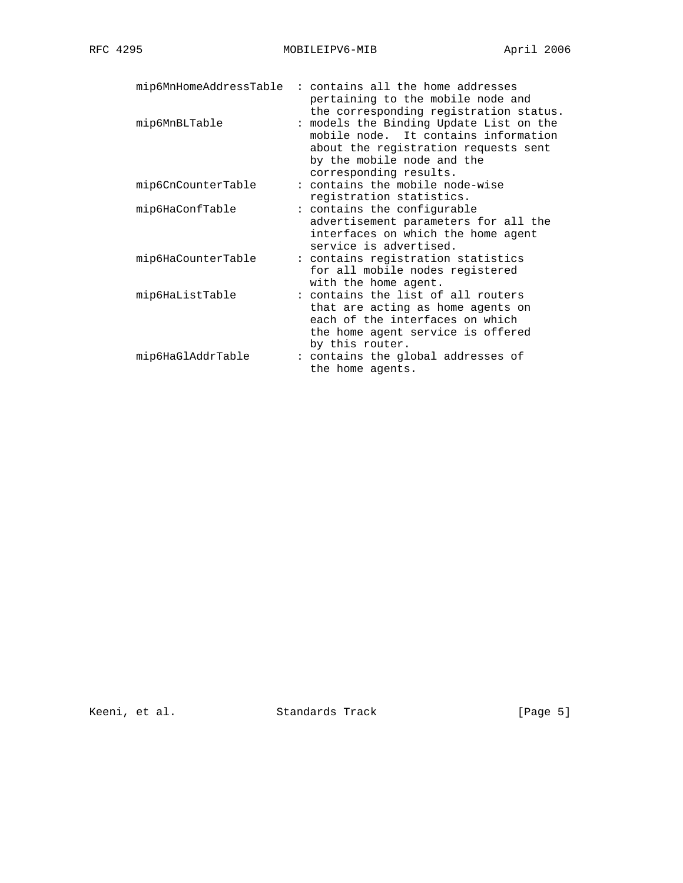| mip6MnHomeAddressTable | : contains all the home addresses<br>pertaining to the mobile node and<br>the corresponding registration status.                                                                |
|------------------------|---------------------------------------------------------------------------------------------------------------------------------------------------------------------------------|
| mip6MnBLTable          | : models the Binding Update List on the<br>mobile node. It contains information<br>about the registration requests sent<br>by the mobile node and the<br>corresponding results. |
| mip6CnCounterTable     | : contains the mobile node-wise<br>registration statistics.                                                                                                                     |
| mip6HaConfTable        | : contains the configurable<br>advertisement parameters for all the<br>interfaces on which the home agent<br>service is advertised.                                             |
| mip6HaCounterTable     | : contains registration statistics<br>for all mobile nodes registered<br>with the home agent.                                                                                   |
| mip6HaListTable        | : contains the list of all routers<br>that are acting as home agents on<br>each of the interfaces on which<br>the home agent service is offered<br>by this router.              |
| mip6HaGlAddrTable      | : contains the global addresses of<br>the home agents.                                                                                                                          |

Keeni, et al. Standards Track [Page 5]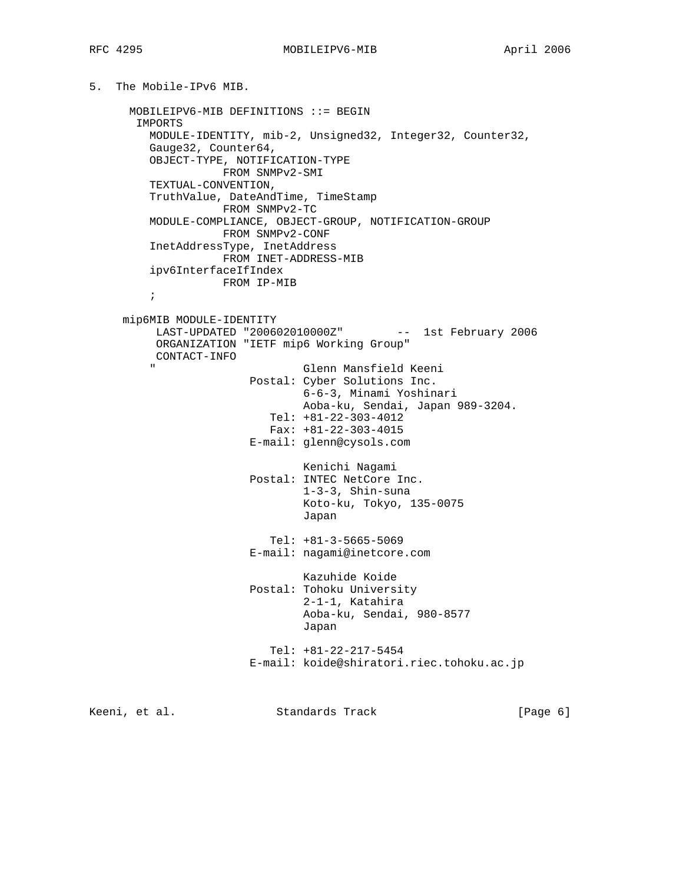```
5. The Mobile-IPv6 MIB.
```
 MOBILEIPV6-MIB DEFINITIONS ::= BEGIN IMPORTS MODULE-IDENTITY, mib-2, Unsigned32, Integer32, Counter32, Gauge32, Counter64, OBJECT-TYPE, NOTIFICATION-TYPE FROM SNMPv2-SMI TEXTUAL-CONVENTION, TruthValue, DateAndTime, TimeStamp FROM SNMPv2-TC MODULE-COMPLIANCE, OBJECT-GROUP, NOTIFICATION-GROUP FROM SNMPv2-CONF InetAddressType, InetAddress FROM INET-ADDRESS-MIB ipv6InterfaceIfIndex FROM IP-MIB  $\mathcal{L}^{\text{max}}$  mip6MIB MODULE-IDENTITY LAST-UPDATED "200602010000Z" -- 1st February 2006 ORGANIZATION "IETF mip6 Working Group" CONTACT-INFO Glenn Mansfield Keeni Postal: Cyber Solutions Inc. 6-6-3, Minami Yoshinari Aoba-ku, Sendai, Japan 989-3204. Tel: +81-22-303-4012 Fax: +81-22-303-4015 E-mail: glenn@cysols.com Kenichi Nagami Postal: INTEC NetCore Inc. 1-3-3, Shin-suna Koto-ku, Tokyo, 135-0075 Japan Tel: +81-3-5665-5069 E-mail: nagami@inetcore.com Kazuhide Koide Postal: Tohoku University 2-1-1, Katahira Aoba-ku, Sendai, 980-8577 Japan Tel: +81-22-217-5454 E-mail: koide@shiratori.riec.tohoku.ac.jp

Keeni, et al. Standards Track [Page 6]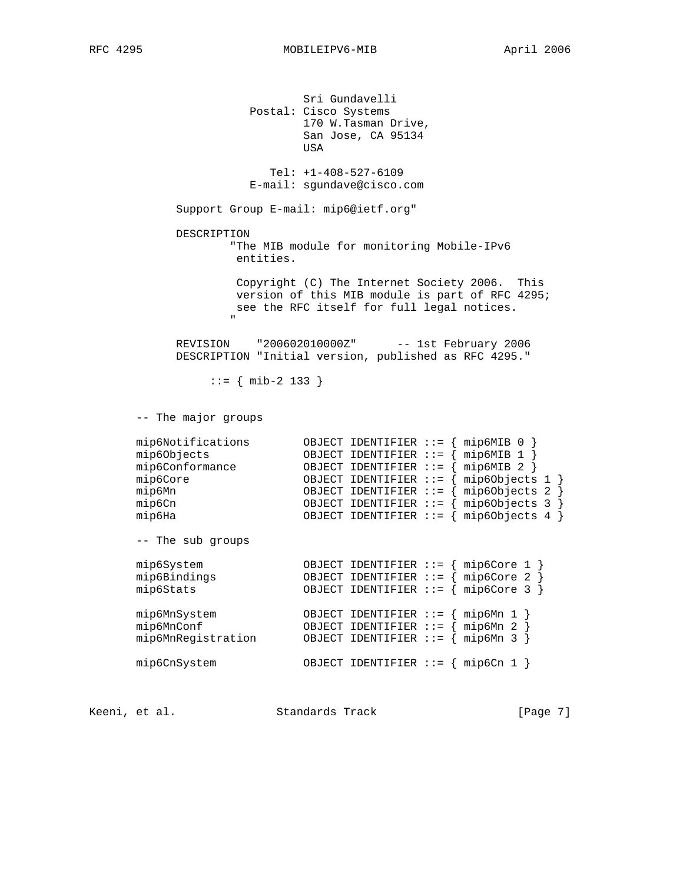Sri Gundavelli Postal: Cisco Systems 170 W.Tasman Drive, San Jose, CA 95134 usa di kacamatan ing Kabupatèn Kabupatèn Kabupatèn Kabupatèn Kabupatèn Kabupatèn Kabupatèn Kabupatèn Kabupatèn Tel: +1-408-527-6109 E-mail: sgundave@cisco.com Support Group E-mail: mip6@ietf.org" DESCRIPTION "The MIB module for monitoring Mobile-IPv6 entities. Copyright (C) The Internet Society 2006. This version of this MIB module is part of RFC 4295; see the RFC itself for full legal notices. " REVISION "200602010000Z" -- 1st February 2006 DESCRIPTION "Initial version, published as RFC 4295." ::= { mib-2 133 } -- The major groups mip6Notifications OBJECT IDENTIFIER ::= { mip6MIB 0 } mip6Objects OBJECT IDENTIFIER ::= { mip6MIB 1 } mip6Conformance OBJECT IDENTIFIER ::= { mip6MIB 2 } mip6Core OBJECT IDENTIFIER ::= { mip6Objects 1 } mip6Mn OBJECT IDENTIFIER ::= { mip6Objects 2 } mip6Cn OBJECT IDENTIFIER ::= { mip6Objects 3 } mip6Ha OBJECT IDENTIFIER ::= { mip6Objects 4 } -- The sub groups mip6System OBJECT IDENTIFIER ::= { mip6Core 1 } mip6Bindings OBJECT IDENTIFIER ::= { mip6Core 2 } mip6Stats OBJECT IDENTIFIER ::= { mip6Core 3 } mip6MnSystem OBJECT IDENTIFIER ::= { mip6Mn 1 } mip6MnConf OBJECT IDENTIFIER ::= { mip6Mn 2 } mip6MnRegistration OBJECT IDENTIFIER ::= { mip6Mn 3 } mip6CnSystem OBJECT IDENTIFIER ::= { mip6Cn 1 }

Keeni, et al. Standards Track [Page 7]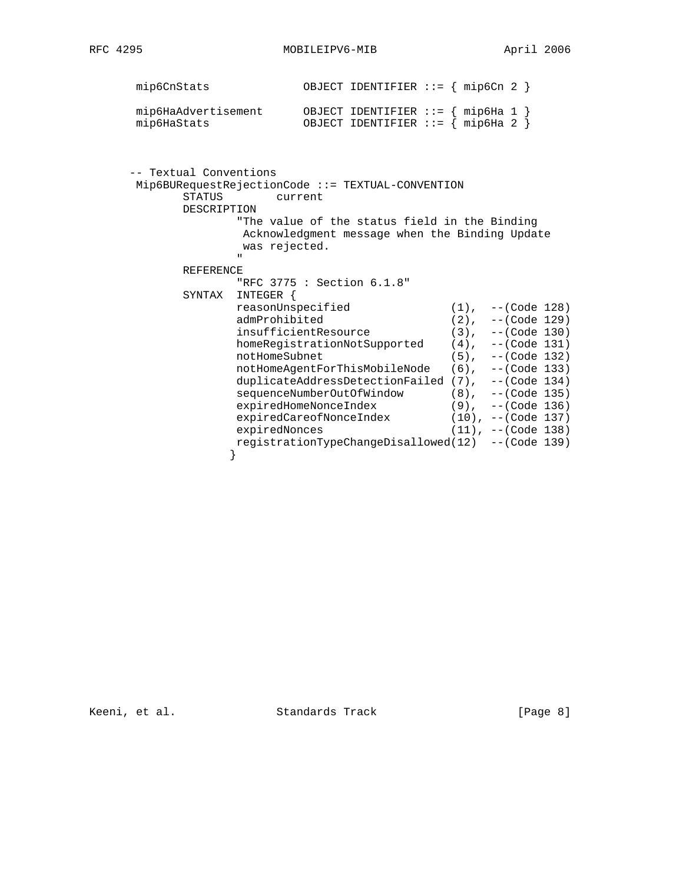| 4295<br>RFC |
|-------------|
|-------------|

| mip6CnStats         | OBJECT IDENTIFIER ::= $\{ \text{mip6Cn} \quad 2 \}$ |
|---------------------|-----------------------------------------------------|
| mip6HaAdvertisement | OBJECT IDENTIFIER ::= $\{ \text{mip6Ha} 1 \}$       |
| mip6HaStats         | OBJECT IDENTIFIER ::= $\{ \text{mip6Ha} \quad 2 \}$ |

| -- Textual Conventions |                                                                                                                                   |                         |  |
|------------------------|-----------------------------------------------------------------------------------------------------------------------------------|-------------------------|--|
|                        | $Mip6BUReques$ t $RejectionCode :: = TEXTUAL-CONVENTION$                                                                          |                         |  |
| <b>STATUS</b>          | current                                                                                                                           |                         |  |
| DESCRIPTION            |                                                                                                                                   |                         |  |
|                        | "The value of the status field in the Binding"<br>Acknowledgment message when the Binding Update<br>was rejected.<br>$\mathbf{H}$ |                         |  |
| <b>REFERENCE</b>       |                                                                                                                                   |                         |  |
|                        | "RFC 3775 : Section 6.1.8"                                                                                                        |                         |  |
| SYNTAX                 | INTEGER {                                                                                                                         |                         |  |
|                        | reasonUnspecified                                                                                                                 | $(1)$ , $-$ -(Code 128) |  |
|                        | admProhibited                                                                                                                     | $(2)$ , $-$ (Code 129)  |  |
|                        | insufficientResource                                                                                                              | $(3)$ , $--($ Code 130) |  |
|                        | homeReqistrationNotSupported                                                                                                      | $(4)$ , $--($ Code 131) |  |
|                        | notHomeSubnet                                                                                                                     | $(5)$ , $--($ Code 132) |  |
|                        | notHomeAgentForThisMobileNode (6), --(Code 133)                                                                                   |                         |  |
|                        | duplicateAddressDetectionFailed (7), --(Code 134)                                                                                 |                         |  |
|                        | sequenceNumberOutOfWindow                                                                                                         | $(8)$ , $--($ Code 135) |  |
|                        | expiredHomeNonceIndex                                                                                                             | $(9)$ , $--($ Code 136) |  |
|                        | expiredCareofNonceIndex                                                                                                           | (10), --(Code 137)      |  |
|                        | expiredNonces                                                                                                                     | $(11)$ , --(Code 138)   |  |
|                        | registrationTypeChangeDisallowed(12) --(Code 139)                                                                                 |                         |  |

Keeni, et al. Standards Track [Page 8]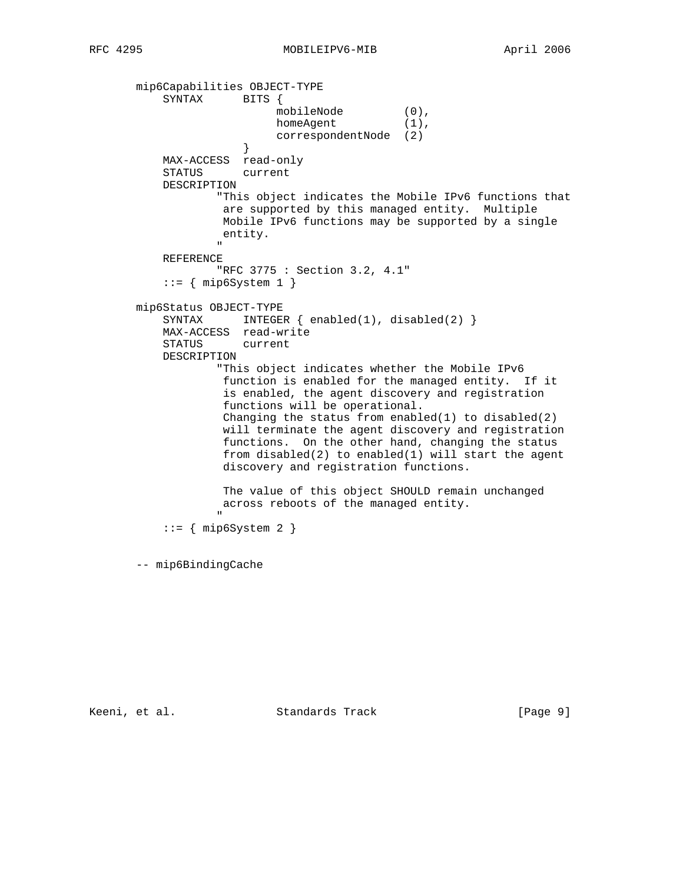```
 mip6Capabilities OBJECT-TYPE
            SYNTAX BITS {
mobileNode (0),
homeAgent (1),
                          correspondentNode (2)
 }
            MAX-ACCESS read-only
            STATUS current
            DESCRIPTION
                     "This object indicates the Mobile IPv6 functions that
                      are supported by this managed entity. Multiple
                     Mobile IPv6 functions may be supported by a single
                      entity.
" "The contract of the contract of the contract of the contract of the contract of the contract of the contract of the contract of the contract of the contract of the contract of the contract of the contract of the contrac
            REFERENCE
                     "RFC 3775 : Section 3.2, 4.1"
           ::= { mip6System 1 }
        mip6Status OBJECT-TYPE
           SYNTAX INTEGER \{ \text{enabeled}(1), \text{disabeled}(2) \} MAX-ACCESS read-write
            STATUS current
            DESCRIPTION
                     "This object indicates whether the Mobile IPv6
                      function is enabled for the managed entity. If it
                      is enabled, the agent discovery and registration
                      functions will be operational.
                     Changing the status from enabled(1) to disabled(2) will terminate the agent discovery and registration
                      functions. On the other hand, changing the status
                      from disabled(2) to enabled(1) will start the agent
                      discovery and registration functions.
                      The value of this object SHOULD remain unchanged
                      across reboots of the managed entity.
 "
           ::= { mip6System 2 }
        -- mip6BindingCache
```
Keeni, et al. Standards Track [Page 9]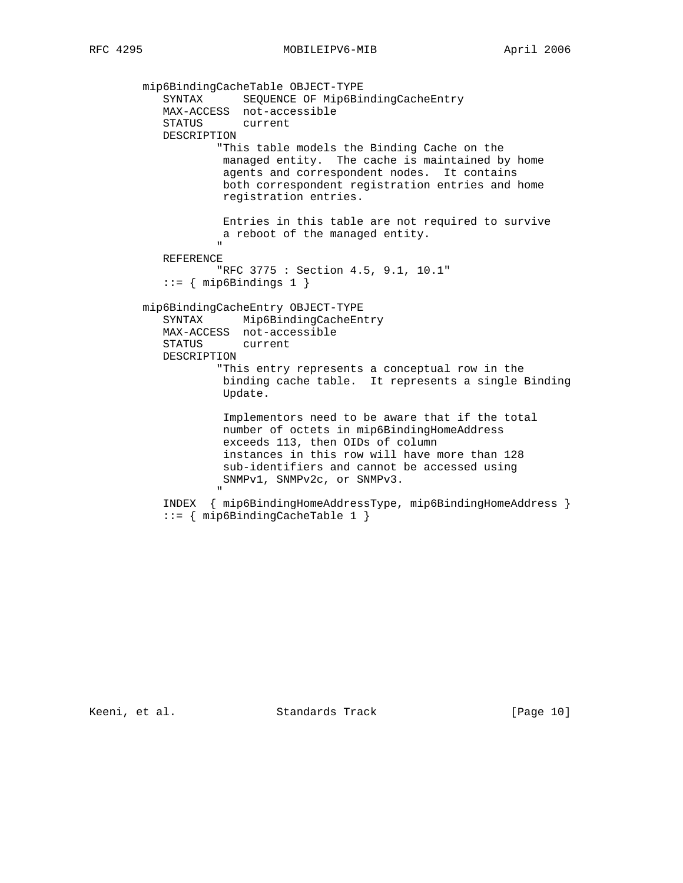```
 mip6BindingCacheTable OBJECT-TYPE
 SYNTAX SEQUENCE OF Mip6BindingCacheEntry
 MAX-ACCESS not-accessible
               STATUS current
               DESCRIPTION
                          "This table models the Binding Cache on the
                          managed entity. The cache is maintained by home
                           agents and correspondent nodes. It contains
                           both correspondent registration entries and home
                           registration entries.
                          Entries in this table are not required to survive
                          a reboot of the managed entity.
" "The contract of the contract of the contract of the contract of the contract of the contract of the contract of the contract of the contract of the contract of the contract of the contract of the contract of the contrac
               REFERENCE
                          "RFC 3775 : Section 4.5, 9.1, 10.1"
              ::= { mip6Bindings 1 }
           mip6BindingCacheEntry OBJECT-TYPE
               SYNTAX Mip6BindingCacheEntry
               MAX-ACCESS not-accessible
               STATUS current
               DESCRIPTION
                          "This entry represents a conceptual row in the
                           binding cache table. It represents a single Binding
                           Update.
                           Implementors need to be aware that if the total
                           number of octets in mip6BindingHomeAddress
                           exceeds 113, then OIDs of column
                           instances in this row will have more than 128
                           sub-identifiers and cannot be accessed using
                          SNMPv1, SNMPv2c, or SNMPv3.
" "The contract of the contract of the contract of the contract of the contract of the contract of the contract of the contract of the contract of the contract of the contract of the contract of the contract of the contrac
               INDEX { mip6BindingHomeAddressType, mip6BindingHomeAddress }
               ::= { mip6BindingCacheTable 1 }
```
Keeni, et al. Standards Track [Page 10]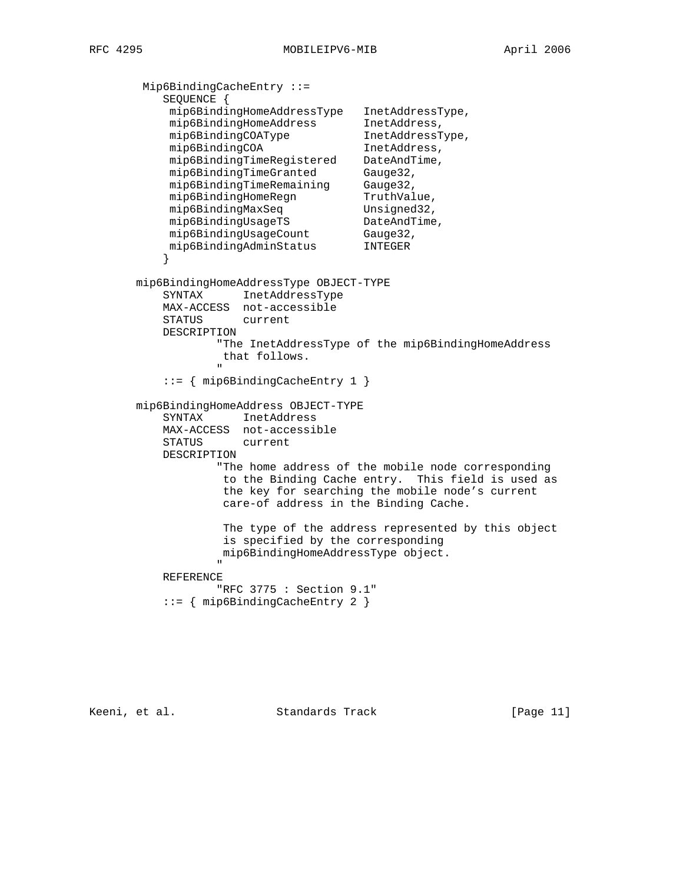```
 Mip6BindingCacheEntry ::=
           SEQUENCE {
 mip6BindingHomeAddressType InetAddressType,
 mip6BindingHomeAddress InetAddress,
mip6BindingCOAType InetAddressType,
mip6BindingCOA 1netAddress,
 mip6BindingTimeRegistered DateAndTime,
mip6BindingTimeGranted Gauge32,
 mip6BindingTimeRemaining Gauge32,
mip6BindingHomeRegn TruthValue,
mip6BindingMaxSeq Unsigned32,
mip6BindingUsageTS DateAndTime,
mip6BindingUsageCount Gauge32,
 mip6BindingAdminStatus INTEGER
 }
       mip6BindingHomeAddressType OBJECT-TYPE
           SYNTAX InetAddressType
           MAX-ACCESS not-accessible
           STATUS current
           DESCRIPTION
                   "The InetAddressType of the mip6BindingHomeAddress
                   that follows.
 "
           ::= { mip6BindingCacheEntry 1 }
       mip6BindingHomeAddress OBJECT-TYPE
           SYNTAX InetAddress
           MAX-ACCESS not-accessible
           STATUS current
           DESCRIPTION
                   "The home address of the mobile node corresponding
                   to the Binding Cache entry. This field is used as
                    the key for searching the mobile node's current
                    care-of address in the Binding Cache.
                    The type of the address represented by this object
                    is specified by the corresponding
                   mip6BindingHomeAddressType object.
" "The contract of the contract of the contract of the contract of the contract of the contract of the contract of the contract of the contract of the contract of the contract of the contract of the contract of the contrac
           REFERENCE
                   "RFC 3775 : Section 9.1"
           ::= { mip6BindingCacheEntry 2 }
```
Keeni, et al. Standards Track [Page 11]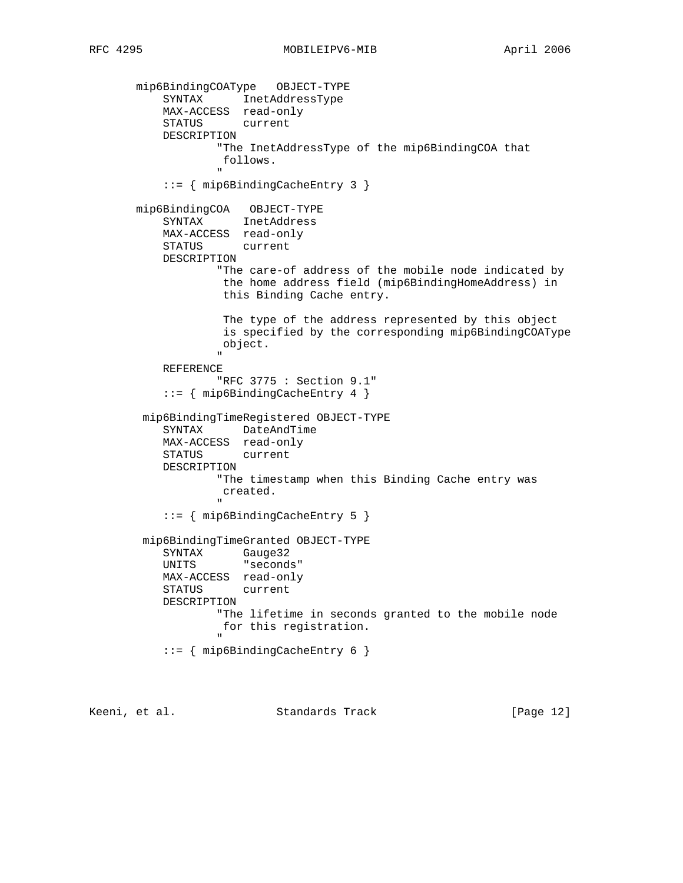mip6BindingCOAType OBJECT-TYPE SYNTAX InetAddressType MAX-ACCESS read-only STATUS current DESCRIPTION "The InetAddressType of the mip6BindingCOA that follows. " "The contract of the contract of the contract of the contract of the contract of the contract of the contract of the contract of the contract of the contract of the contract of the contract of the contract of the contrac ::= { mip6BindingCacheEntry 3 } mip6BindingCOA OBJECT-TYPE SYNTAX InetAddress MAX-ACCESS read-only STATUS current DESCRIPTION "The care-of address of the mobile node indicated by the home address field (mip6BindingHomeAddress) in this Binding Cache entry. The type of the address represented by this object is specified by the corresponding mip6BindingCOAType object. " "The contract of the contract of the contract of the contract of the contract of the contract of the contract of the contract of the contract of the contract of the contract of the contract of the contract of the contrac REFERENCE "RFC 3775 : Section 9.1" ::= { mip6BindingCacheEntry 4 } mip6BindingTimeRegistered OBJECT-TYPE SYNTAX DateAndTime MAX-ACCESS read-only STATUS current DESCRIPTION "The timestamp when this Binding Cache entry was created. " "The contract of the contract of the contract of the contract of the contract of the contract of the contract of the contract of the contract of the contract of the contract of the contract of the contract of the contrac ::= { mip6BindingCacheEntry 5 } mip6BindingTimeGranted OBJECT-TYPE SYNTAX Gauge32 UNITS "seconds" MAX-ACCESS read-only STATUS current DESCRIPTION "The lifetime in seconds granted to the mobile node for this registration. " "The contract of the contract of the contract of the contract of the contract of the contract of the contract of the contract of the contract of the contract of the contract of the contract of the contract of the contrac ::= { mip6BindingCacheEntry 6 }

Keeni, et al. Standards Track [Page 12]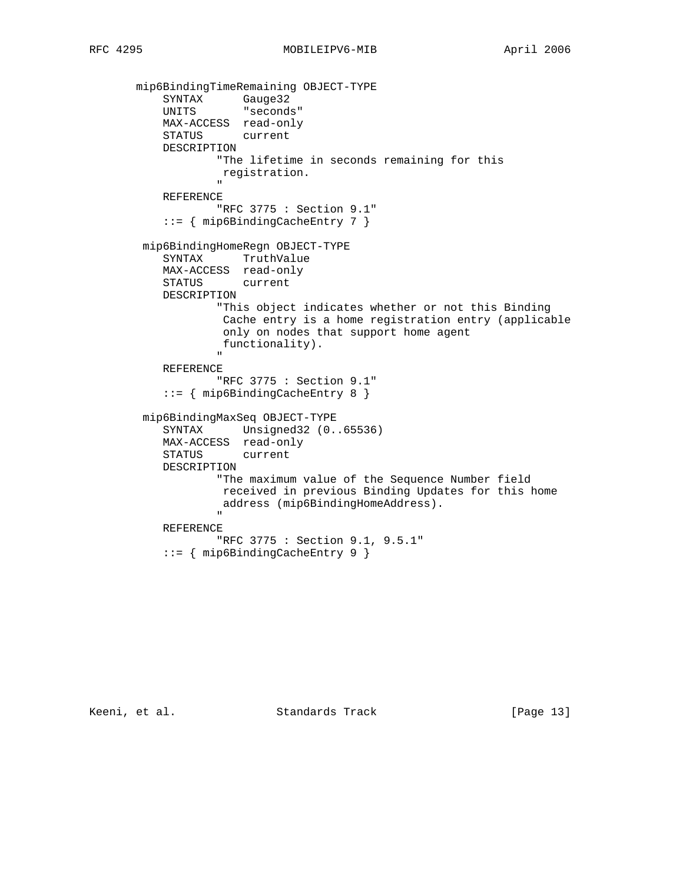```
 mip6BindingTimeRemaining OBJECT-TYPE
SYNTAX Gauge32
 UNITS "seconds"
             MAX-ACCESS read-only
             STATUS current
             DESCRIPTION
                      "The lifetime in seconds remaining for this
                       registration.
 "
             REFERENCE
                      "RFC 3775 : Section 9.1"
             ::= { mip6BindingCacheEntry 7 }
         mip6BindingHomeRegn OBJECT-TYPE
             SYNTAX TruthValue
             MAX-ACCESS read-only
             STATUS current
             DESCRIPTION
                      "This object indicates whether or not this Binding
                       Cache entry is a home registration entry (applicable
                       only on nodes that support home agent
                       functionality).
" "The contract of the contract of the contract of the contract of the contract of the contract of the contract of the contract of the contract of the contract of the contract of the contract of the contract of the contrac
             REFERENCE
                      "RFC 3775 : Section 9.1"
             ::= { mip6BindingCacheEntry 8 }
         mip6BindingMaxSeq OBJECT-TYPE
             SYNTAX Unsigned32 (0..65536)
             MAX-ACCESS read-only
             STATUS current
             DESCRIPTION
                      "The maximum value of the Sequence Number field
                      received in previous Binding Updates for this home
                      address (mip6BindingHomeAddress).
 "
             REFERENCE
                      "RFC 3775 : Section 9.1, 9.5.1"
             ::= { mip6BindingCacheEntry 9 }
```
Keeni, et al. Standards Track [Page 13]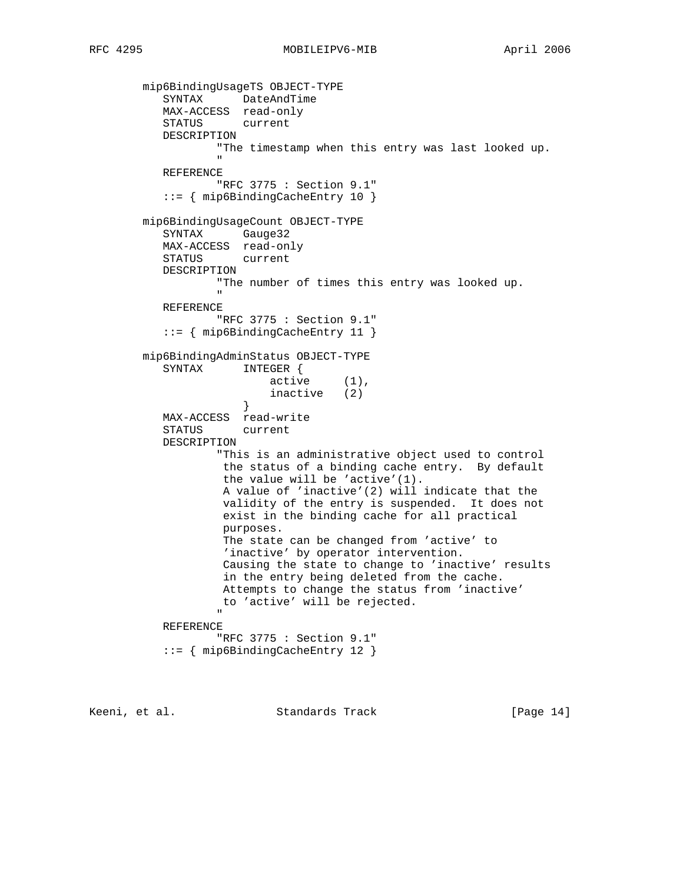mip6BindingUsageTS OBJECT-TYPE SYNTAX DateAndTime MAX-ACCESS read-only STATUS current DESCRIPTION "The timestamp when this entry was last looked up. " "The contract of the contract of the contract of the contract of the contract of the contract of the contract of the contract of the contract of the contract of the contract of the contract of the contract of the contrac REFERENCE "RFC 3775 : Section 9.1" ::= { mip6BindingCacheEntry 10 } mip6BindingUsageCount OBJECT-TYPE SYNTAX Gauge32 MAX-ACCESS read-only STATUS current DESCRIPTION "The number of times this entry was looked up. " REFERENCE "RFC 3775 : Section 9.1" ::= { mip6BindingCacheEntry 11 } mip6BindingAdminStatus OBJECT-TYPE SYNTAX INTEGER { active (1), inactive (2) } MAX-ACCESS read-write STATUS current DESCRIPTION "This is an administrative object used to control the status of a binding cache entry. By default the value will be 'active'(1). A value of 'inactive'(2) will indicate that the validity of the entry is suspended. It does not exist in the binding cache for all practical purposes. The state can be changed from 'active' to 'inactive' by operator intervention. Causing the state to change to 'inactive' results in the entry being deleted from the cache. Attempts to change the status from 'inactive' to 'active' will be rejected. " "The contract of the contract of the contract of the contract of the contract of the contract of the contract of the contract of the contract of the contract of the contract of the contract of the contract of the contrac REFERENCE "RFC 3775 : Section 9.1" ::= { mip6BindingCacheEntry 12 }

Keeni, et al. Standards Track [Page 14]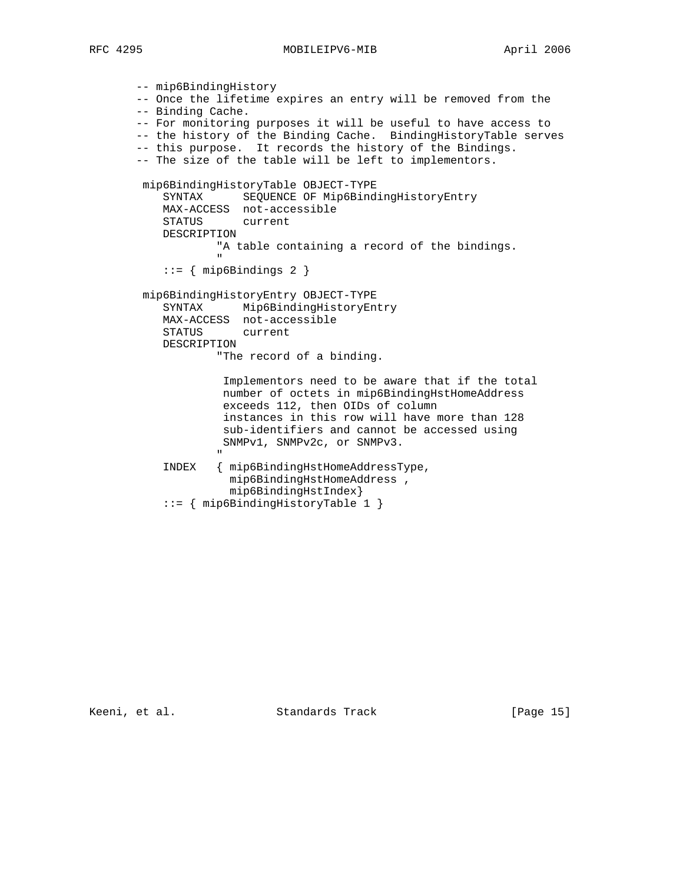```
 -- mip6BindingHistory
         -- Once the lifetime expires an entry will be removed from the
         -- Binding Cache.
         -- For monitoring purposes it will be useful to have access to
         -- the history of the Binding Cache. BindingHistoryTable serves
         -- this purpose. It records the history of the Bindings.
         -- The size of the table will be left to implementors.
         mip6BindingHistoryTable OBJECT-TYPE
             SYNTAX SEQUENCE OF Mip6BindingHistoryEntry
             MAX-ACCESS not-accessible
             STATUS current
             DESCRIPTION
                      "A table containing a record of the bindings.
 "
            ::= { mip6Bindings 2 }
         mip6BindingHistoryEntry OBJECT-TYPE
             SYNTAX Mip6BindingHistoryEntry
             MAX-ACCESS not-accessible
             STATUS current
             DESCRIPTION
                       "The record of a binding.
                        Implementors need to be aware that if the total
                        number of octets in mip6BindingHstHomeAddress
                        exceeds 112, then OIDs of column
                        instances in this row will have more than 128
                       sub-identifiers and cannot be accessed using
                       SNMPv1, SNMPv2c, or SNMPv3.
" "The contract of the contract of the contract of the contract of the contract of the contract of the contract of the contract of the contract of the contract of the contract of the contract of the contract of the contrac
             INDEX { mip6BindingHstHomeAddressType,
                         mip6BindingHstHomeAddress ,
                         mip6BindingHstIndex}
             ::= { mip6BindingHistoryTable 1 }
```
Keeni, et al. Standards Track [Page 15]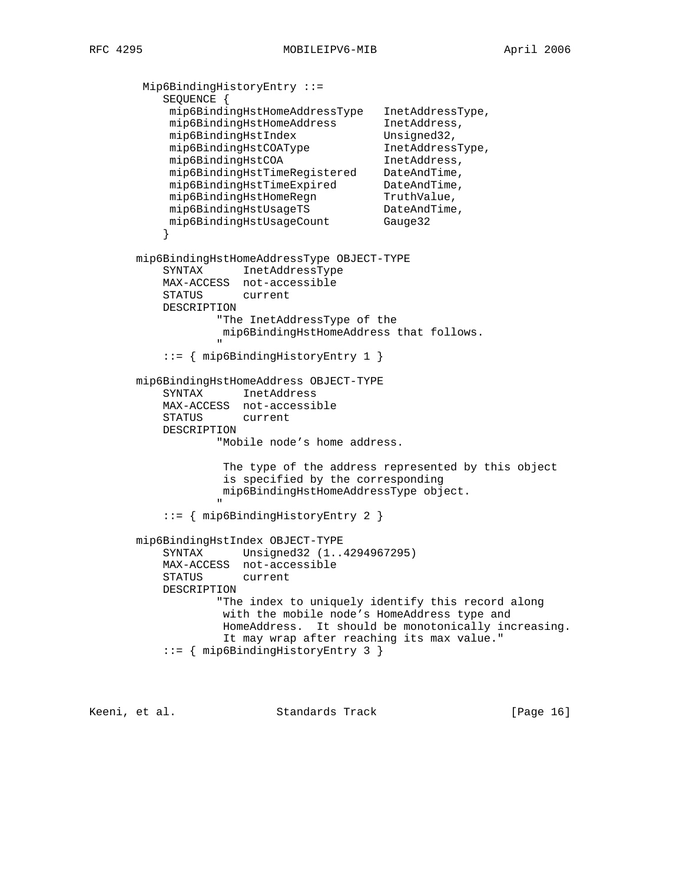Mip6BindingHistoryEntry ::= SEQUENCE { mip6BindingHstHomeAddressType InetAddressType, mip6BindingHstHomeAddress InetAddress, mip6BindingHstIndex Unsigned32, mip6BindingHstCOAType InetAddressType, mip6BindingHstCOA 1netAddress, mip6BindingHstTimeRegistered DateAndTime, mip6BindingHstTimeExpired DateAndTime, mip6BindingHstHomeRegn TruthValue, mip6BindingHstUsageTS DateAndTime, mip6BindingHstUsageCount Gauge32 } mip6BindingHstHomeAddressType OBJECT-TYPE SYNTAX InetAddressType MAX-ACCESS not-accessible STATUS current DESCRIPTION "The InetAddressType of the mip6BindingHstHomeAddress that follows. " "The contract of the contract of the contract of the contract of the contract of the contract of the contract of the contract of the contract of the contract of the contract of the contract of the contract of the contrac ::= { mip6BindingHistoryEntry 1 } mip6BindingHstHomeAddress OBJECT-TYPE SYNTAX InetAddress MAX-ACCESS not-accessible STATUS current DESCRIPTION "Mobile node's home address. The type of the address represented by this object is specified by the corresponding mip6BindingHstHomeAddressType object. " "The contract of the contract of the contract of the contract of the contract of the contract of the contract of the contract of the contract of the contract of the contract of the contract of the contract of the contrac ::= { mip6BindingHistoryEntry 2 } mip6BindingHstIndex OBJECT-TYPE SYNTAX Unsigned32 (1..4294967295) MAX-ACCESS not-accessible STATUS current DESCRIPTION "The index to uniquely identify this record along with the mobile node's HomeAddress type and HomeAddress. It should be monotonically increasing. It may wrap after reaching its max value." ::= { mip6BindingHistoryEntry 3 }

Keeni, et al. Standards Track [Page 16]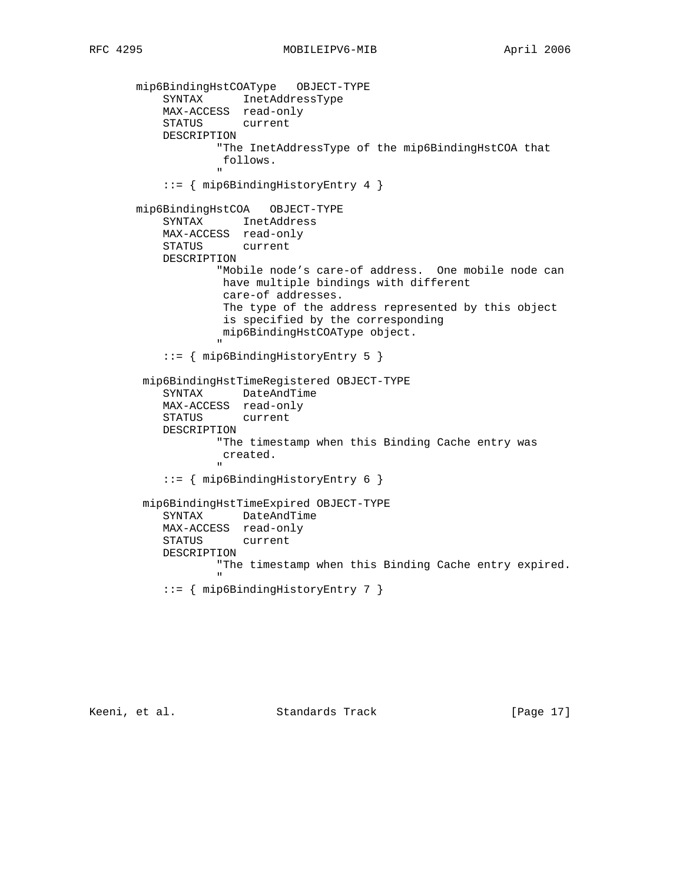mip6BindingHstCOAType OBJECT-TYPE SYNTAX InetAddressType MAX-ACCESS read-only STATUS current DESCRIPTION "The InetAddressType of the mip6BindingHstCOA that follows. " "The contract of the contract of the contract of the contract of the contract of the contract of the contract of the contract of the contract of the contract of the contract of the contract of the contract of the contrac ::= { mip6BindingHistoryEntry 4 } mip6BindingHstCOA OBJECT-TYPE SYNTAX InetAddress MAX-ACCESS read-only STATUS current DESCRIPTION "Mobile node's care-of address. One mobile node can have multiple bindings with different care-of addresses. The type of the address represented by this object is specified by the corresponding mip6BindingHstCOAType object. " "The contract of the contract of the contract of the contract of the contract of the contract of the contract of the contract of the contract of the contract of the contract of the contract of the contract of the contrac ::= { mip6BindingHistoryEntry 5 } mip6BindingHstTimeRegistered OBJECT-TYPE SYNTAX DateAndTime MAX-ACCESS read-only STATUS current DESCRIPTION "The timestamp when this Binding Cache entry was created. " "The contract of the contract of the contract of the contract of the contract of the contract of the contract of the contract of the contract of the contract of the contract of the contract of the contract of the contrac ::= { mip6BindingHistoryEntry 6 } mip6BindingHstTimeExpired OBJECT-TYPE SYNTAX DateAndTime MAX-ACCESS read-only STATUS current DESCRIPTION "The timestamp when this Binding Cache entry expired. " "The contract of the contract of the contract of the contract of the contract of the contract of the contract of the contract of the contract of the contract of the contract of the contract of the contract of the contrac ::= { mip6BindingHistoryEntry 7 }

Keeni, et al. Standards Track [Page 17]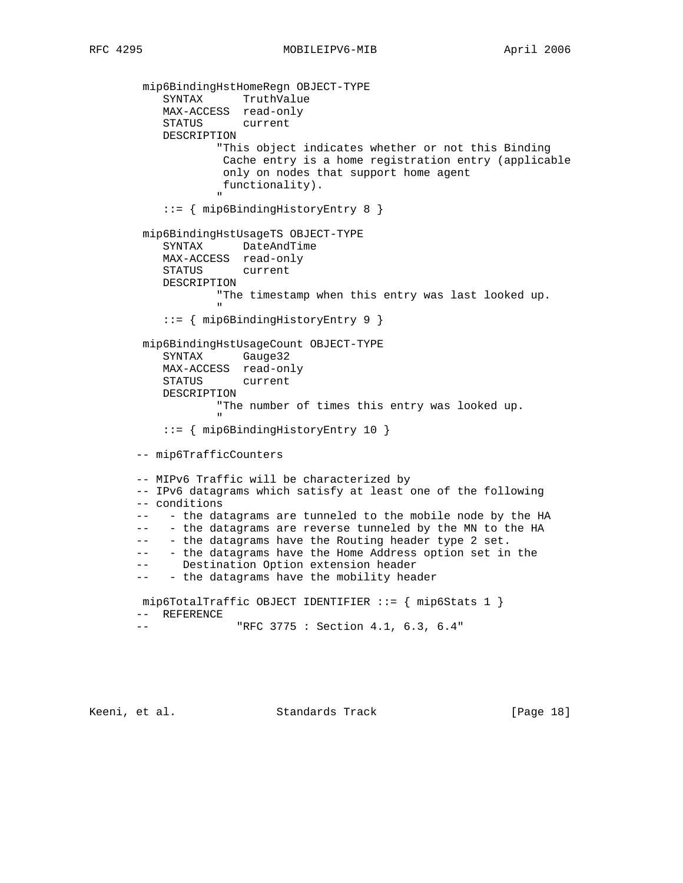mip6BindingHstHomeRegn OBJECT-TYPE SYNTAX TruthValue MAX-ACCESS read-only STATUS current DESCRIPTION "This object indicates whether or not this Binding Cache entry is a home registration entry (applicable only on nodes that support home agent functionality). " "The contract of the contract of the contract of the contract of the contract of the contract of the contract of the contract of the contract of the contract of the contract of the contract of the contract of the contrac ::= { mip6BindingHistoryEntry 8 } mip6BindingHstUsageTS OBJECT-TYPE SYNTAX DateAndTime MAX-ACCESS read-only STATUS current DESCRIPTION "The timestamp when this entry was last looked up. " "The contract of the contract of the contract of the contract of the contract of the contract of the contract of the contract of the contract of the contract of the contract of the contract of the contract of the contrac ::= { mip6BindingHistoryEntry 9 } mip6BindingHstUsageCount OBJECT-TYPE SYNTAX Gauge32 MAX-ACCESS read-only STATUS current DESCRIPTION "The number of times this entry was looked up. " "The contract of the contract of the contract of the contract of the contract of the contract of the contract of the contract of the contract of the contract of the contract of the contract of the contract of the contrac ::= { mip6BindingHistoryEntry 10 } -- mip6TrafficCounters -- MIPv6 Traffic will be characterized by -- IPv6 datagrams which satisfy at least one of the following -- conditions -- - the datagrams are tunneled to the mobile node by the HA -- - the datagrams are reverse tunneled by the MN to the HA -- - the datagrams have the Routing header type 2 set. -- - the datagrams have the Home Address option set in the -- Destination Option extension header -- - the datagrams have the mobility header mip6TotalTraffic OBJECT IDENTIFIER ::= { mip6Stats 1 } -- REFERENCE -- "RFC 3775 : Section 4.1, 6.3, 6.4"

Keeni, et al. Standards Track [Page 18]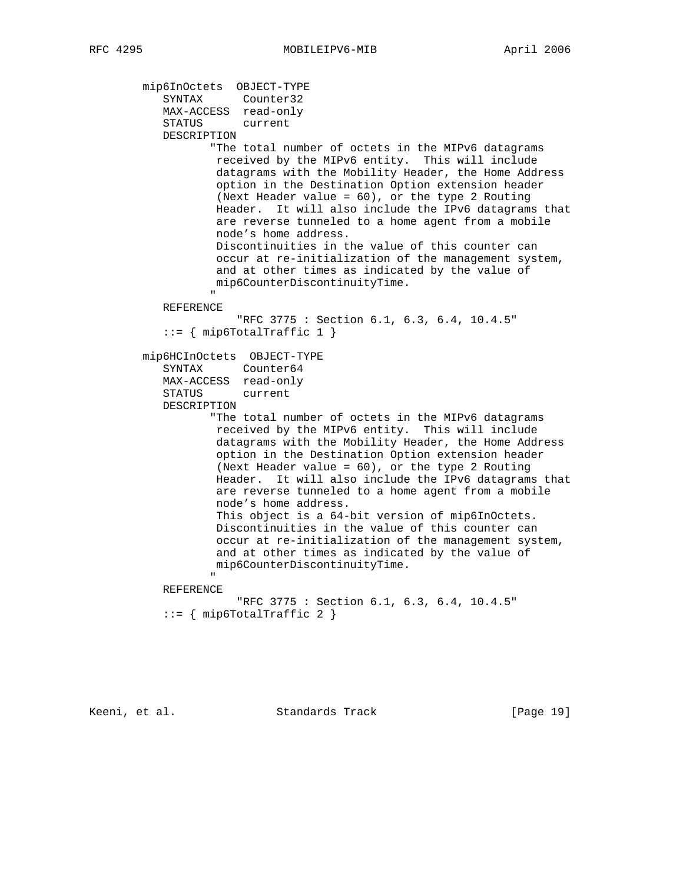```
 mip6InOctets OBJECT-TYPE
              SYNTAX Counter32
              MAX-ACCESS read-only
              STATUS current
              DESCRIPTION
                       "The total number of octets in the MIPv6 datagrams
                        received by the MIPv6 entity. This will include
                        datagrams with the Mobility Header, the Home Address
                         option in the Destination Option extension header
                        (Next Header value = 60), or the type 2 Routing
                        Header. It will also include the IPv6 datagrams that
                        are reverse tunneled to a home agent from a mobile
                        node's home address.
                        Discontinuities in the value of this counter can
                        occur at re-initialization of the management system,
                        and at other times as indicated by the value of
                        mip6CounterDiscontinuityTime.
" "The contract of the contract of the contract of the contract of the contract of the contract of the contract of the contract of the contract of the contract of the contract of the contract of the contract of the contrac
              REFERENCE
                            "RFC 3775 : Section 6.1, 6.3, 6.4, 10.4.5"
             ::= { mip6TotalTraffic 1 }
          mip6HCInOctets OBJECT-TYPE
              SYNTAX Counter64
              MAX-ACCESS read-only
              STATUS current
              DESCRIPTION
                       "The total number of octets in the MIPv6 datagrams
                         received by the MIPv6 entity. This will include
                         datagrams with the Mobility Header, the Home Address
                         option in the Destination Option extension header
                        (Next Header value = 60), or the type 2 Routing
                        Header. It will also include the IPv6 datagrams that
                        are reverse tunneled to a home agent from a mobile
                        node's home address.
                        This object is a 64-bit version of mip6InOctets.
                        Discontinuities in the value of this counter can
                        occur at re-initialization of the management system,
                        and at other times as indicated by the value of
                        mip6CounterDiscontinuityTime.
" "The contract of the contract of the contract of the contract of the contract of the contract of the contract of the contract of the contract of the contract of the contract of the contract of the contract of the contrac
              REFERENCE
                            "RFC 3775 : Section 6.1, 6.3, 6.4, 10.4.5"
             ::= { mip6TotalTraffic 2 }
```
Keeni, et al. Standards Track [Page 19]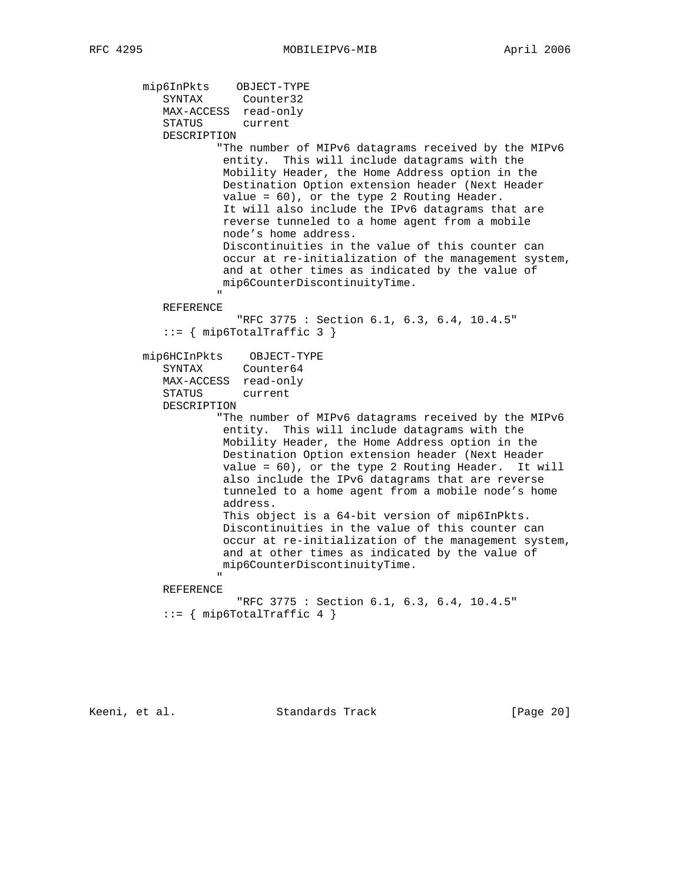```
 mip6InPkts OBJECT-TYPE
SYNTAX Counter32
 MAX-ACCESS read-only
            STATUS current
            DESCRIPTION
                      "The number of MIPv6 datagrams received by the MIPv6
                      entity. This will include datagrams with the
                      Mobility Header, the Home Address option in the
                      Destination Option extension header (Next Header
                      value = 60), or the type 2 Routing Header.
                      It will also include the IPv6 datagrams that are
                      reverse tunneled to a home agent from a mobile
                      node's home address.
                      Discontinuities in the value of this counter can
                      occur at re-initialization of the management system,
                      and at other times as indicated by the value of
                      mip6CounterDiscontinuityTime.
 "
            REFERENCE
                         "RFC 3775 : Section 6.1, 6.3, 6.4, 10.4.5"
            ::= { mip6TotalTraffic 3 }
         mip6HCInPkts OBJECT-TYPE
            SYNTAX Counter64
            MAX-ACCESS read-only
            STATUS current
            DESCRIPTION
                      "The number of MIPv6 datagrams received by the MIPv6
                      entity. This will include datagrams with the
                      Mobility Header, the Home Address option in the
                      Destination Option extension header (Next Header
                      value = 60), or the type 2 Routing Header. It will
                      also include the IPv6 datagrams that are reverse
                      tunneled to a home agent from a mobile node's home
                      address.
                      This object is a 64-bit version of mip6InPkts.
                      Discontinuities in the value of this counter can
                      occur at re-initialization of the management system,
                      and at other times as indicated by the value of
                      mip6CounterDiscontinuityTime.
" "The contract of the contract of the contract of the contract of the contract of the contract of the contract of the contract of the contract of the contract of the contract of the contract of the contract of the contrac
            REFERENCE
                         "RFC 3775 : Section 6.1, 6.3, 6.4, 10.4.5"
            ::= { mip6TotalTraffic 4 }
```
Keeni, et al. Standards Track [Page 20]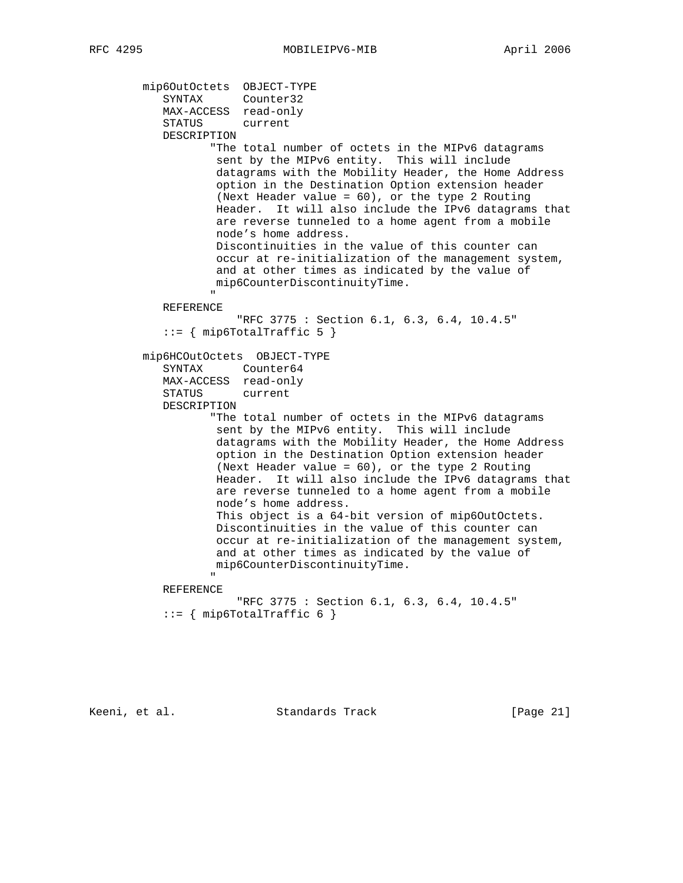```
 mip6OutOctets OBJECT-TYPE
SYNTAX Counter32
 MAX-ACCESS read-only
              STATUS current
              DESCRIPTION
                       "The total number of octets in the MIPv6 datagrams
                        sent by the MIPv6 entity. This will include
                        datagrams with the Mobility Header, the Home Address
                        option in the Destination Option extension header
                        (Next Header value = 60), or the type 2 Routing
                        Header. It will also include the IPv6 datagrams that
                        are reverse tunneled to a home agent from a mobile
                        node's home address.
                        Discontinuities in the value of this counter can
                        occur at re-initialization of the management system,
                        and at other times as indicated by the value of
                       mip6CounterDiscontinuityTime.
" "The contract of the contract of the contract of the contract of the contract of the contract of the contract of the contract of the contract of the contract of the contract of the contract of the contract of the contrac
              REFERENCE
                            "RFC 3775 : Section 6.1, 6.3, 6.4, 10.4.5"
             ::= { mip6TotalTraffic 5 }
          mip6HCOutOctets OBJECT-TYPE
              SYNTAX Counter64
              MAX-ACCESS read-only
              STATUS current
              DESCRIPTION
                       "The total number of octets in the MIPv6 datagrams
                        sent by the MIPv6 entity. This will include
                        datagrams with the Mobility Header, the Home Address
                        option in the Destination Option extension header
                        (Next Header value = 60), or the type 2 Routing
                        Header. It will also include the IPv6 datagrams that
                        are reverse tunneled to a home agent from a mobile
                        node's home address.
                        This object is a 64-bit version of mip6OutOctets.
                        Discontinuities in the value of this counter can
                        occur at re-initialization of the management system,
                        and at other times as indicated by the value of
                       mip6CounterDiscontinuityTime.
" "The contract of the contract of the contract of the contract of the contract of the contract of the contract of the contract of the contract of the contract of the contract of the contract of the contract of the contrac
              REFERENCE
                            "RFC 3775 : Section 6.1, 6.3, 6.4, 10.4.5"
             ::= { mip6TotalTraffic 6 }
```
Keeni, et al. Standards Track [Page 21]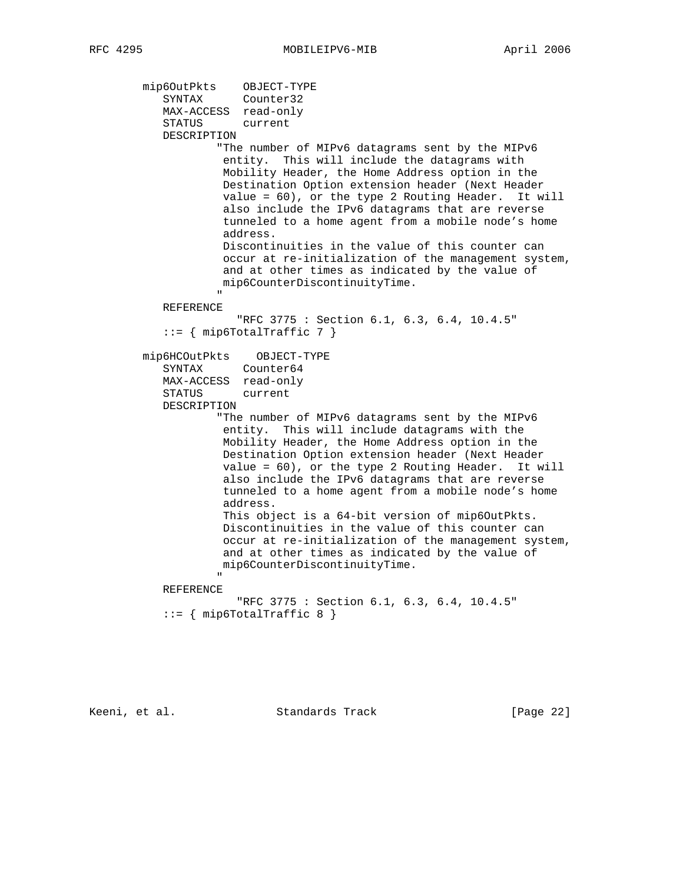```
 mip6OutPkts OBJECT-TYPE
SYNTAX Counter32
 MAX-ACCESS read-only
            STATUS current
            DESCRIPTION
                      "The number of MIPv6 datagrams sent by the MIPv6
                      entity. This will include the datagrams with
                      Mobility Header, the Home Address option in the
                      Destination Option extension header (Next Header
                      value = 60), or the type 2 Routing Header. It will
                      also include the IPv6 datagrams that are reverse
                      tunneled to a home agent from a mobile node's home
                      address.
                      Discontinuities in the value of this counter can
                      occur at re-initialization of the management system,
                      and at other times as indicated by the value of
                      mip6CounterDiscontinuityTime.
 "
            REFERENCE
                         "RFC 3775 : Section 6.1, 6.3, 6.4, 10.4.5"
            ::= { mip6TotalTraffic 7 }
         mip6HCOutPkts OBJECT-TYPE
            SYNTAX Counter64
            MAX-ACCESS read-only
            STATUS current
            DESCRIPTION
                      "The number of MIPv6 datagrams sent by the MIPv6
                      entity. This will include datagrams with the
                      Mobility Header, the Home Address option in the
                      Destination Option extension header (Next Header
                      value = 60), or the type 2 Routing Header. It will
                      also include the IPv6 datagrams that are reverse
                      tunneled to a home agent from a mobile node's home
                      address.
                      This object is a 64-bit version of mip6OutPkts.
                      Discontinuities in the value of this counter can
                      occur at re-initialization of the management system,
                      and at other times as indicated by the value of
                      mip6CounterDiscontinuityTime.
" "The contract of the contract of the contract of the contract of the contract of the contract of the contract of the contract of the contract of the contract of the contract of the contract of the contract of the contrac
            REFERENCE
                         "RFC 3775 : Section 6.1, 6.3, 6.4, 10.4.5"
            ::= { mip6TotalTraffic 8 }
```
Keeni, et al. Standards Track [Page 22]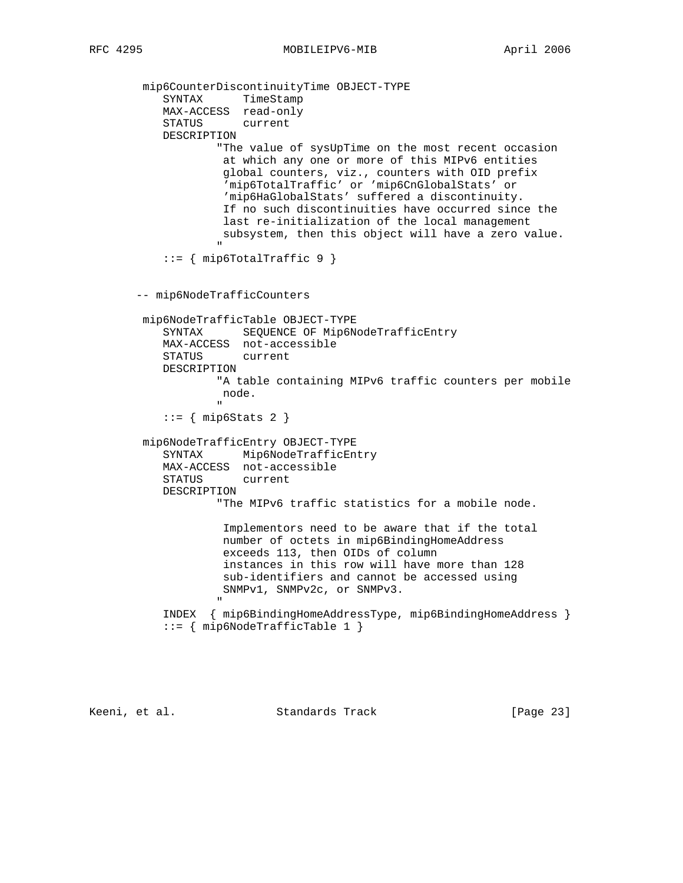mip6CounterDiscontinuityTime OBJECT-TYPE SYNTAX TimeStamp MAX-ACCESS read-only STATUS current DESCRIPTION "The value of sysUpTime on the most recent occasion at which any one or more of this MIPv6 entities global counters, viz., counters with OID prefix 'mip6TotalTraffic' or 'mip6CnGlobalStats' or 'mip6HaGlobalStats' suffered a discontinuity. If no such discontinuities have occurred since the last re-initialization of the local management subsystem, then this object will have a zero value. " "The contract of the contract of the contract of the contract of the contract of the contract of the contract of the contract of the contract of the contract of the contract of the contract of the contract of the contrac  $::=$  { mip6TotalTraffic 9 } -- mip6NodeTrafficCounters mip6NodeTrafficTable OBJECT-TYPE SYNTAX SEQUENCE OF Mip6NodeTrafficEntry MAX-ACCESS not-accessible STATUS current DESCRIPTION "A table containing MIPv6 traffic counters per mobile node. "  $::=$  { mip6Stats 2 } mip6NodeTrafficEntry OBJECT-TYPE SYNTAX Mip6NodeTrafficEntry MAX-ACCESS not-accessible STATUS current DESCRIPTION "The MIPv6 traffic statistics for a mobile node. Implementors need to be aware that if the total number of octets in mip6BindingHomeAddress exceeds 113, then OIDs of column instances in this row will have more than 128 sub-identifiers and cannot be accessed using SNMPv1, SNMPv2c, or SNMPv3. " "The contract of the contract of the contract of the contract of the contract of the contract of the contract of the contract of the contract of the contract of the contract of the contract of the contract of the contrac INDEX { mip6BindingHomeAddressType, mip6BindingHomeAddress } ::= { mip6NodeTrafficTable 1 }

Keeni, et al. Standards Track [Page 23]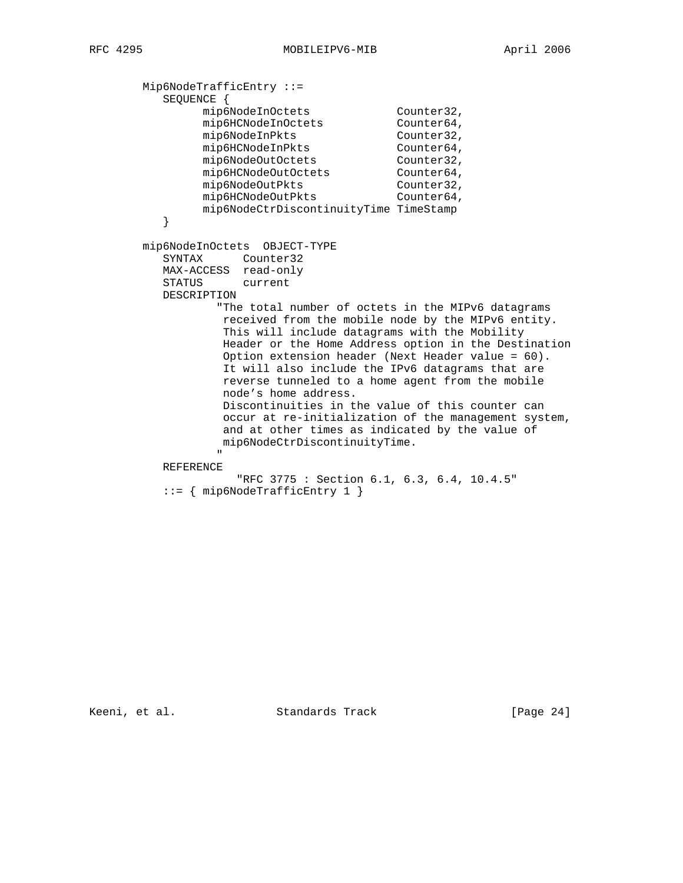Mip6NodeTrafficEntry ::= SEQUENCE { mip6NodeInOctets Counter32, mip6HCNodeInOctets Counter64, mip6NodeInPkts Counter32, mip6HCNodeInPkts Counter64, mip6NodeOutOctets Counter32, mip6HCNodeOutOctets Counter64, mip6NodeOutPkts Counter32, mip6HCNodeOutPkts Counter64, mip6NodeCtrDiscontinuityTime TimeStamp } mip6NodeInOctets OBJECT-TYPE SYNTAX Counter32 MAX-ACCESS read-only STATUS current DESCRIPTION "The total number of octets in the MIPv6 datagrams received from the mobile node by the MIPv6 entity. This will include datagrams with the Mobility Header or the Home Address option in the Destination Option extension header (Next Header value = 60). It will also include the IPv6 datagrams that are reverse tunneled to a home agent from the mobile node's home address. Discontinuities in the value of this counter can occur at re-initialization of the management system, and at other times as indicated by the value of mip6NodeCtrDiscontinuityTime. " "The contract of the contract of the contract of the contract of the contract of the contract of the contract of the contract of the contract of the contract of the contract of the contract of the contract of the contrac REFERENCE "RFC 3775 : Section 6.1, 6.3, 6.4, 10.4.5"

::= { mip6NodeTrafficEntry 1 }

Keeni, et al. Standards Track [Page 24]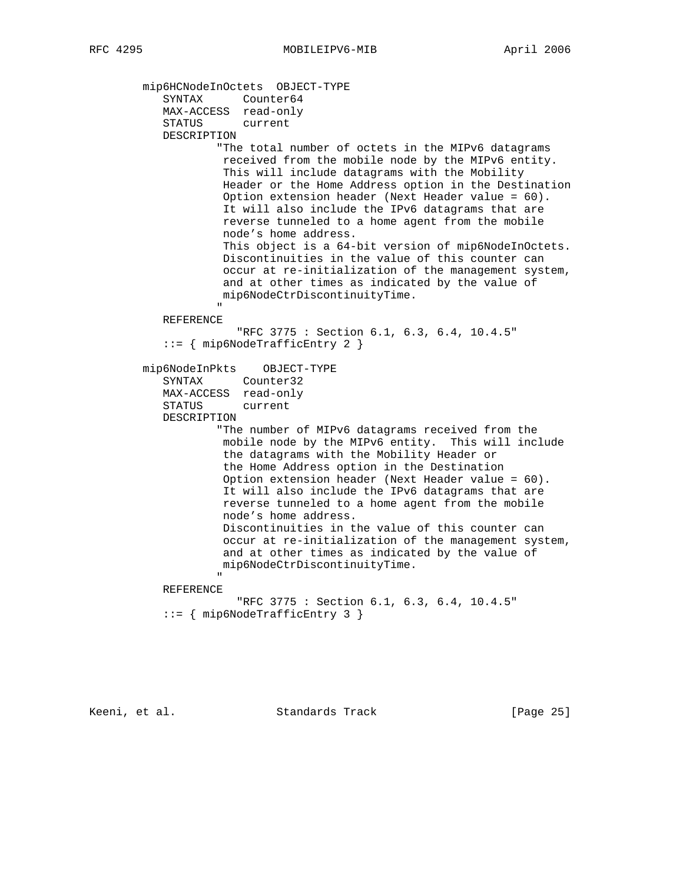mip6HCNodeInOctets OBJECT-TYPE SYNTAX Counter64 MAX-ACCESS read-only STATUS current DESCRIPTION "The total number of octets in the MIPv6 datagrams received from the mobile node by the MIPv6 entity. This will include datagrams with the Mobility Header or the Home Address option in the Destination Option extension header (Next Header value = 60). It will also include the IPv6 datagrams that are reverse tunneled to a home agent from the mobile node's home address. This object is a 64-bit version of mip6NodeInOctets. Discontinuities in the value of this counter can occur at re-initialization of the management system, and at other times as indicated by the value of mip6NodeCtrDiscontinuityTime. " "The contract of the contract of the contract of the contract of the contract of the contract of the contract of the contract of the contract of the contract of the contract of the contract of the contract of the contrac REFERENCE "RFC 3775 : Section 6.1, 6.3, 6.4, 10.4.5" ::= { mip6NodeTrafficEntry 2 } mip6NodeInPkts OBJECT-TYPE SYNTAX Counter32 MAX-ACCESS read-only STATUS current DESCRIPTION "The number of MIPv6 datagrams received from the mobile node by the MIPv6 entity. This will include the datagrams with the Mobility Header or the Home Address option in the Destination Option extension header (Next Header value = 60). It will also include the IPv6 datagrams that are reverse tunneled to a home agent from the mobile node's home address. Discontinuities in the value of this counter can occur at re-initialization of the management system, and at other times as indicated by the value of mip6NodeCtrDiscontinuityTime. " "The contract of the contract of the contract of the contract of the contract of the contract of the contract of the contract of the contract of the contract of the contract of the contract of the contract of the contrac REFERENCE "RFC 3775 : Section 6.1, 6.3, 6.4, 10.4.5" ::= { mip6NodeTrafficEntry 3 }

Keeni, et al. Standards Track [Page 25]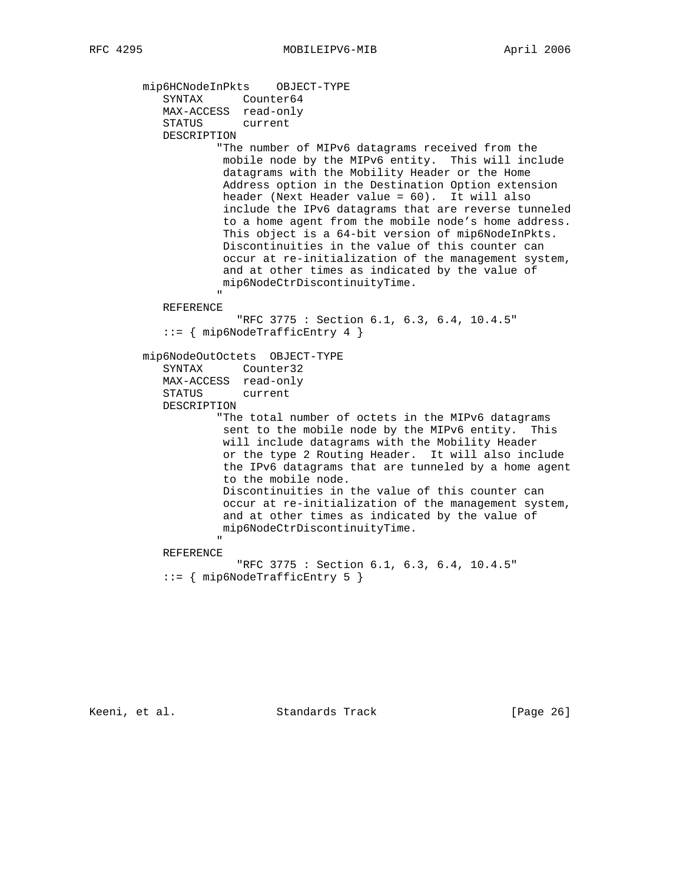```
 mip6HCNodeInPkts OBJECT-TYPE
SYNTAX Counter64
 MAX-ACCESS read-only
             STATUS current
             DESCRIPTION
                      "The number of MIPv6 datagrams received from the
                      mobile node by the MIPv6 entity. This will include
                       datagrams with the Mobility Header or the Home
                       Address option in the Destination Option extension
                      header (Next Header value = 60). It will also
                       include the IPv6 datagrams that are reverse tunneled
                       to a home agent from the mobile node's home address.
                       This object is a 64-bit version of mip6NodeInPkts.
                       Discontinuities in the value of this counter can
                       occur at re-initialization of the management system,
                       and at other times as indicated by the value of
                      mip6NodeCtrDiscontinuityTime.
 "
             REFERENCE
                         "RFC 3775 : Section 6.1, 6.3, 6.4, 10.4.5"
             ::= { mip6NodeTrafficEntry 4 }
         mip6NodeOutOctets OBJECT-TYPE
             SYNTAX Counter32
             MAX-ACCESS read-only
             STATUS current
             DESCRIPTION
                      "The total number of octets in the MIPv6 datagrams
                       sent to the mobile node by the MIPv6 entity. This
                       will include datagrams with the Mobility Header
                       or the type 2 Routing Header. It will also include
                       the IPv6 datagrams that are tunneled by a home agent
                       to the mobile node.
                      Discontinuities in the value of this counter can
                      occur at re-initialization of the management system,
                      and at other times as indicated by the value of
                      mip6NodeCtrDiscontinuityTime.
" "The contract of the contract of the contract of the contract of the contract of the contract of the contract of the contract of the contract of the contract of the contract of the contract of the contract of the contrac
             REFERENCE
                         "RFC 3775 : Section 6.1, 6.3, 6.4, 10.4.5"
             ::= { mip6NodeTrafficEntry 5 }
```
Keeni, et al. Standards Track [Page 26]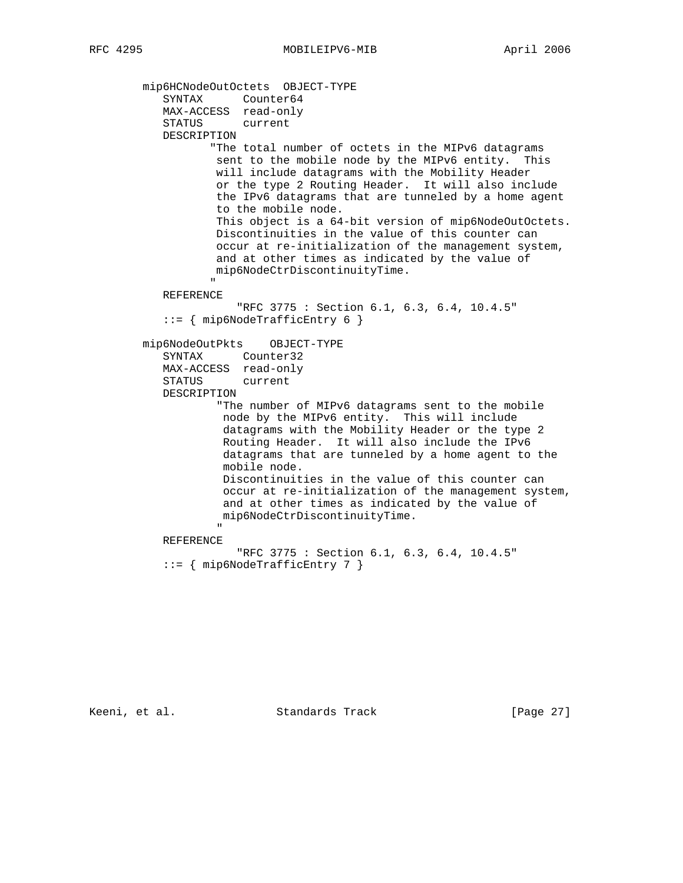mip6HCNodeOutOctets OBJECT-TYPE SYNTAX Counter64 MAX-ACCESS read-only STATUS current DESCRIPTION "The total number of octets in the MIPv6 datagrams sent to the mobile node by the MIPv6 entity. This will include datagrams with the Mobility Header or the type 2 Routing Header. It will also include the IPv6 datagrams that are tunneled by a home agent to the mobile node. This object is a 64-bit version of mip6NodeOutOctets. Discontinuities in the value of this counter can occur at re-initialization of the management system, and at other times as indicated by the value of mip6NodeCtrDiscontinuityTime. " "The contract of the contract of the contract of the contract of the contract of the contract of the contract of the contract of the contract of the contract of the contract of the contract of the contract of the contrac REFERENCE "RFC 3775 : Section 6.1, 6.3, 6.4, 10.4.5" ::= { mip6NodeTrafficEntry 6 } mip6NodeOutPkts OBJECT-TYPE SYNTAX Counter32 MAX-ACCESS read-only STATUS current DESCRIPTION "The number of MIPv6 datagrams sent to the mobile node by the MIPv6 entity. This will include datagrams with the Mobility Header or the type 2 Routing Header. It will also include the IPv6 datagrams that are tunneled by a home agent to the mobile node. Discontinuities in the value of this counter can occur at re-initialization of the management system, and at other times as indicated by the value of mip6NodeCtrDiscontinuityTime. " "The contract of the contract of the contract of the contract of the contract of the contract of the contract of the contract of the contract of the contract of the contract of the contract of the contract of the contrac REFERENCE "RFC 3775 : Section 6.1, 6.3, 6.4, 10.4.5" ::= { mip6NodeTrafficEntry 7 }

Keeni, et al. Standards Track [Page 27]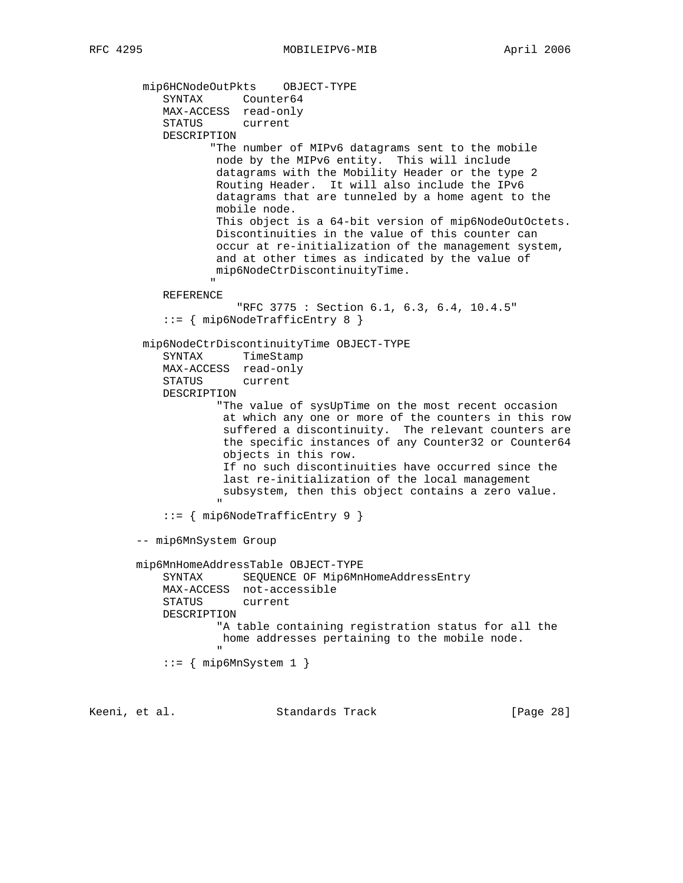mip6HCNodeOutPkts OBJECT-TYPE SYNTAX Counter64 MAX-ACCESS read-only STATUS current DESCRIPTION "The number of MIPv6 datagrams sent to the mobile node by the MIPv6 entity. This will include datagrams with the Mobility Header or the type 2 Routing Header. It will also include the IPv6 datagrams that are tunneled by a home agent to the mobile node. This object is a 64-bit version of mip6NodeOutOctets. Discontinuities in the value of this counter can occur at re-initialization of the management system, and at other times as indicated by the value of mip6NodeCtrDiscontinuityTime. " "The contract of the contract of the contract of the contract of the contract of the contract of the contract of the contract of the contract of the contract of the contract of the contract of the contract of the contrac REFERENCE "RFC 3775 : Section 6.1, 6.3, 6.4, 10.4.5" ::= { mip6NodeTrafficEntry 8 } mip6NodeCtrDiscontinuityTime OBJECT-TYPE SYNTAX TimeStamp MAX-ACCESS read-only STATUS current DESCRIPTION "The value of sysUpTime on the most recent occasion at which any one or more of the counters in this row suffered a discontinuity. The relevant counters are the specific instances of any Counter32 or Counter64 objects in this row. If no such discontinuities have occurred since the last re-initialization of the local management subsystem, then this object contains a zero value. " "The contract of the contract of the contract of the contract of the contract of the contract of the contract of the contract of the contract of the contract of the contract of the contract of the contract of the contrac ::= { mip6NodeTrafficEntry 9 } -- mip6MnSystem Group mip6MnHomeAddressTable OBJECT-TYPE SYNTAX SEQUENCE OF Mip6MnHomeAddressEntry MAX-ACCESS not-accessible STATUS current DESCRIPTION "A table containing registration status for all the home addresses pertaining to the mobile node. " "The contract of the contract of the contract of the contract of the contract of the contract of the contract of the contract of the contract of the contract of the contract of the contract of the contract of the contrac  $::=$  { mip6MnSystem 1 }

Keeni, et al. Standards Track [Page 28]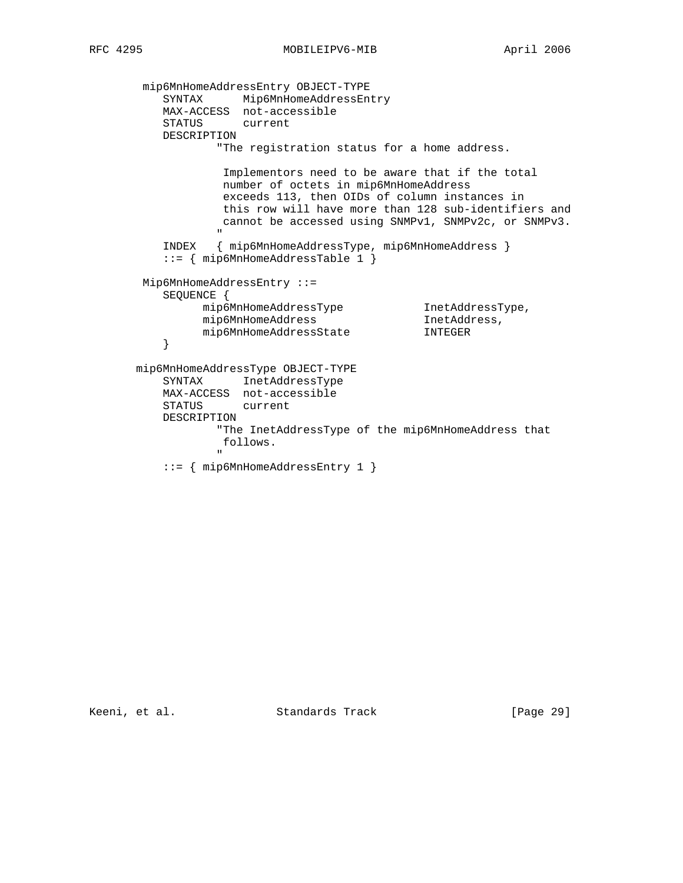mip6MnHomeAddressEntry OBJECT-TYPE SYNTAX Mip6MnHomeAddressEntry MAX-ACCESS not-accessible STATUS current DESCRIPTION "The registration status for a home address. Implementors need to be aware that if the total number of octets in mip6MnHomeAddress exceeds 113, then OIDs of column instances in this row will have more than 128 sub-identifiers and cannot be accessed using SNMPv1, SNMPv2c, or SNMPv3. " "The contract of the contract of the contract of the contract of the contract of the contract of the contract of the contract of the contract of the contract of the contract of the contract of the contract of the contrac INDEX { mip6MnHomeAddressType, mip6MnHomeAddress } ::= { mip6MnHomeAddressTable 1 } Mip6MnHomeAddressEntry ::= SEQUENCE { mip6MnHomeAddressType InetAddressType, mip6MnHomeAddress InetAddress, mip6MnHomeAddressState INTEGER } mip6MnHomeAddressType OBJECT-TYPE SYNTAX InetAddressType MAX-ACCESS not-accessible STATUS current DESCRIPTION "The InetAddressType of the mip6MnHomeAddress that follows. " "The contract of the contract of the contract of the contract of the contract of the contract of the contract of the contract of the contract of the contract of the contract of the contract of the contract of the contrac ::= { mip6MnHomeAddressEntry 1 }

Keeni, et al. Standards Track [Page 29]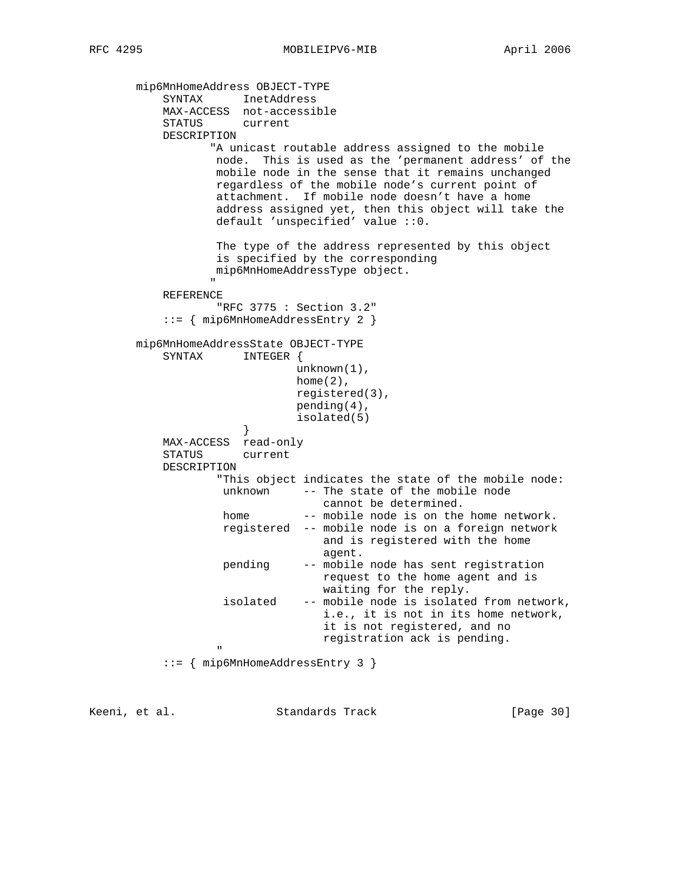```
 mip6MnHomeAddress OBJECT-TYPE
              SYNTAX InetAddress
              MAX-ACCESS not-accessible
              STATUS current
              DESCRIPTION
                        "A unicast routable address assigned to the mobile
                        node. This is used as the 'permanent address' of the
                        mobile node in the sense that it remains unchanged
                        regardless of the mobile node's current point of
                        attachment. If mobile node doesn't have a home
                        address assigned yet, then this object will take the
                        default 'unspecified' value ::0.
                         The type of the address represented by this object
                        is specified by the corresponding
                        mip6MnHomeAddressType object.
" "The contract of the contract of the contract of the contract of the contract of the contract of the contract of the contract of the contract of the contract of the contract of the contract of the contract of the contrac
              REFERENCE
                         "RFC 3775 : Section 3.2"
               ::= { mip6MnHomeAddressEntry 2 }
         mip6MnHomeAddressState OBJECT-TYPE
              SYNTAX INTEGER {
                                        unknown(1),
                                       home(2),
                                        registered(3),
                                        pending(4),
                                        isolated(5)
 }
              MAX-ACCESS read-only
              STATUS current
              DESCRIPTION
                         "This object indicates the state of the mobile node:
                         unknown -- The state of the mobile node
                                            cannot be determined.
                        home -- mobile node is on the home network.
                          registered -- mobile node is on a foreign network
                                             and is registered with the home
                                             agent.
                          pending -- mobile node has sent registration
                                            request to the home agent and is
                                            waiting for the reply.
                          isolated -- mobile node is isolated from network,
                                             i.e., it is not in its home network,
                                             it is not registered, and no
                                             registration ack is pending.
" "The contract of the contract of the contract of the contract of the contract of the contract of the contract of the contract of the contract of the contract of the contract of the contract of the contract of the contrac
               ::= { mip6MnHomeAddressEntry 3 }
```
Keeni, et al. Standards Track [Page 30]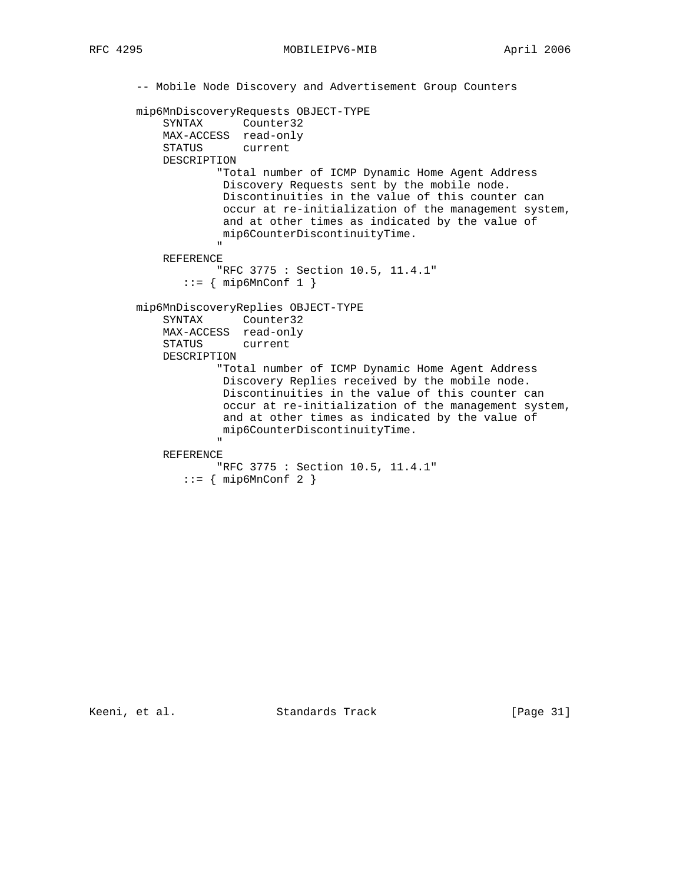RFC 4295 MOBILEIPV6-MIB April 2006

```
 -- Mobile Node Discovery and Advertisement Group Counters
         mip6MnDiscoveryRequests OBJECT-TYPE
             SYNTAX Counter32
             MAX-ACCESS read-only
             STATUS current
             DESCRIPTION
                       "Total number of ICMP Dynamic Home Agent Address
                       Discovery Requests sent by the mobile node.
                       Discontinuities in the value of this counter can
                        occur at re-initialization of the management system,
                        and at other times as indicated by the value of
                       mip6CounterDiscontinuityTime.
" "The contract of the contract of the contract of the contract of the contract of the contract of the contract of the contract of the contract of the contract of the contract of the contract of the contract of the contrac
             REFERENCE
                       "RFC 3775 : Section 10.5, 11.4.1"
                 ::= { mip6MnConf 1 }
         mip6MnDiscoveryReplies OBJECT-TYPE
             SYNTAX Counter32
             MAX-ACCESS read-only
             STATUS current
             DESCRIPTION
                       "Total number of ICMP Dynamic Home Agent Address
                        Discovery Replies received by the mobile node.
                        Discontinuities in the value of this counter can
                        occur at re-initialization of the management system,
                        and at other times as indicated by the value of
                       mip6CounterDiscontinuityTime.
 "
             REFERENCE
                      "RFC 3775 : Section 10.5, 11.4.1"
                ::= { mip6MnConf 2 }
```
Keeni, et al. Standards Track [Page 31]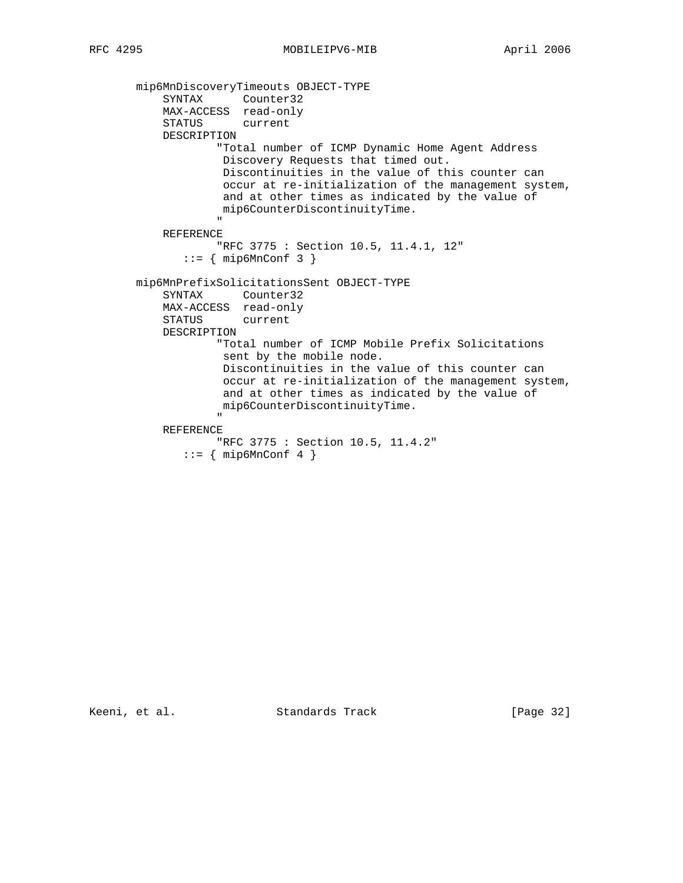mip6MnDiscoveryTimeouts OBJECT-TYPE SYNTAX Counter32 MAX-ACCESS read-only STATUS current DESCRIPTION "Total number of ICMP Dynamic Home Agent Address Discovery Requests that timed out. Discontinuities in the value of this counter can occur at re-initialization of the management system, and at other times as indicated by the value of mip6CounterDiscontinuityTime. " REFERENCE "RFC 3775 : Section 10.5, 11.4.1, 12"  $::=$  { mip6MnConf 3 } mip6MnPrefixSolicitationsSent OBJECT-TYPE SYNTAX Counter32 MAX-ACCESS read-only STATUS current DESCRIPTION "Total number of ICMP Mobile Prefix Solicitations sent by the mobile node. Discontinuities in the value of this counter can occur at re-initialization of the management system, and at other times as indicated by the value of mip6CounterDiscontinuityTime. " "The contract of the contract of the contract of the contract of the contract of the contract of the contract of the contract of the contract of the contract of the contract of the contract of the contract of the contrac REFERENCE "RFC 3775 : Section 10.5, 11.4.2" ::= { mip6MnConf 4 }

Keeni, et al. Standards Track [Page 32]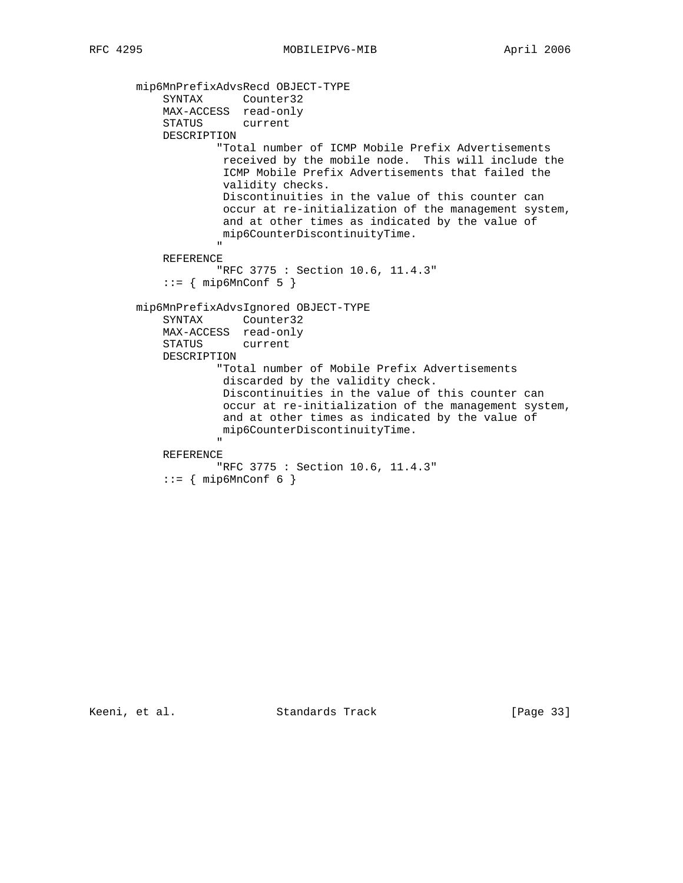```
 mip6MnPrefixAdvsRecd OBJECT-TYPE
SYNTAX Counter32
 MAX-ACCESS read-only
             STATUS current
             DESCRIPTION
                       "Total number of ICMP Mobile Prefix Advertisements
                       received by the mobile node. This will include the
                       ICMP Mobile Prefix Advertisements that failed the
                       validity checks.
                       Discontinuities in the value of this counter can
                       occur at re-initialization of the management system,
                       and at other times as indicated by the value of
                       mip6CounterDiscontinuityTime.
" "The contract of the contract of the contract of the contract of the contract of the contract of the contract of the contract of the contract of the contract of the contract of the contract of the contract of the contrac
             REFERENCE
                       "RFC 3775 : Section 10.6, 11.4.3"
            ::= \{ mip6MnConf 5 \} mip6MnPrefixAdvsIgnored OBJECT-TYPE
             SYNTAX Counter32
             MAX-ACCESS read-only
             STATUS current
             DESCRIPTION
                       "Total number of Mobile Prefix Advertisements
                       discarded by the validity check.
                       Discontinuities in the value of this counter can
                       occur at re-initialization of the management system,
                       and at other times as indicated by the value of
                       mip6CounterDiscontinuityTime.
 "
             REFERENCE
                      "RFC 3775 : Section 10.6, 11.4.3"
            ::= { mip6MnConf 6 }
```
Keeni, et al. Standards Track [Page 33]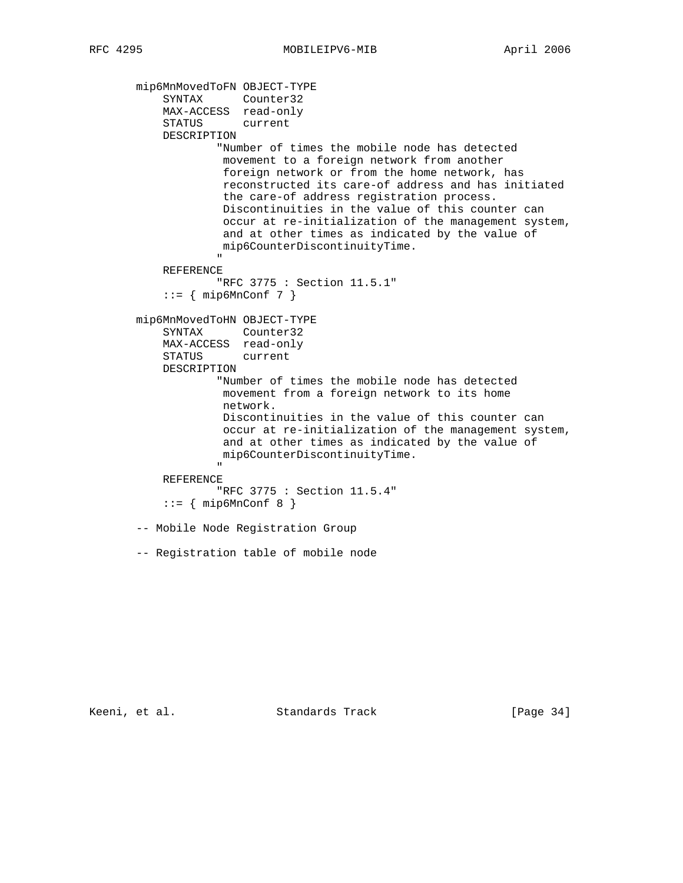```
 mip6MnMovedToFN OBJECT-TYPE
SYNTAX Counter32
 MAX-ACCESS read-only
             STATUS current
             DESCRIPTION
                      "Number of times the mobile node has detected
                       movement to a foreign network from another
                       foreign network or from the home network, has
                       reconstructed its care-of address and has initiated
                       the care-of address registration process.
                       Discontinuities in the value of this counter can
                       occur at re-initialization of the management system,
                       and at other times as indicated by the value of
                       mip6CounterDiscontinuityTime.
 "
             REFERENCE
                      "RFC 3775 : Section 11.5.1"
            ::= { mip6MnConf 7 }
        mip6MnMovedToHN OBJECT-TYPE
             SYNTAX Counter32
             MAX-ACCESS read-only
             STATUS current
             DESCRIPTION
                      "Number of times the mobile node has detected
                       movement from a foreign network to its home
                       network.
                       Discontinuities in the value of this counter can
                       occur at re-initialization of the management system,
                       and at other times as indicated by the value of
                       mip6CounterDiscontinuityTime.
" "The contract of the contract of the contract of the contract of the contract of the contract of the contract of the contract of the contract of the contract of the contract of the contract of the contract of the contrac
             REFERENCE
                      "RFC 3775 : Section 11.5.4"
            ::= { mip6MnConf 8 }
         -- Mobile Node Registration Group
        -- Registration table of mobile node
```
Keeni, et al. Standards Track [Page 34]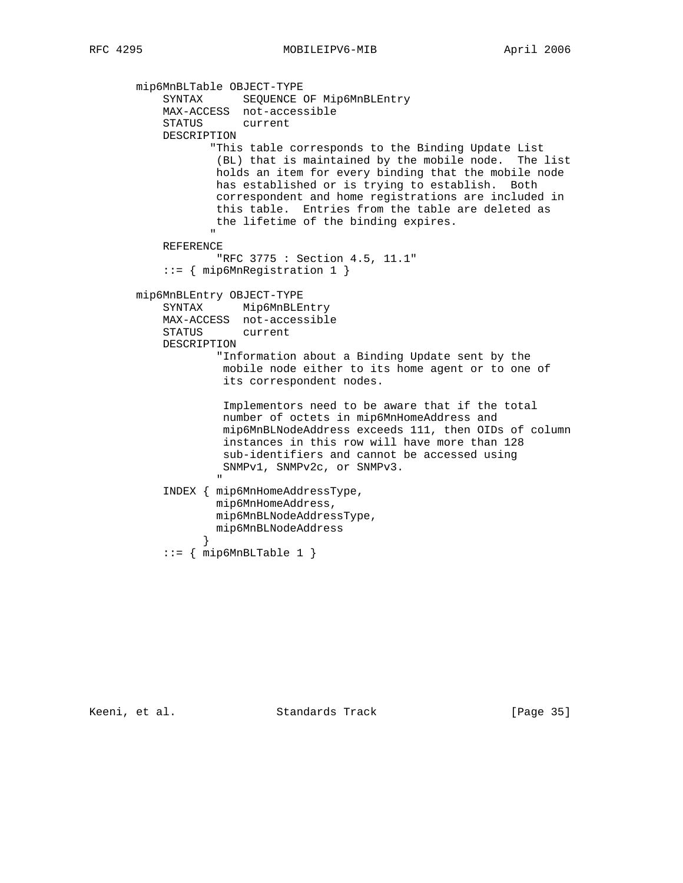```
 mip6MnBLTable OBJECT-TYPE
 SYNTAX SEQUENCE OF Mip6MnBLEntry
 MAX-ACCESS not-accessible
             STATUS current
             DESCRIPTION
                     "This table corresponds to the Binding Update List
                      (BL) that is maintained by the mobile node. The list
                      holds an item for every binding that the mobile node
                     has established or is trying to establish. Both
                      correspondent and home registrations are included in
                      this table. Entries from the table are deleted as
                     the lifetime of the binding expires.
" "The contract of the contract of the contract of the contract of the contract of the contract of the contract of the contract of the contract of the contract of the contract of the contract of the contract of the contrac
             REFERENCE
                      "RFC 3775 : Section 4.5, 11.1"
             ::= { mip6MnRegistration 1 }
        mip6MnBLEntry OBJECT-TYPE
             SYNTAX Mip6MnBLEntry
             MAX-ACCESS not-accessible
             STATUS current
             DESCRIPTION
                      "Information about a Binding Update sent by the
                      mobile node either to its home agent or to one of
                       its correspondent nodes.
                       Implementors need to be aware that if the total
                       number of octets in mip6MnHomeAddress and
                       mip6MnBLNodeAddress exceeds 111, then OIDs of column
                       instances in this row will have more than 128
                      sub-identifiers and cannot be accessed using
                      SNMPv1, SNMPv2c, or SNMPv3.
 "
             INDEX { mip6MnHomeAddressType,
                     mip6MnHomeAddress,
                      mip6MnBLNodeAddressType,
                     mip6MnBLNodeAddress
 }
            ::= { mip6MnBLTable 1 }
```
Keeni, et al. Standards Track [Page 35]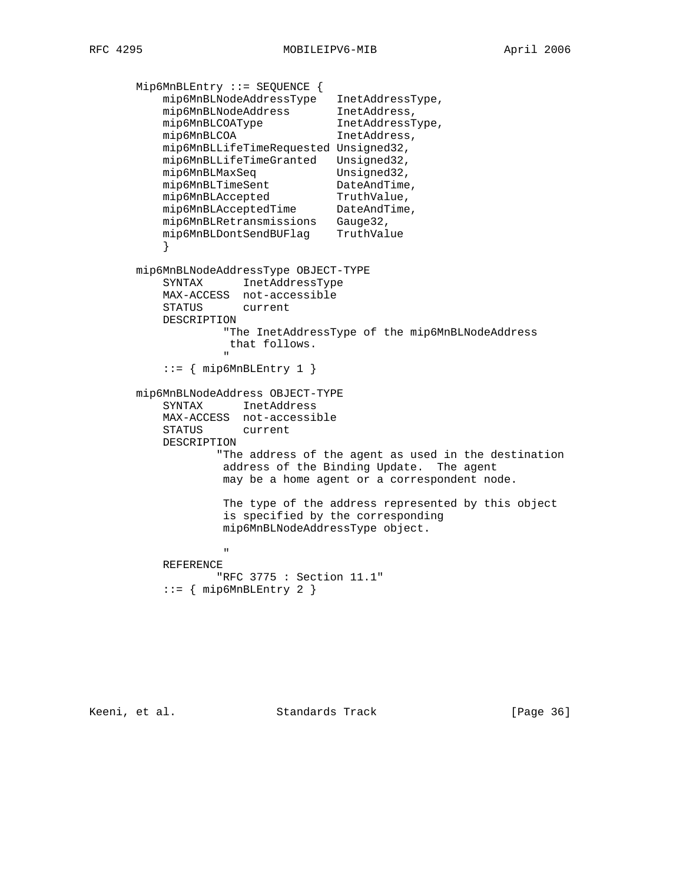Mip6MnBLEntry ::= SEQUENCE { mip6MnBLNodeAddressType InetAddressType, mip6MnBLNodeAddress InetAddress, mip6MnBLCOAType **InetAddressType**, mip6MnBLCOA InetAddress, mip6MnBLLifeTimeRequested Unsigned32, mip6MnBLLifeTimeGranted Unsigned32, mip6MnBLMaxSeq Unsigned32, mip6MnBLTimeSent DateAndTime, mip6MnBLAccepted TruthValue, mip6MnBLAcceptedTime DateAndTime, mip6MnBLRetransmissions Gauge32, mip6MnBLDontSendBUFlag TruthValue } mip6MnBLNodeAddressType OBJECT-TYPE SYNTAX InetAddressType MAX-ACCESS not-accessible STATUS current DESCRIPTION "The InetAddressType of the mip6MnBLNodeAddress that follows.<br>" " ::= { mip6MnBLEntry 1 } mip6MnBLNodeAddress OBJECT-TYPE SYNTAX InetAddress MAX-ACCESS not-accessible STATUS current DESCRIPTION "The address of the agent as used in the destination address of the Binding Update. The agent may be a home agent or a correspondent node. The type of the address represented by this object is specified by the corresponding mip6MnBLNodeAddressType object. " REFERENCE "RFC 3775 : Section 11.1"  $::=$  { mip6MnBLEntry 2 }

Keeni, et al. Standards Track [Page 36]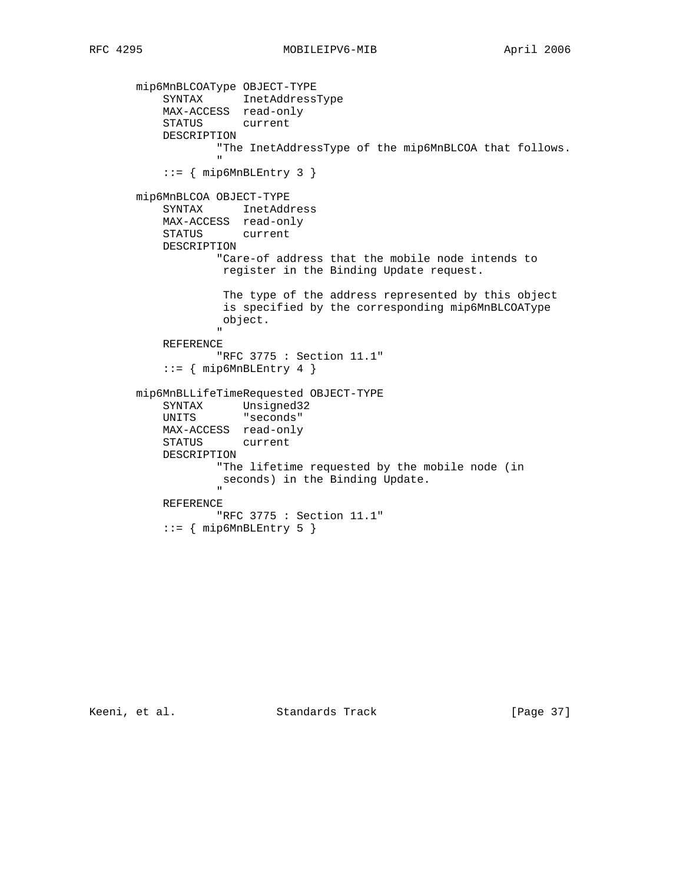mip6MnBLCOAType OBJECT-TYPE SYNTAX InetAddressType MAX-ACCESS read-only STATUS current DESCRIPTION "The InetAddressType of the mip6MnBLCOA that follows. " "The contract of the contract of the contract of the contract of the contract of the contract of the contract of the contract of the contract of the contract of the contract of the contract of the contract of the contrac  $::=$  { mip6MnBLEntry 3 } mip6MnBLCOA OBJECT-TYPE SYNTAX InetAddress MAX-ACCESS read-only STATUS current DESCRIPTION "Care-of address that the mobile node intends to register in the Binding Update request. The type of the address represented by this object is specified by the corresponding mip6MnBLCOAType object. " REFERENCE "RFC 3775 : Section 11.1" ::= { mip6MnBLEntry 4 } mip6MnBLLifeTimeRequested OBJECT-TYPE SYNTAX Unsigned32 UNITS "seconds" MAX-ACCESS read-only STATUS current DESCRIPTION "The lifetime requested by the mobile node (in seconds) in the Binding Update. " "The contract of the contract of the contract of the contract of the contract of the contract of the contract of the contract of the contract of the contract of the contract of the contract of the contract of the contrac REFERENCE "RFC 3775 : Section 11.1"  $::=$  { mip6MnBLEntry 5 }

Keeni, et al. Standards Track [Page 37]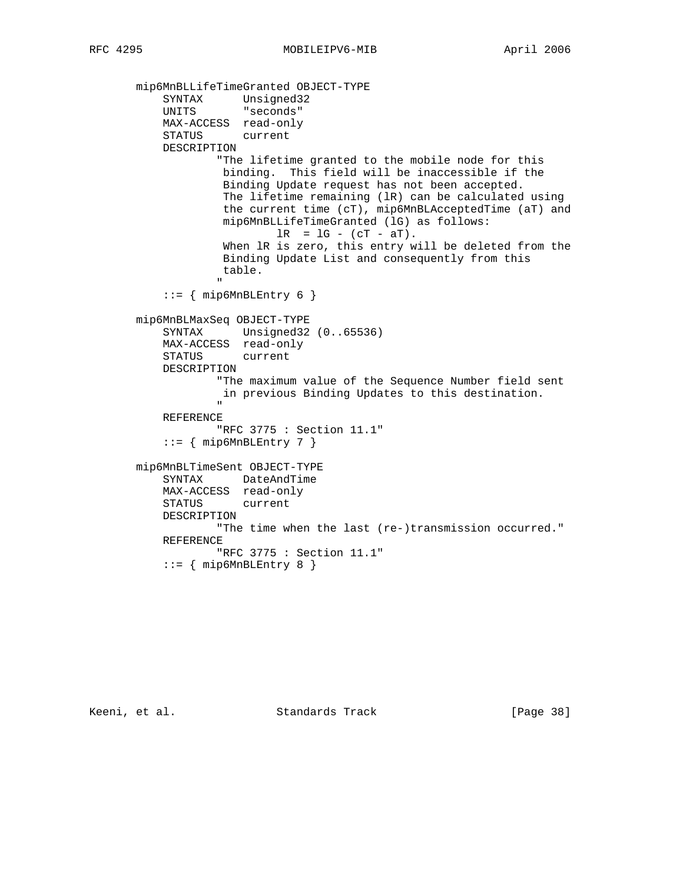```
 mip6MnBLLifeTimeGranted OBJECT-TYPE
 SYNTAX Unsigned32
 UNITS "seconds"
             MAX-ACCESS read-only
             STATUS current
             DESCRIPTION
                      "The lifetime granted to the mobile node for this
                       binding. This field will be inaccessible if the
                       Binding Update request has not been accepted.
                       The lifetime remaining (lR) can be calculated using
                       the current time (cT), mip6MnBLAcceptedTime (aT) and
                       mip6MnBLLifeTimeGranted (lG) as follows:
                               lR = lG - (cT - aT). When lR is zero, this entry will be deleted from the
                       Binding Update List and consequently from this
                       table.
" "The contract of the contract of the contract of the contract of the contract of the contract of the contract of the contract of the contract of the contract of the contract of the contract of the contract of the contrac
            ::= { mip6MnBLEntry 6 }
        mip6MnBLMaxSeq OBJECT-TYPE
             SYNTAX Unsigned32 (0..65536)
             MAX-ACCESS read-only
             STATUS current
             DESCRIPTION
                      "The maximum value of the Sequence Number field sent
                       in previous Binding Updates to this destination.
 "
             REFERENCE
                      "RFC 3775 : Section 11.1"
            ::= { mip6MnBLEntry 7 }
        mip6MnBLTimeSent OBJECT-TYPE
             SYNTAX DateAndTime
             MAX-ACCESS read-only
             STATUS current
             DESCRIPTION
                     "The time when the last (re-)transmission occurred."
             REFERENCE
                     "RFC 3775 : Section 11.1"
            ::= { mip6MnBLEntry 8 }
```
Keeni, et al. Standards Track [Page 38]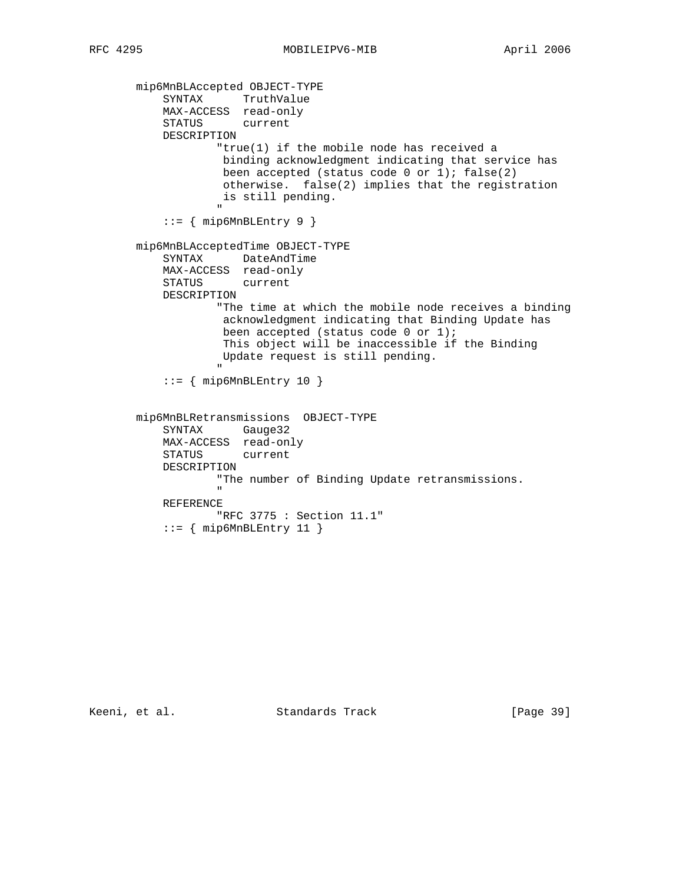mip6MnBLAccepted OBJECT-TYPE SYNTAX TruthValue MAX-ACCESS read-only STATUS current DESCRIPTION "true(1) if the mobile node has received a binding acknowledgment indicating that service has been accepted (status code 0 or 1);  $false(2)$  otherwise. false(2) implies that the registration is still pending. " "The contract of the contract of the contract of the contract of the contract of the contract of the contract of the contract of the contract of the contract of the contract of the contract of the contract of the contrac ::= { mip6MnBLEntry 9 } mip6MnBLAcceptedTime OBJECT-TYPE SYNTAX DateAndTime MAX-ACCESS read-only STATUS current DESCRIPTION "The time at which the mobile node receives a binding acknowledgment indicating that Binding Update has been accepted (status code 0 or 1); This object will be inaccessible if the Binding Update request is still pending. " ::= { mip6MnBLEntry 10 } mip6MnBLRetransmissions OBJECT-TYPE SYNTAX Gauge32 MAX-ACCESS read-only STATUS current DESCRIPTION "The number of Binding Update retransmissions. " "The contract of the contract of the contract of the contract of the contract of the contract of the contract of the contract of the contract of the contract of the contract of the contract of the contract of the contrac REFERENCE "RFC 3775 : Section 11.1"  $::=$  { mip6MnBLEntry 11 }

Keeni, et al. Standards Track [Page 39]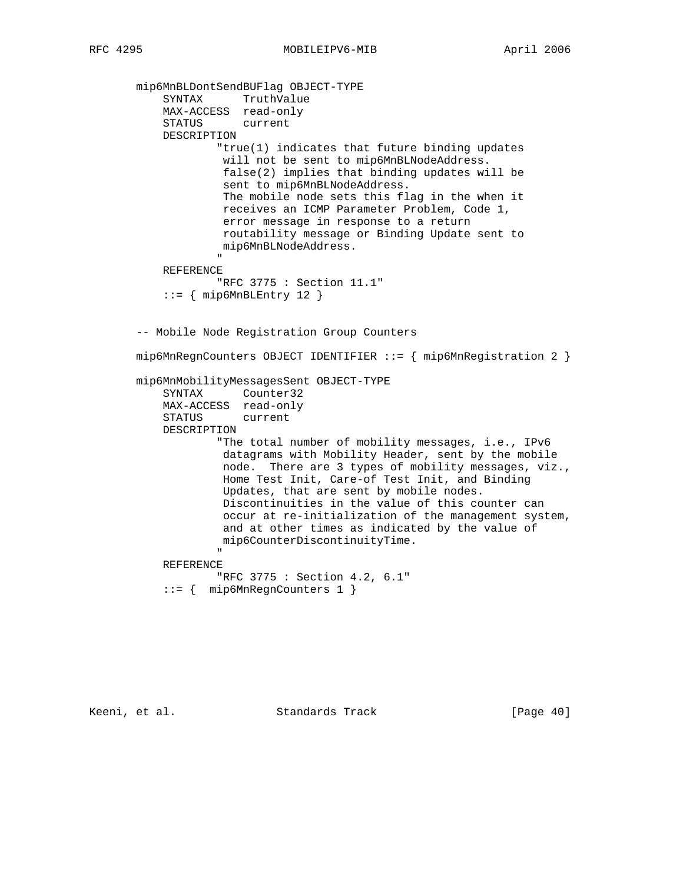mip6MnBLDontSendBUFlag OBJECT-TYPE SYNTAX TruthValue MAX-ACCESS read-only STATUS current DESCRIPTION "true(1) indicates that future binding updates will not be sent to mip6MnBLNodeAddress. false(2) implies that binding updates will be sent to mip6MnBLNodeAddress. The mobile node sets this flag in the when it receives an ICMP Parameter Problem, Code 1, error message in response to a return routability message or Binding Update sent to mip6MnBLNodeAddress. " REFERENCE "RFC 3775 : Section 11.1"  $::=$  { mip6MnBLEntry 12 } -- Mobile Node Registration Group Counters mip6MnRegnCounters OBJECT IDENTIFIER ::= { mip6MnRegistration 2 } mip6MnMobilityMessagesSent OBJECT-TYPE SYNTAX Counter32 MAX-ACCESS read-only STATUS current DESCRIPTION "The total number of mobility messages, i.e., IPv6 datagrams with Mobility Header, sent by the mobile node. There are 3 types of mobility messages, viz., Home Test Init, Care-of Test Init, and Binding Updates, that are sent by mobile nodes. Discontinuities in the value of this counter can occur at re-initialization of the management system, and at other times as indicated by the value of mip6CounterDiscontinuityTime. " REFERENCE "RFC 3775 : Section 4.2, 6.1"

```
 ::= { mip6MnRegnCounters 1 }
```
Keeni, et al. Standards Track [Page 40]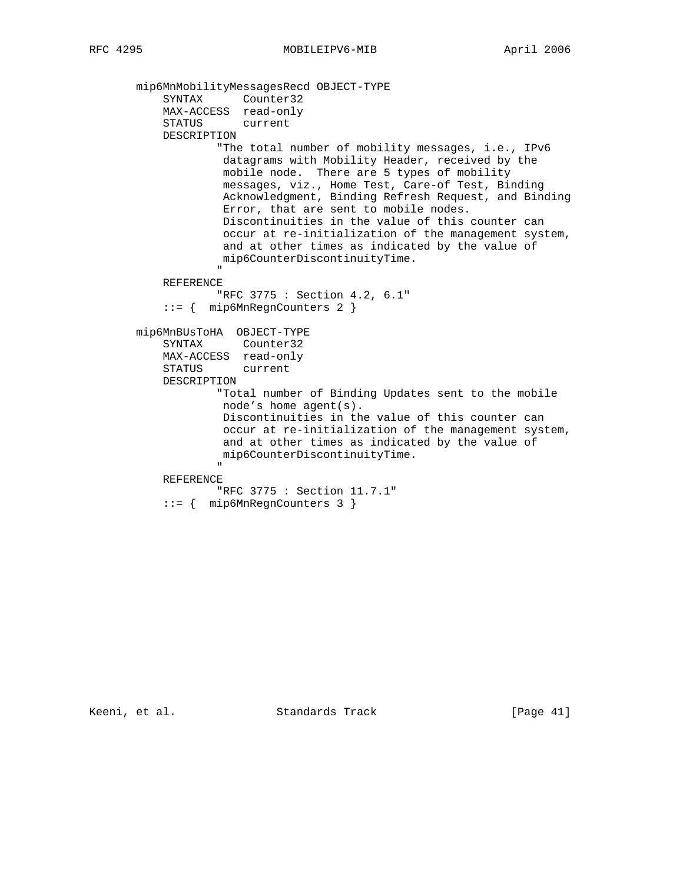mip6MnMobilityMessagesRecd OBJECT-TYPE SYNTAX Counter32 MAX-ACCESS read-only STATUS current DESCRIPTION "The total number of mobility messages, i.e., IPv6 datagrams with Mobility Header, received by the mobile node. There are 5 types of mobility messages, viz., Home Test, Care-of Test, Binding Acknowledgment, Binding Refresh Request, and Binding Error, that are sent to mobile nodes. Discontinuities in the value of this counter can occur at re-initialization of the management system, and at other times as indicated by the value of mip6CounterDiscontinuityTime. " "The contract of the contract of the contract of the contract of the contract of the contract of the contract of the contract of the contract of the contract of the contract of the contract of the contract of the contrac REFERENCE "RFC 3775 : Section 4.2, 6.1" ::= { mip6MnRegnCounters 2 } mip6MnBUsToHA OBJECT-TYPE SYNTAX Counter32 MAX-ACCESS read-only STATUS current DESCRIPTION "Total number of Binding Updates sent to the mobile node's home agent(s). Discontinuities in the value of this counter can occur at re-initialization of the management system, and at other times as indicated by the value of mip6CounterDiscontinuityTime. " "The contract of the contract of the contract of the contract of the contract of the contract of the contract of the contract of the contract of the contract of the contract of the contract of the contract of the contrac REFERENCE "RFC 3775 : Section 11.7.1" ::= { mip6MnRegnCounters 3 }

Keeni, et al. Standards Track [Page 41]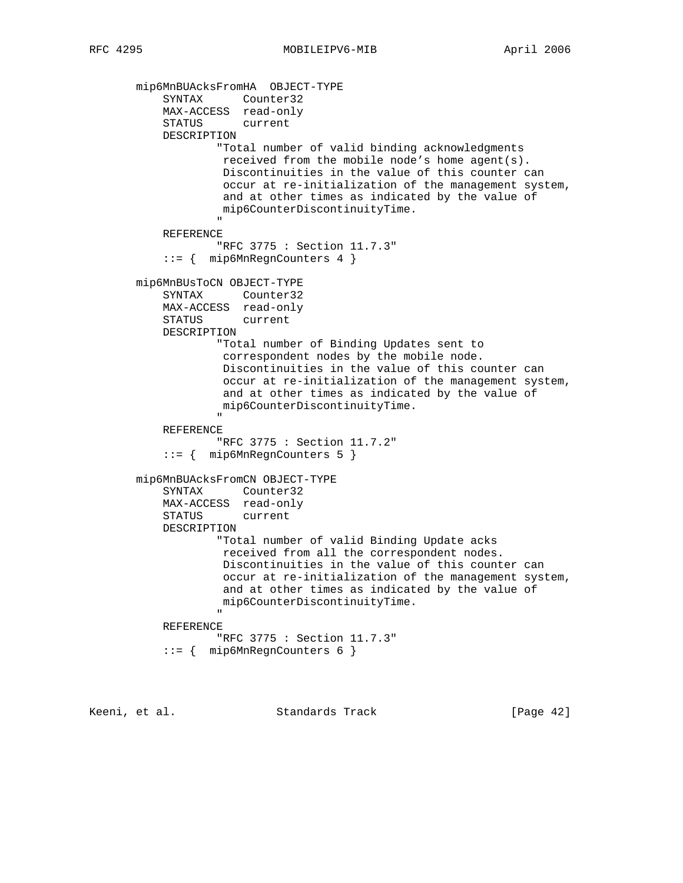mip6MnBUAcksFromHA OBJECT-TYPE SYNTAX Counter32 MAX-ACCESS read-only STATUS current DESCRIPTION "Total number of valid binding acknowledgments received from the mobile node's home agent(s). Discontinuities in the value of this counter can occur at re-initialization of the management system, and at other times as indicated by the value of mip6CounterDiscontinuityTime. " REFERENCE "RFC 3775 : Section 11.7.3" ::= { mip6MnRegnCounters 4 } mip6MnBUsToCN OBJECT-TYPE SYNTAX Counter32 MAX-ACCESS read-only STATUS current DESCRIPTION "Total number of Binding Updates sent to correspondent nodes by the mobile node. Discontinuities in the value of this counter can occur at re-initialization of the management system, and at other times as indicated by the value of mip6CounterDiscontinuityTime. " "The contract of the contract of the contract of the contract of the contract of the contract of the contract of the contract of the contract of the contract of the contract of the contract of the contract of the contrac REFERENCE "RFC 3775 : Section 11.7.2" ::= { mip6MnRegnCounters 5 } mip6MnBUAcksFromCN OBJECT-TYPE SYNTAX Counter32 MAX-ACCESS read-only STATUS current DESCRIPTION "Total number of valid Binding Update acks received from all the correspondent nodes. Discontinuities in the value of this counter can occur at re-initialization of the management system, and at other times as indicated by the value of mip6CounterDiscontinuityTime. " "The contract of the contract of the contract of the contract of the contract of the contract of the contract of the contract of the contract of the contract of the contract of the contract of the contract of the contrac REFERENCE "RFC 3775 : Section 11.7.3" ::= { mip6MnRegnCounters 6 }

Keeni, et al. Standards Track [Page 42]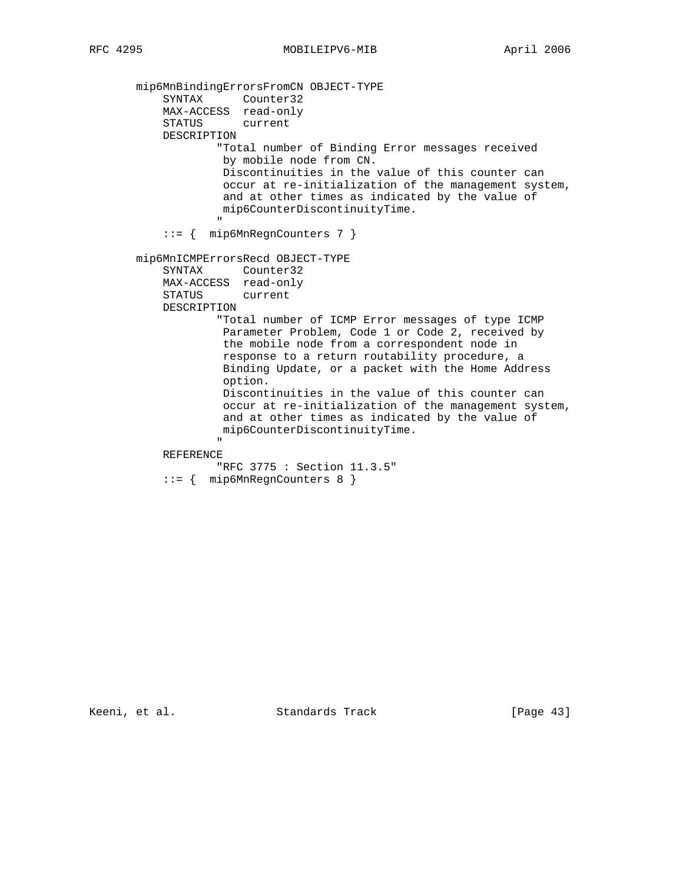mip6MnBindingErrorsFromCN OBJECT-TYPE SYNTAX Counter32 MAX-ACCESS read-only STATUS current DESCRIPTION "Total number of Binding Error messages received by mobile node from CN. Discontinuities in the value of this counter can occur at re-initialization of the management system, and at other times as indicated by the value of mip6CounterDiscontinuityTime. " ::= { mip6MnRegnCounters 7 } mip6MnICMPErrorsRecd OBJECT-TYPE SYNTAX Counter32 MAX-ACCESS read-only STATUS current DESCRIPTION "Total number of ICMP Error messages of type ICMP Parameter Problem, Code 1 or Code 2, received by the mobile node from a correspondent node in response to a return routability procedure, a Binding Update, or a packet with the Home Address option. Discontinuities in the value of this counter can occur at re-initialization of the management system, and at other times as indicated by the value of mip6CounterDiscontinuityTime. " REFERENCE "RFC 3775 : Section 11.3.5"

::= { mip6MnRegnCounters 8 }

Keeni, et al. Standards Track [Page 43]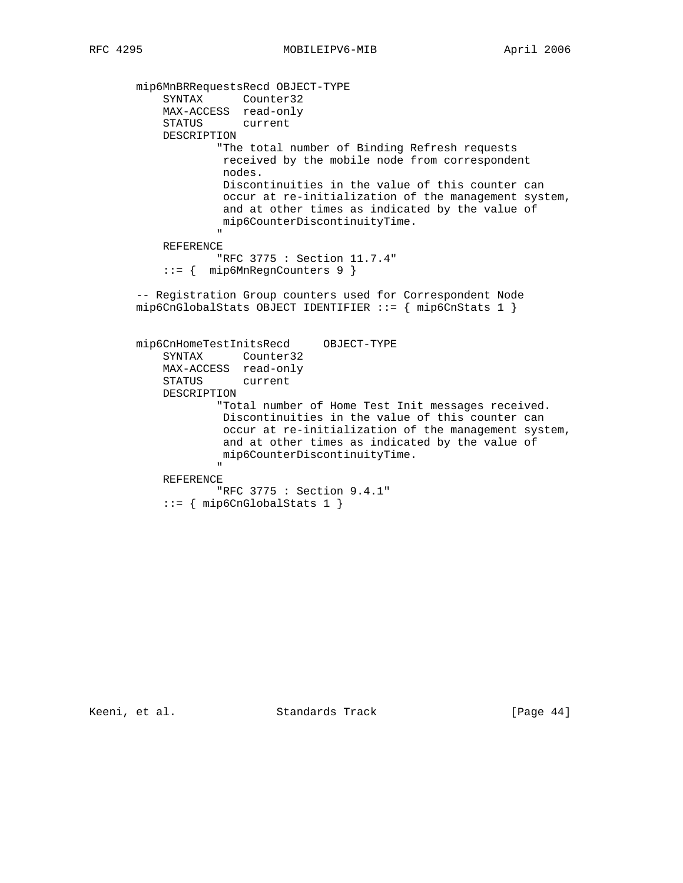mip6MnBRRequestsRecd OBJECT-TYPE SYNTAX Counter32 MAX-ACCESS read-only STATUS current DESCRIPTION "The total number of Binding Refresh requests received by the mobile node from correspondent nodes. Discontinuities in the value of this counter can occur at re-initialization of the management system, and at other times as indicated by the value of mip6CounterDiscontinuityTime. " "The contract of the contract of the contract of the contract of the contract of the contract of the contract of the contract of the contract of the contract of the contract of the contract of the contract of the contrac REFERENCE "RFC 3775 : Section 11.7.4" ::= { mip6MnRegnCounters 9 } -- Registration Group counters used for Correspondent Node mip6CnGlobalStats OBJECT IDENTIFIER ::= { mip6CnStats 1 } mip6CnHomeTestInitsRecd OBJECT-TYPE SYNTAX Counter32 MAX-ACCESS read-only STATUS current DESCRIPTION "Total number of Home Test Init messages received. Discontinuities in the value of this counter can occur at re-initialization of the management system, and at other times as indicated by the value of mip6CounterDiscontinuityTime. " "The contract of the contract of the contract of the contract of the contract of the contract of the contract of the contract of the contract of the contract of the contract of the contract of the contract of the contrac REFERENCE "RFC 3775 : Section 9.4.1" ::= { mip6CnGlobalStats 1 }

Keeni, et al. Standards Track [Page 44]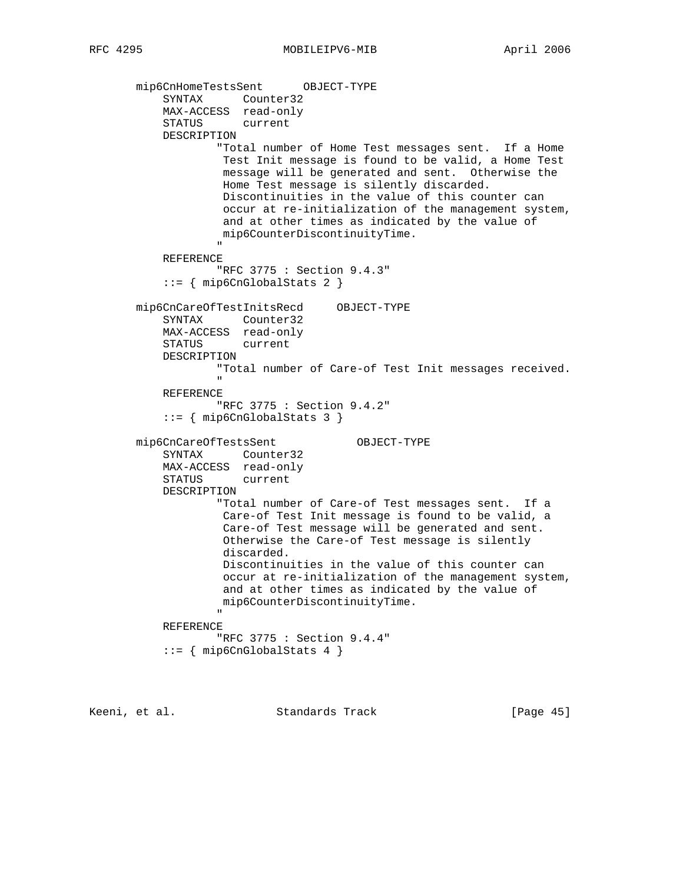```
 mip6CnHomeTestsSent OBJECT-TYPE
                SYNTAX Counter32
                MAX-ACCESS read-only
                STATUS current
                DESCRIPTION
                            "Total number of Home Test messages sent. If a Home
                            Test Init message is found to be valid, a Home Test
                            message will be generated and sent. Otherwise the
                            Home Test message is silently discarded.
                            Discontinuities in the value of this counter can
                            occur at re-initialization of the management system,
                            and at other times as indicated by the value of
                            mip6CounterDiscontinuityTime.
" "The contract of the contract of the contract of the contract of the contract of the contract of the contract of the contract of the contract of the contract of the contract of the contract of the contract of the contrac
                REFERENCE
                           "RFC 3775 : Section 9.4.3"
                ::= { mip6CnGlobalStats 2 }
          mip6CnCareOfTestInitsRecd OBJECT-TYPE
                SYNTAX Counter32
                MAX-ACCESS read-only
                STATUS current
                DESCRIPTION
                           "Total number of Care-of Test Init messages received.
" "The contract of the contract of the contract of the contract of the contract of the contract of the contract of the contract of the contract of the contract of the contract of the contract of the contract of the contrac
                REFERENCE
                           "RFC 3775 : Section 9.4.2"
                ::= { mip6CnGlobalStats 3 }
          mip6CnCareOfTestsSent OBJECT-TYPE
                SYNTAX Counter32
                MAX-ACCESS read-only
                STATUS current
                DESCRIPTION
                           "Total number of Care-of Test messages sent. If a
                            Care-of Test Init message is found to be valid, a
                            Care-of Test message will be generated and sent.
                            Otherwise the Care-of Test message is silently
                            discarded.
                            Discontinuities in the value of this counter can
                            occur at re-initialization of the management system,
                            and at other times as indicated by the value of
                            mip6CounterDiscontinuityTime.
" "The contract of the contract of the contract of the contract of the contract of the contract of the contract of the contract of the contract of the contract of the contract of the contract of the contract of the contrac
                REFERENCE
                           "RFC 3775 : Section 9.4.4"
               ::= { mip6CnGlobalStats 4 }
```

| [Page 45]<br>Keeni, et al.<br>Standards Track |  |
|-----------------------------------------------|--|
|-----------------------------------------------|--|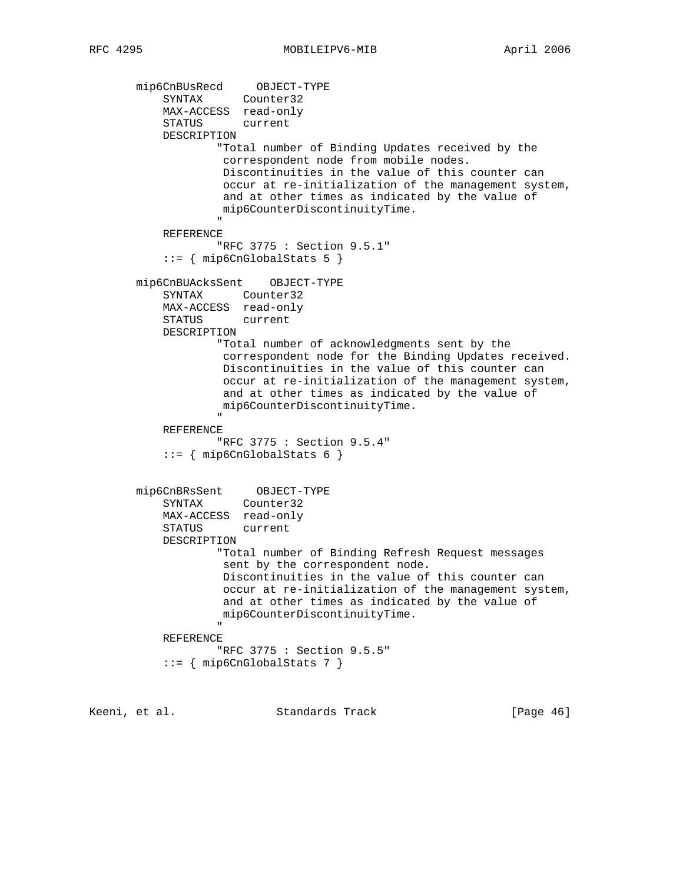mip6CnBUsRecd OBJECT-TYPE SYNTAX Counter32 MAX-ACCESS read-only STATUS current DESCRIPTION "Total number of Binding Updates received by the correspondent node from mobile nodes. Discontinuities in the value of this counter can occur at re-initialization of the management system, and at other times as indicated by the value of mip6CounterDiscontinuityTime. " REFERENCE "RFC 3775 : Section 9.5.1"  $::=$  { mip6CnGlobalStats 5 } mip6CnBUAcksSent OBJECT-TYPE SYNTAX Counter32 MAX-ACCESS read-only STATUS current DESCRIPTION "Total number of acknowledgments sent by the correspondent node for the Binding Updates received. Discontinuities in the value of this counter can occur at re-initialization of the management system, and at other times as indicated by the value of mip6CounterDiscontinuityTime. " "The contract of the contract of the contract of the contract of the contract of the contract of the contract of the contract of the contract of the contract of the contract of the contract of the contract of the contrac REFERENCE "RFC 3775 : Section 9.5.4"  $::=$  { mip6CnGlobalStats 6 } mip6CnBRsSent OBJECT-TYPE SYNTAX Counter32 MAX-ACCESS read-only STATUS current DESCRIPTION "Total number of Binding Refresh Request messages sent by the correspondent node. Discontinuities in the value of this counter can occur at re-initialization of the management system, and at other times as indicated by the value of mip6CounterDiscontinuityTime. " REFERENCE "RFC 3775 : Section 9.5.5" ::= { mip6CnGlobalStats 7 }

Keeni, et al. Standards Track [Page 46]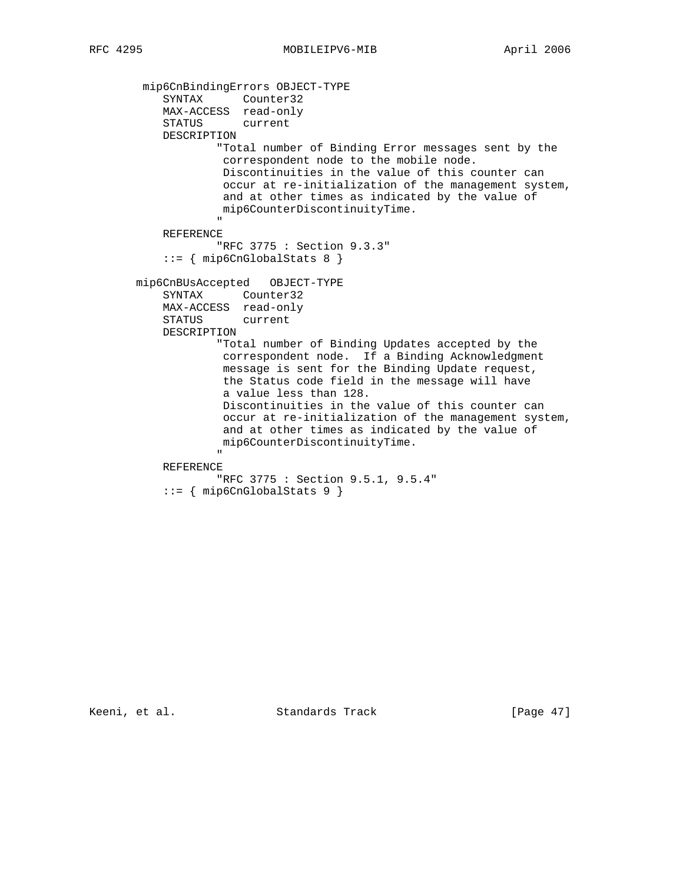mip6CnBindingErrors OBJECT-TYPE SYNTAX Counter32 MAX-ACCESS read-only STATUS current DESCRIPTION "Total number of Binding Error messages sent by the correspondent node to the mobile node. Discontinuities in the value of this counter can occur at re-initialization of the management system, and at other times as indicated by the value of mip6CounterDiscontinuityTime. " REFERENCE "RFC 3775 : Section 9.3.3" ::= { mip6CnGlobalStats 8 } mip6CnBUsAccepted OBJECT-TYPE SYNTAX Counter32 MAX-ACCESS read-only STATUS current DESCRIPTION "Total number of Binding Updates accepted by the correspondent node. If a Binding Acknowledgment message is sent for the Binding Update request, the Status code field in the message will have a value less than 128. Discontinuities in the value of this counter can occur at re-initialization of the management system, and at other times as indicated by the value of mip6CounterDiscontinuityTime. " "The contract of the contract of the contract of the contract of the contract of the contract of the contract of the contract of the contract of the contract of the contract of the contract of the contract of the contrac REFERENCE "RFC 3775 : Section 9.5.1, 9.5.4" ::= { mip6CnGlobalStats 9 }

Keeni, et al. Standards Track [Page 47]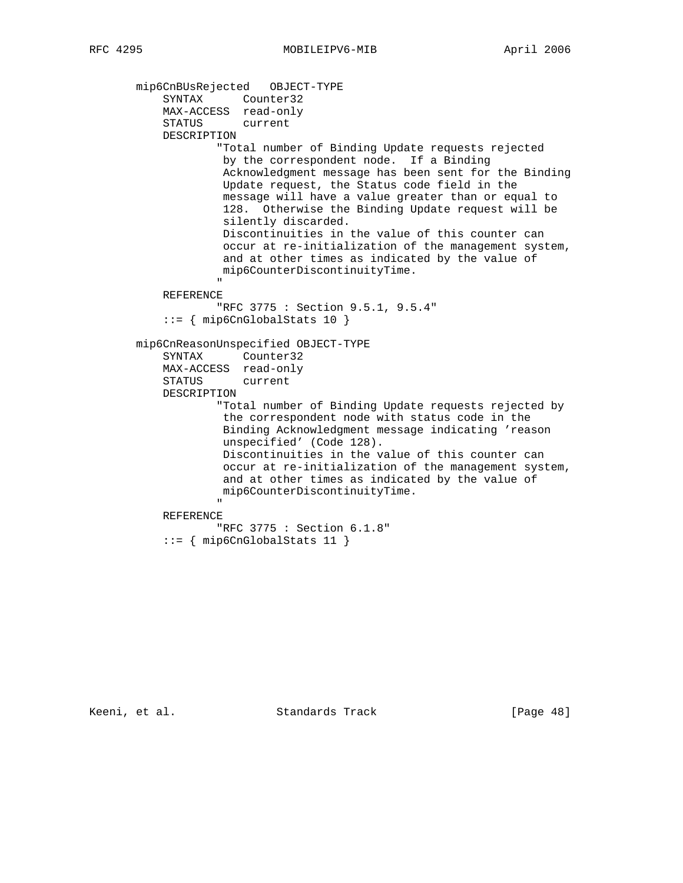```
 mip6CnBUsRejected OBJECT-TYPE
SYNTAX Counter32
 MAX-ACCESS read-only
               STATUS current
               DESCRIPTION
                          "Total number of Binding Update requests rejected
                          by the correspondent node. If a Binding
                          Acknowledgment message has been sent for the Binding
                          Update request, the Status code field in the
                          message will have a value greater than or equal to
                          128. Otherwise the Binding Update request will be
                          silently discarded.
                          Discontinuities in the value of this counter can
                          occur at re-initialization of the management system,
                          and at other times as indicated by the value of
                          mip6CounterDiscontinuityTime.
" "The contract of the contract of the contract of the contract of the contract of the contract of the contract of the contract of the contract of the contract of the contract of the contract of the contract of the contrac
               REFERENCE
                         "RFC 3775 : Section 9.5.1, 9.5.4"
               ::= { mip6CnGlobalStats 10 }
         mip6CnReasonUnspecified OBJECT-TYPE
               SYNTAX Counter32
               MAX-ACCESS read-only
               STATUS current
               DESCRIPTION
                          "Total number of Binding Update requests rejected by
                          the correspondent node with status code in the
                          Binding Acknowledgment message indicating 'reason
                          unspecified' (Code 128).
                          Discontinuities in the value of this counter can
                          occur at re-initialization of the management system,
                          and at other times as indicated by the value of
                          mip6CounterDiscontinuityTime.
" "The contract of the contract of the contract of the contract of the contract of the contract of the contract of the contract of the contract of the contract of the contract of the contract of the contract of the contrac
               REFERENCE
                         "RFC 3775 : Section 6.1.8"
               ::= { mip6CnGlobalStats 11 }
```
Keeni, et al. Standards Track [Page 48]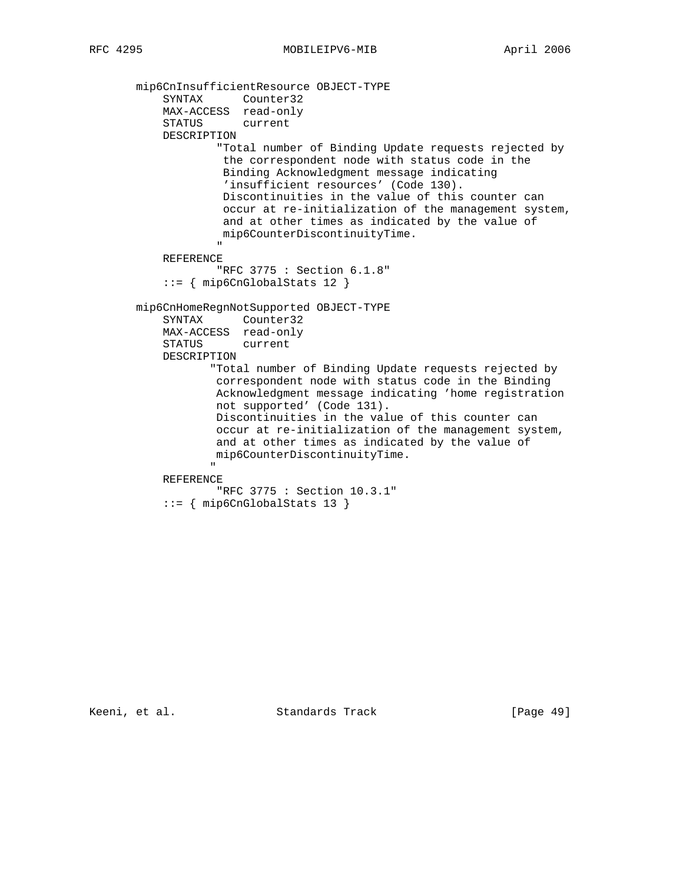```
 mip6CnInsufficientResource OBJECT-TYPE
SYNTAX Counter32
 MAX-ACCESS read-only
               STATUS current
               DESCRIPTION
                          "Total number of Binding Update requests rejected by
                           the correspondent node with status code in the
                           Binding Acknowledgment message indicating
                           'insufficient resources' (Code 130).
                           Discontinuities in the value of this counter can
                           occur at re-initialization of the management system,
                           and at other times as indicated by the value of
                          mip6CounterDiscontinuityTime.
" "The contract of the contract of the contract of the contract of the contract of the contract of the contract of the contract of the contract of the contract of the contract of the contract of the contract of the contrac
               REFERENCE
                          "RFC 3775 : Section 6.1.8"
               ::= { mip6CnGlobalStats 12 }
          mip6CnHomeRegnNotSupported OBJECT-TYPE
               SYNTAX Counter32
               MAX-ACCESS read-only
               STATUS current
               DESCRIPTION
                        "Total number of Binding Update requests rejected by
                          correspondent node with status code in the Binding
                          Acknowledgment message indicating 'home registration
                          not supported' (Code 131).
                          Discontinuities in the value of this counter can
                          occur at re-initialization of the management system,
                         and at other times as indicated by the value of
                         mip6CounterDiscontinuityTime.
" "The contract of the contract of the contract of the contract of the contract of the contract of the contract of the contract of the contract of the contract of the contract of the contract of the contract of the contrac
               REFERENCE
                          "RFC 3775 : Section 10.3.1"
               ::= { mip6CnGlobalStats 13 }
```
Keeni, et al. Standards Track [Page 49]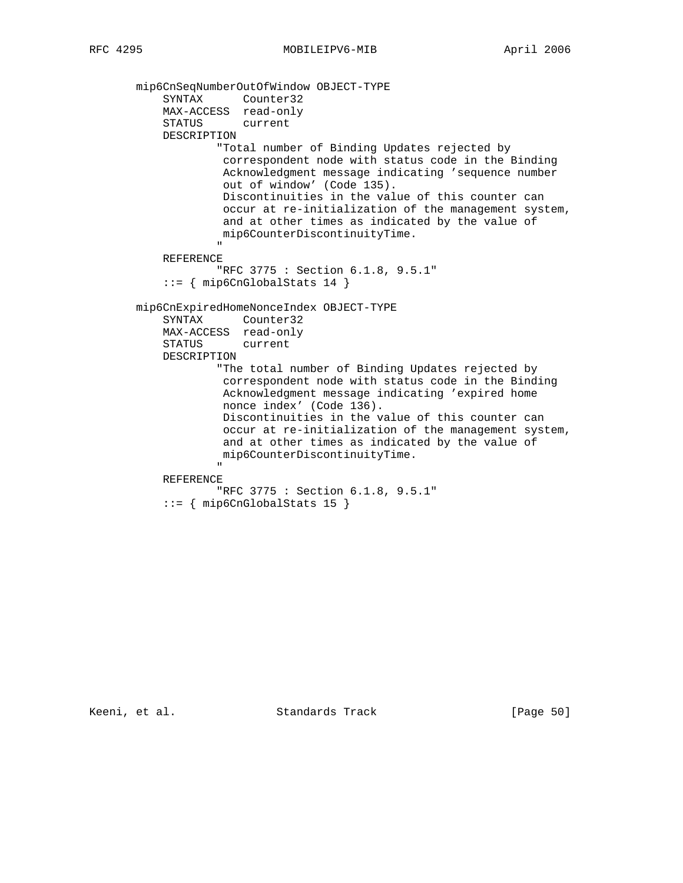```
 mip6CnSeqNumberOutOfWindow OBJECT-TYPE
SYNTAX Counter32
 MAX-ACCESS read-only
               STATUS current
               DESCRIPTION
                          "Total number of Binding Updates rejected by
                           correspondent node with status code in the Binding
                           Acknowledgment message indicating 'sequence number
                           out of window' (Code 135).
                           Discontinuities in the value of this counter can
                           occur at re-initialization of the management system,
                          and at other times as indicated by the value of
                          mip6CounterDiscontinuityTime.
" "The contract of the contract of the contract of the contract of the contract of the contract of the contract of the contract of the contract of the contract of the contract of the contract of the contract of the contrac
               REFERENCE
                          "RFC 3775 : Section 6.1.8, 9.5.1"
               ::= { mip6CnGlobalStats 14 }
          mip6CnExpiredHomeNonceIndex OBJECT-TYPE
               SYNTAX Counter32
               MAX-ACCESS read-only
               STATUS current
               DESCRIPTION
                          "The total number of Binding Updates rejected by
                           correspondent node with status code in the Binding
                           Acknowledgment message indicating 'expired home
                           nonce index' (Code 136).
                           Discontinuities in the value of this counter can
                           occur at re-initialization of the management system,
                           and at other times as indicated by the value of
                          mip6CounterDiscontinuityTime.
" "The contract of the contract of the contract of the contract of the contract of the contract of the contract of the contract of the contract of the contract of the contract of the contract of the contract of the contrac
               REFERENCE
                          "RFC 3775 : Section 6.1.8, 9.5.1"
               ::= { mip6CnGlobalStats 15 }
```
Keeni, et al. Standards Track [Page 50]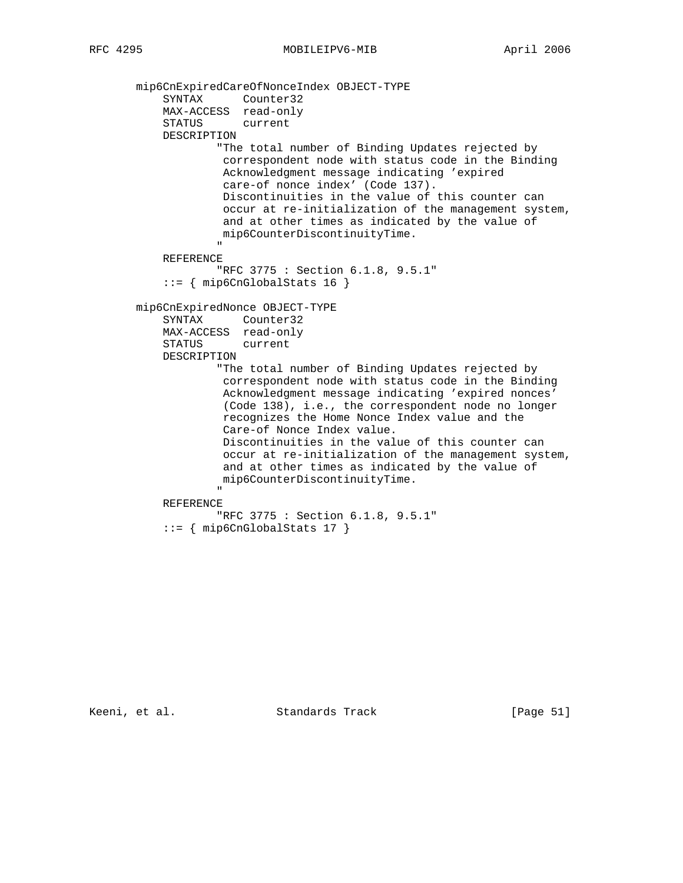mip6CnExpiredCareOfNonceIndex OBJECT-TYPE SYNTAX Counter32 MAX-ACCESS read-only STATUS current DESCRIPTION "The total number of Binding Updates rejected by correspondent node with status code in the Binding Acknowledgment message indicating 'expired care-of nonce index' (Code 137). Discontinuities in the value of this counter can occur at re-initialization of the management system, and at other times as indicated by the value of mip6CounterDiscontinuityTime. " "The contract of the contract of the contract of the contract of the contract of the contract of the contract of the contract of the contract of the contract of the contract of the contract of the contract of the contrac REFERENCE "RFC 3775 : Section 6.1.8, 9.5.1"  $::=$  { mip6CnGlobalStats 16 } mip6CnExpiredNonce OBJECT-TYPE SYNTAX Counter32 MAX-ACCESS read-only STATUS current DESCRIPTION "The total number of Binding Updates rejected by correspondent node with status code in the Binding Acknowledgment message indicating 'expired nonces' (Code 138), i.e., the correspondent node no longer recognizes the Home Nonce Index value and the Care-of Nonce Index value. Discontinuities in the value of this counter can occur at re-initialization of the management system, and at other times as indicated by the value of mip6CounterDiscontinuityTime. " "The contract of the contract of the contract of the contract of the contract of the contract of the contract of the contract of the contract of the contract of the contract of the contract of the contract of the contrac REFERENCE "RFC 3775 : Section 6.1.8, 9.5.1" ::= { mip6CnGlobalStats 17 }

Keeni, et al. Standards Track [Page 51]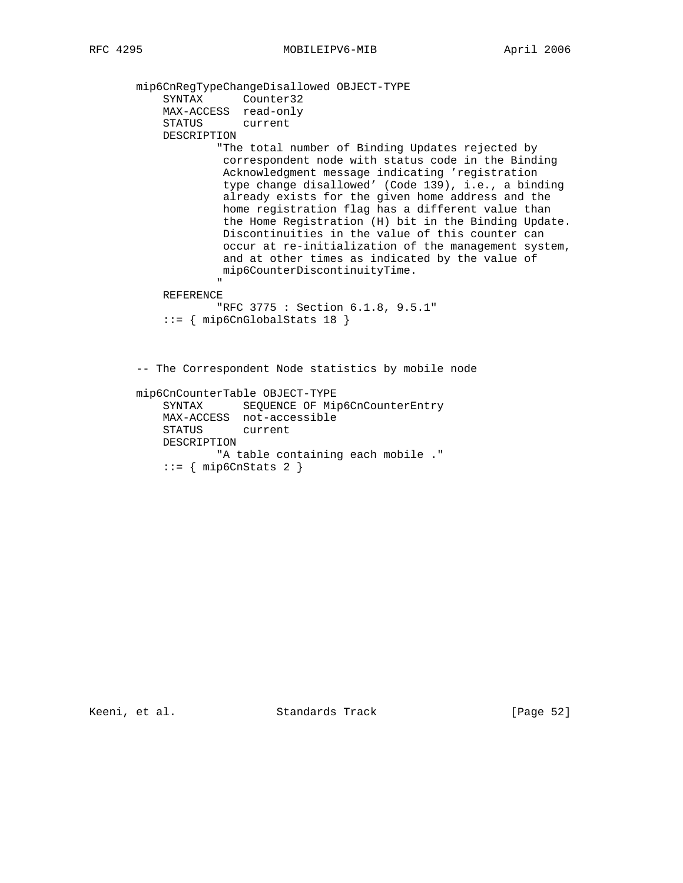mip6CnRegTypeChangeDisallowed OBJECT-TYPE SYNTAX Counter32 MAX-ACCESS read-only STATUS current DESCRIPTION "The total number of Binding Updates rejected by correspondent node with status code in the Binding Acknowledgment message indicating 'registration type change disallowed' (Code 139), i.e., a binding already exists for the given home address and the home registration flag has a different value than the Home Registration (H) bit in the Binding Update. Discontinuities in the value of this counter can occur at re-initialization of the management system, and at other times as indicated by the value of mip6CounterDiscontinuityTime. " "The contract of the contract of the contract of the contract of the contract of the contract of the contract of the contract of the contract of the contract of the contract of the contract of the contract of the contrac REFERENCE "RFC 3775 : Section 6.1.8, 9.5.1" ::= { mip6CnGlobalStats 18 } -- The Correspondent Node statistics by mobile node mip6CnCounterTable OBJECT-TYPE SYNTAX SEQUENCE OF Mip6CnCounterEntry MAX-ACCESS not-accessible STATUS current DESCRIPTION "A table containing each mobile ."  $::=$  { mip6CnStats 2 }

Keeni, et al. Standards Track [Page 52]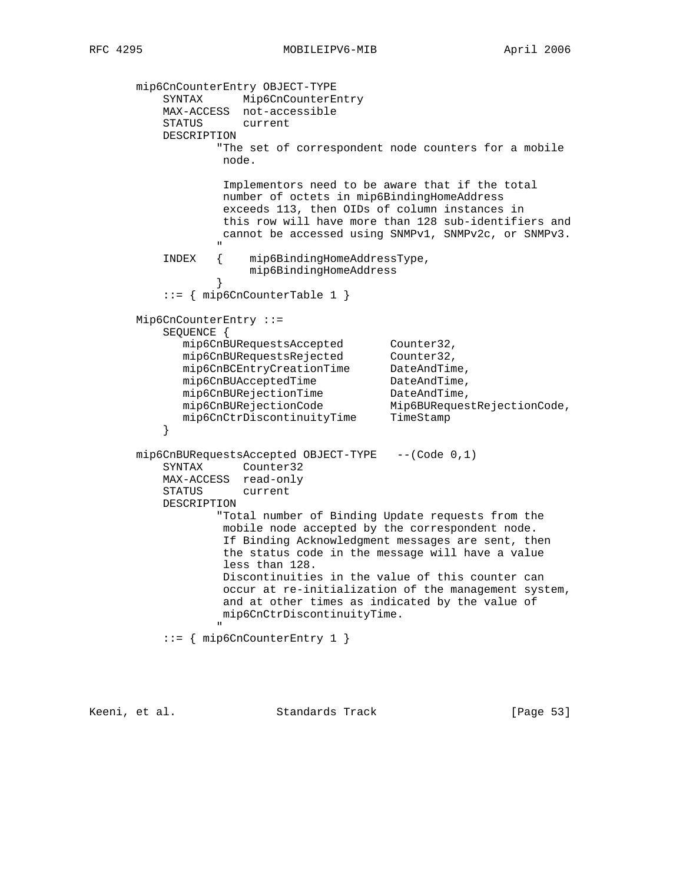```
 mip6CnCounterEntry OBJECT-TYPE
 SYNTAX Mip6CnCounterEntry
 MAX-ACCESS not-accessible
           STATUS current
           DESCRIPTION
                    "The set of correspondent node counters for a mobile
                    node.
                    Implementors need to be aware that if the total
                    number of octets in mip6BindingHomeAddress
                    exceeds 113, then OIDs of column instances in
                    this row will have more than 128 sub-identifiers and
                    cannot be accessed using SNMPv1, SNMPv2c, or SNMPv3.
" "The contract of the contract of the contract of the contract of the contract of the contract of the contract of the contract of the contract of the contract of the contract of the contract of the contract of the contrac
           INDEX { mip6BindingHomeAddressType,
                        mip6BindingHomeAddress
 }
            ::= { mip6CnCounterTable 1 }
       Mip6CnCounterEntry ::=
           SEQUENCE {
mip6CnBURequestsAccepted Counter32,
mip6CnBURequestsRejected Counter32,
 mip6CnBCEntryCreationTime DateAndTime,
mip6CnBUAcceptedTime DateAndTime,
mip6CnBURejectionTime DateAndTime,
 mip6CnBURejectionCode Mip6BURequestRejectionCode,
 mip6CnCtrDiscontinuityTime TimeStamp
 }
       mip6CnBURequestsAccepted OBJECT-TYPE --(Code 0,1)
           SYNTAX Counter32
           MAX-ACCESS read-only
           STATUS current
           DESCRIPTION
                    "Total number of Binding Update requests from the
                    mobile node accepted by the correspondent node.
                     If Binding Acknowledgment messages are sent, then
                     the status code in the message will have a value
                     less than 128.
                    Discontinuities in the value of this counter can
                    occur at re-initialization of the management system,
                    and at other times as indicated by the value of
                    mip6CnCtrDiscontinuityTime.
 "
            ::= { mip6CnCounterEntry 1 }
```
Keeni, et al. Standards Track [Page 53]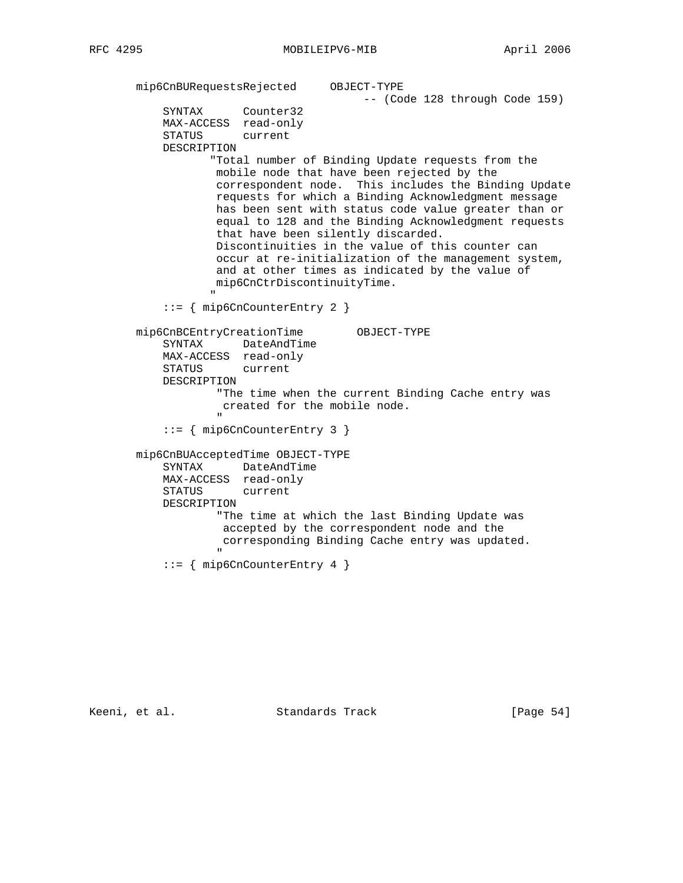```
 mip6CnBURequestsRejected OBJECT-TYPE
                                                    -- (Code 128 through Code 159)
               SYNTAX Counter32
               MAX-ACCESS read-only
               STATUS current
               DESCRIPTION
                        "Total number of Binding Update requests from the
                         mobile node that have been rejected by the
                         correspondent node. This includes the Binding Update
                         requests for which a Binding Acknowledgment message
                         has been sent with status code value greater than or
                         equal to 128 and the Binding Acknowledgment requests
                         that have been silently discarded.
                         Discontinuities in the value of this counter can
                         occur at re-initialization of the management system,
                         and at other times as indicated by the value of
                         mip6CnCtrDiscontinuityTime.
" "The contract of the contract of the contract of the contract of the contract of the contract of the contract of the contract of the contract of the contract of the contract of the contract of the contract of the contrac
               ::= { mip6CnCounterEntry 2 }
         mip6CnBCEntryCreationTime OBJECT-TYPE
               SYNTAX DateAndTime
               MAX-ACCESS read-only
               STATUS current
               DESCRIPTION
                         "The time when the current Binding Cache entry was
                          created for the mobile node.
" "The contract of the contract of the contract of the contract of the contract of the contract of the contract of the contract of the contract of the contract of the contract of the contract of the contract of the contrac
               ::= { mip6CnCounterEntry 3 }
         mip6CnBUAcceptedTime OBJECT-TYPE
               SYNTAX DateAndTime
               MAX-ACCESS read-only
               STATUS current
               DESCRIPTION
                         "The time at which the last Binding Update was
                          accepted by the correspondent node and the
                          corresponding Binding Cache entry was updated.
 "
               ::= { mip6CnCounterEntry 4 }
```
Keeni, et al. Standards Track [Page 54]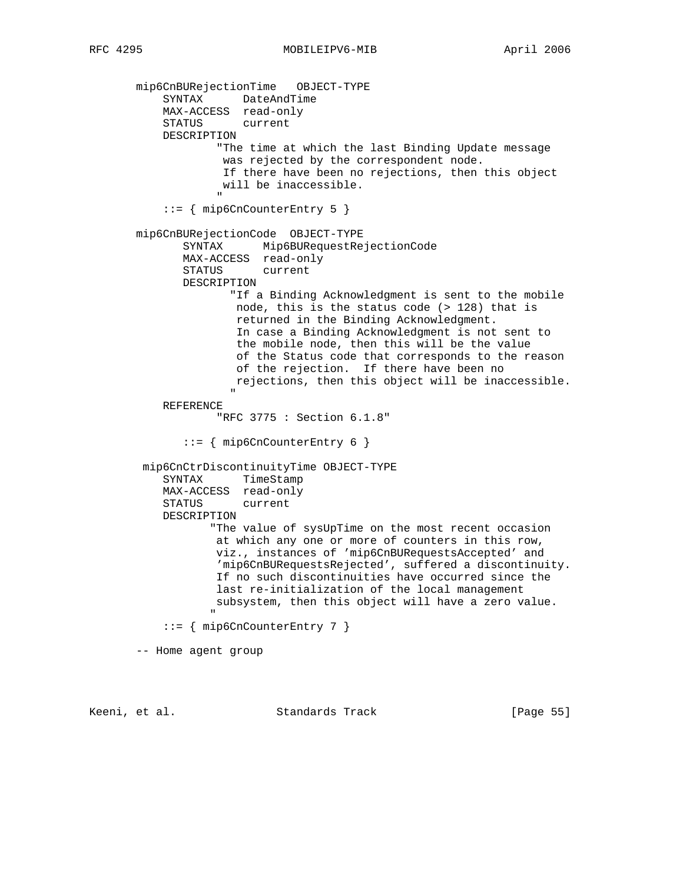mip6CnBURejectionTime OBJECT-TYPE SYNTAX DateAndTime MAX-ACCESS read-only STATUS current DESCRIPTION "The time at which the last Binding Update message was rejected by the correspondent node. If there have been no rejections, then this object will be inaccessible. " "The contract of the contract of the contract of the contract of the contract of the contract of the contract of the contract of the contract of the contract of the contract of the contract of the contract of the contrac ::= { mip6CnCounterEntry 5 } mip6CnBURejectionCode OBJECT-TYPE SYNTAX Mip6BURequestRejectionCode MAX-ACCESS read-only STATUS current DESCRIPTION "If a Binding Acknowledgment is sent to the mobile node, this is the status code (> 128) that is returned in the Binding Acknowledgment. In case a Binding Acknowledgment is not sent to the mobile node, then this will be the value of the Status code that corresponds to the reason of the rejection. If there have been no rejections, then this object will be inaccessible. " REFERENCE "RFC 3775 : Section 6.1.8" ::= { mip6CnCounterEntry 6 } mip6CnCtrDiscontinuityTime OBJECT-TYPE SYNTAX TimeStamp MAX-ACCESS read-only STATUS current DESCRIPTION "The value of sysUpTime on the most recent occasion at which any one or more of counters in this row, viz., instances of 'mip6CnBURequestsAccepted' and 'mip6CnBURequestsRejected', suffered a discontinuity. If no such discontinuities have occurred since the last re-initialization of the local management subsystem, then this object will have a zero value. " "The contract of the contract of the contract of the contract of the contract of the contract of the contract of the contract of the contract of the contract of the contract of the contract of the contract of the contrac ::= { mip6CnCounterEntry 7 } -- Home agent group

Keeni, et al. Standards Track [Page 55]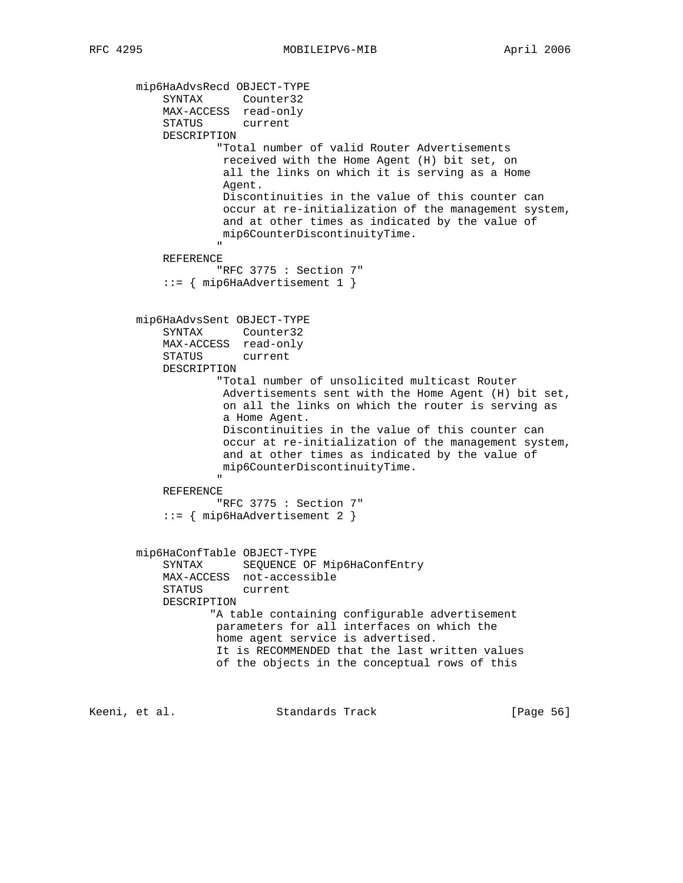mip6HaAdvsRecd OBJECT-TYPE SYNTAX Counter32 MAX-ACCESS read-only STATUS current DESCRIPTION "Total number of valid Router Advertisements received with the Home Agent (H) bit set, on all the links on which it is serving as a Home Agent. Discontinuities in the value of this counter can occur at re-initialization of the management system, and at other times as indicated by the value of mip6CounterDiscontinuityTime. " "The contract of the contract of the contract of the contract of the contract of the contract of the contract of the contract of the contract of the contract of the contract of the contract of the contract of the contrac REFERENCE "RFC 3775 : Section 7" ::= { mip6HaAdvertisement 1 } mip6HaAdvsSent OBJECT-TYPE SYNTAX Counter32 MAX-ACCESS read-only STATUS current DESCRIPTION "Total number of unsolicited multicast Router Advertisements sent with the Home Agent (H) bit set, on all the links on which the router is serving as a Home Agent. Discontinuities in the value of this counter can occur at re-initialization of the management system, and at other times as indicated by the value of mip6CounterDiscontinuityTime. " REFERENCE "RFC 3775 : Section 7" ::= { mip6HaAdvertisement 2 } mip6HaConfTable OBJECT-TYPE SYNTAX SEQUENCE OF Mip6HaConfEntry MAX-ACCESS not-accessible STATUS current DESCRIPTION "A table containing configurable advertisement parameters for all interfaces on which the home agent service is advertised. It is RECOMMENDED that the last written values of the objects in the conceptual rows of this

Keeni, et al. Standards Track [Page 56]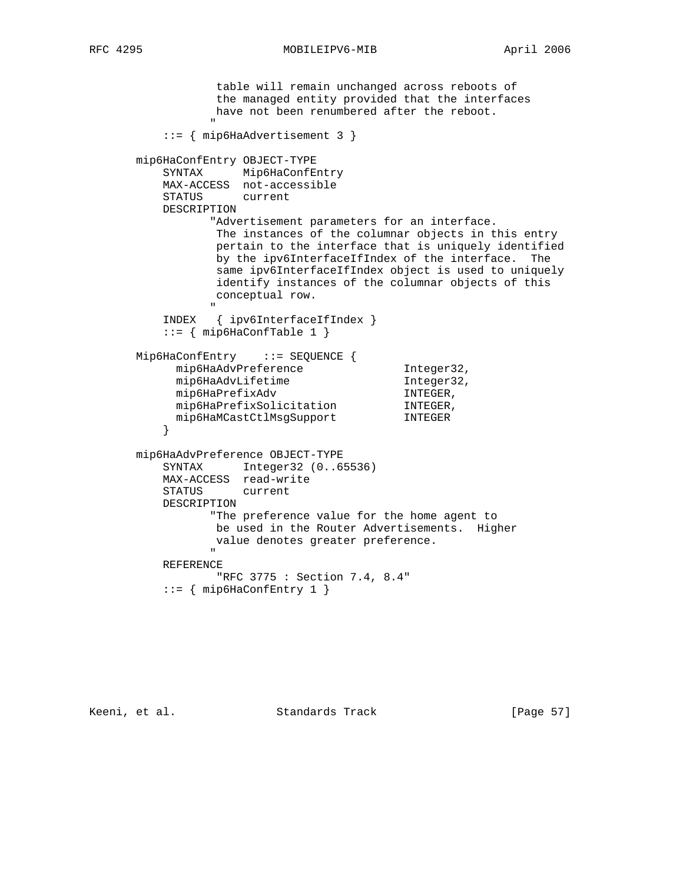RFC 4295 MOBILEIPV6-MIB April 2006

 table will remain unchanged across reboots of the managed entity provided that the interfaces have not been renumbered after the reboot. " "The contract of the contract of the contract of the contract of the contract of the contract of the contract of the contract of the contract of the contract of the contract of the contract of the contract of the contrac ::= { mip6HaAdvertisement 3 } mip6HaConfEntry OBJECT-TYPE SYNTAX Mip6HaConfEntry MAX-ACCESS not-accessible STATUS current DESCRIPTION "Advertisement parameters for an interface. The instances of the columnar objects in this entry pertain to the interface that is uniquely identified by the ipv6InterfaceIfIndex of the interface. The same ipv6InterfaceIfIndex object is used to uniquely identify instances of the columnar objects of this conceptual row. " "The contract of the contract of the contract of the contract of the contract of the contract of the contract of the contract of the contract of the contract of the contract of the contract of the contract of the contrac INDEX { ipv6InterfaceIfIndex } ::= { mip6HaConfTable 1 } Mip6HaConfEntry ::= SEQUENCE { nip6HaAdvPreference (Integer32, mip6HaAdvPreference Integer32, Integer32, mip6HaAdvLifetime<br>mip6HaPrefixAdv mip6HaPrefixAdv INTEGER, mip6HaPrefixSolicitation INTEGER, mip6HaMCastCtlMsgSupport INTEGER } mip6HaAdvPreference OBJECT-TYPE SYNTAX Integer32 (0..65536) MAX-ACCESS read-write STATUS current DESCRIPTION "The preference value for the home agent to be used in the Router Advertisements. Higher value denotes greater preference. " "The contract of the contract of the contract of the contract of the contract of the contract of the contract of the contract of the contract of the contract of the contract of the contract of the contract of the contrac REFERENCE "RFC 3775 : Section 7.4, 8.4" ::= { mip6HaConfEntry 1 }

Keeni, et al. Standards Track [Page 57]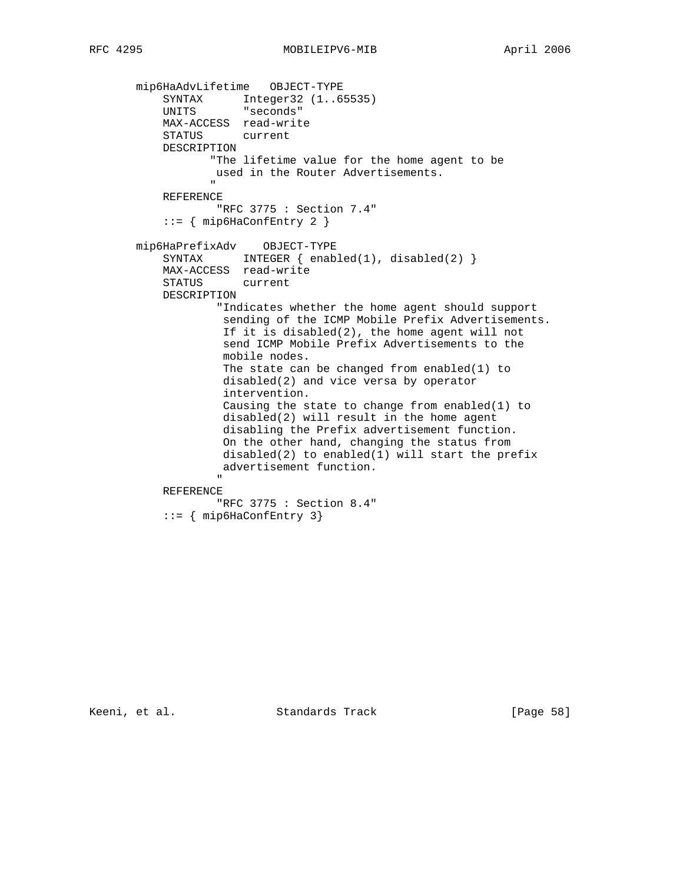mip6HaAdvLifetime OBJECT-TYPE SYNTAX Integer32 (1..65535) UNITS "seconds" MAX-ACCESS read-write STATUS current DESCRIPTION "The lifetime value for the home agent to be used in the Router Advertisements. " "The contract of the contract of the contract of the contract of the contract of the contract of the contract of the contract of the contract of the contract of the contract of the contract of the contract of the contrac REFERENCE "RFC 3775 : Section 7.4" ::= { mip6HaConfEntry 2 } mip6HaPrefixAdv OBJECT-TYPE SYNTAX INTEGER { enabled(1), disabled(2) } MAX-ACCESS read-write STATUS current DESCRIPTION "Indicates whether the home agent should support sending of the ICMP Mobile Prefix Advertisements. If it is disabled(2), the home agent will not send ICMP Mobile Prefix Advertisements to the mobile nodes. The state can be changed from enabled(1) to disabled(2) and vice versa by operator intervention. Causing the state to change from enabled(1) to disabled(2) will result in the home agent disabling the Prefix advertisement function. On the other hand, changing the status from disabled(2) to enabled(1) will start the prefix advertisement function. " REFERENCE

 "RFC 3775 : Section 8.4" ::= { mip6HaConfEntry 3}

Keeni, et al. Standards Track [Page 58]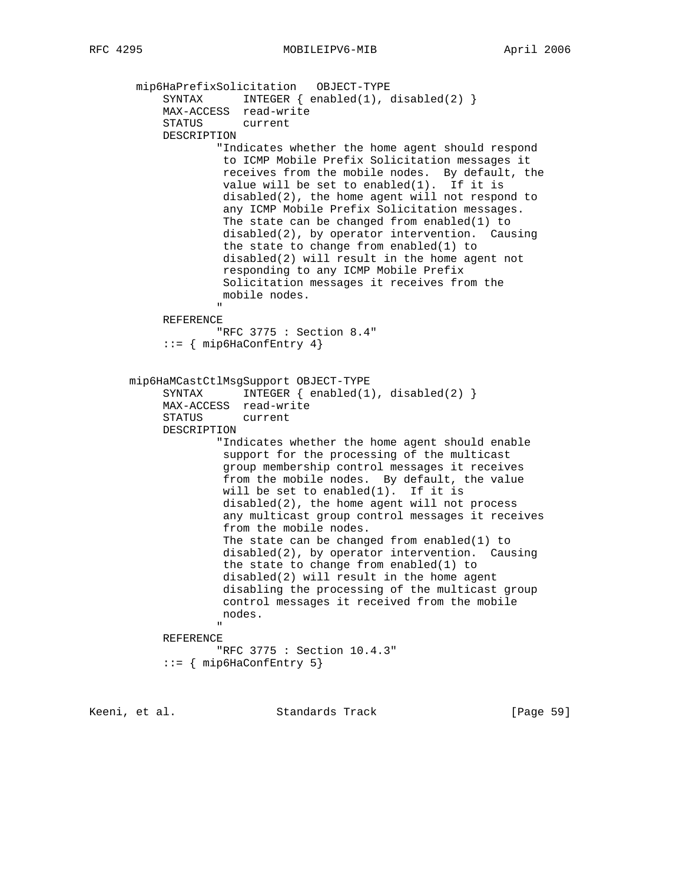mip6HaPrefixSolicitation OBJECT-TYPE SYNTAX INTEGER { enabled(1), disabled(2) } MAX-ACCESS read-write STATUS current DESCRIPTION "Indicates whether the home agent should respond to ICMP Mobile Prefix Solicitation messages it receives from the mobile nodes. By default, the value will be set to enabled(1). If it is disabled(2), the home agent will not respond to any ICMP Mobile Prefix Solicitation messages. The state can be changed from enabled(1) to disabled(2), by operator intervention. Causing the state to change from enabled(1) to disabled(2) will result in the home agent not responding to any ICMP Mobile Prefix Solicitation messages it receives from the mobile nodes. " "The contract of the contract of the contract of the contract of the contract of the contract of the contract of the contract of the contract of the contract of the contract of the contract of the contract of the contrac REFERENCE "RFC 3775 : Section 8.4" ::= { mip6HaConfEntry 4} mip6HaMCastCtlMsgSupport OBJECT-TYPE SYNTAX INTEGER  $\{ \text{enabeled}(1), \text{disabeled}(2) \}$  MAX-ACCESS read-write STATUS current DESCRIPTION "Indicates whether the home agent should enable support for the processing of the multicast group membership control messages it receives from the mobile nodes. By default, the value will be set to enabled(1). If it is disabled(2), the home agent will not process any multicast group control messages it receives from the mobile nodes. The state can be changed from enabled(1) to disabled(2), by operator intervention. Causing the state to change from enabled(1) to disabled(2) will result in the home agent disabling the processing of the multicast group control messages it received from the mobile nodes. " REFERENCE "RFC 3775 : Section 10.4.3" ::= { mip6HaConfEntry 5}

Keeni, et al. Standards Track [Page 59]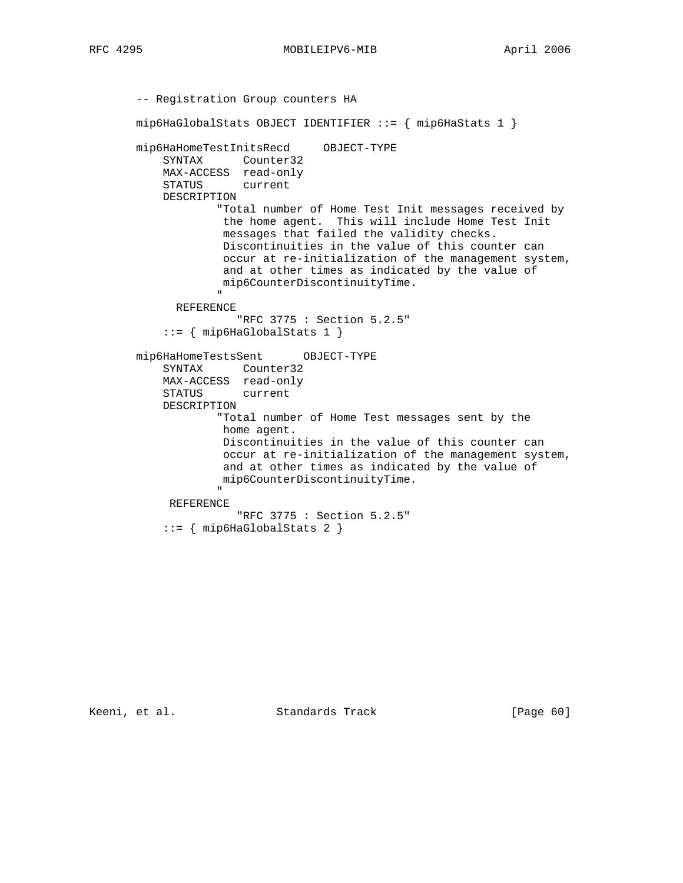RFC 4295 MOBILEIPV6-MIB April 2006

```
 -- Registration Group counters HA
        mip6HaGlobalStats OBJECT IDENTIFIER ::= { mip6HaStats 1 }
        mip6HaHomeTestInitsRecd OBJECT-TYPE
             SYNTAX Counter32
             MAX-ACCESS read-only
             STATUS current
             DESCRIPTION
                       "Total number of Home Test Init messages received by
                       the home agent. This will include Home Test Init
                        messages that failed the validity checks.
                        Discontinuities in the value of this counter can
                        occur at re-initialization of the management system,
                        and at other times as indicated by the value of
                       mip6CounterDiscontinuityTime.
 "
                REFERENCE
                          "RFC 3775 : Section 5.2.5"
             ::= { mip6HaGlobalStats 1 }
        mip6HaHomeTestsSent OBJECT-TYPE
             SYNTAX Counter32
             MAX-ACCESS read-only
             STATUS current
             DESCRIPTION
                       "Total number of Home Test messages sent by the
                        home agent.
                       Discontinuities in the value of this counter can
                       occur at re-initialization of the management system,
                       and at other times as indicated by the value of
                       mip6CounterDiscontinuityTime.
" "The contract of the contract of the contract of the contract of the contract of the contract of the contract of the contract of the contract of the contract of the contract of the contract of the contract of the contrac
              REFERENCE
                           "RFC 3775 : Section 5.2.5"
             ::= { mip6HaGlobalStats 2 }
```
Keeni, et al. Standards Track [Page 60]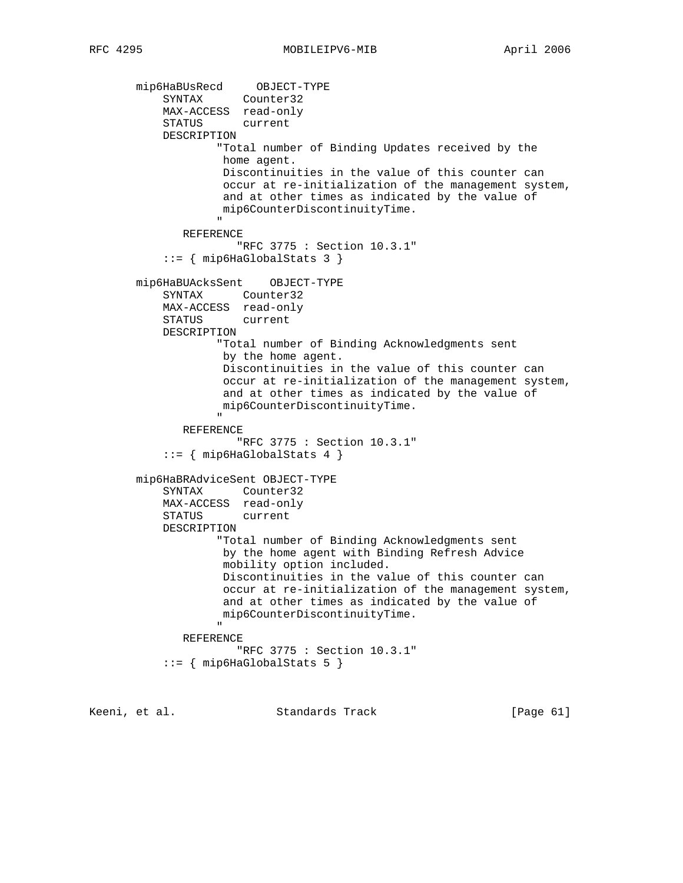mip6HaBUsRecd OBJECT-TYPE SYNTAX Counter32 MAX-ACCESS read-only STATUS current DESCRIPTION "Total number of Binding Updates received by the home agent. Discontinuities in the value of this counter can occur at re-initialization of the management system, and at other times as indicated by the value of mip6CounterDiscontinuityTime. " REFERENCE "RFC 3775 : Section 10.3.1" ::= { mip6HaGlobalStats 3 } mip6HaBUAcksSent OBJECT-TYPE SYNTAX Counter32 MAX-ACCESS read-only STATUS current DESCRIPTION "Total number of Binding Acknowledgments sent by the home agent. Discontinuities in the value of this counter can occur at re-initialization of the management system, and at other times as indicated by the value of mip6CounterDiscontinuityTime. " "The contract of the contract of the contract of the contract of the contract of the contract of the contract of the contract of the contract of the contract of the contract of the contract of the contract of the contrac REFERENCE "RFC 3775 : Section 10.3.1" ::= { mip6HaGlobalStats 4 } mip6HaBRAdviceSent OBJECT-TYPE SYNTAX Counter32 MAX-ACCESS read-only STATUS current DESCRIPTION "Total number of Binding Acknowledgments sent by the home agent with Binding Refresh Advice mobility option included. Discontinuities in the value of this counter can occur at re-initialization of the management system, and at other times as indicated by the value of mip6CounterDiscontinuityTime. " REFERENCE "RFC 3775 : Section 10.3.1" ::= { mip6HaGlobalStats 5 }

Keeni, et al. Standards Track [Page 61]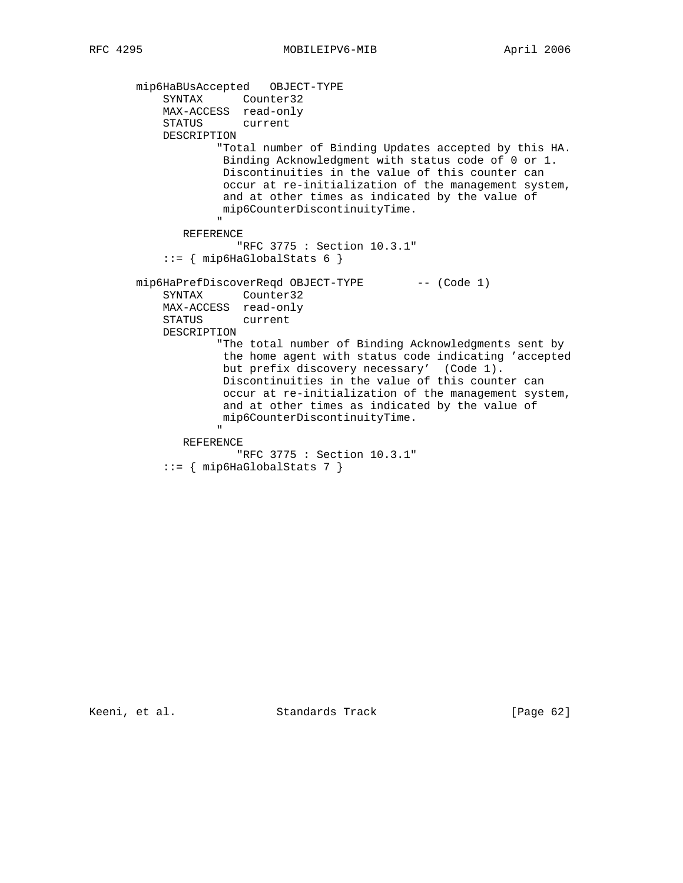mip6HaBUsAccepted OBJECT-TYPE SYNTAX Counter32 MAX-ACCESS read-only STATUS current DESCRIPTION "Total number of Binding Updates accepted by this HA. Binding Acknowledgment with status code of 0 or 1. Discontinuities in the value of this counter can occur at re-initialization of the management system, and at other times as indicated by the value of mip6CounterDiscontinuityTime. " REFERENCE "RFC 3775 : Section 10.3.1"  $::=$   ${$  mip6HaGlobalStats 6  ${ }$ mip6HaPrefDiscoverReqd OBJECT-TYPE -- (Code 1) SYNTAX Counter32 MAX-ACCESS read-only STATUS current DESCRIPTION "The total number of Binding Acknowledgments sent by the home agent with status code indicating 'accepted but prefix discovery necessary' (Code 1). Discontinuities in the value of this counter can occur at re-initialization of the management system, and at other times as indicated by the value of mip6CounterDiscontinuityTime. " "The contract of the contract of the contract of the contract of the contract of the contract of the contract of the contract of the contract of the contract of the contract of the contract of the contract of the contrac REFERENCE "RFC 3775 : Section 10.3.1"  $::=$   ${$  mip6HaGlobalStats 7  $}$ 

Keeni, et al. Standards Track [Page 62]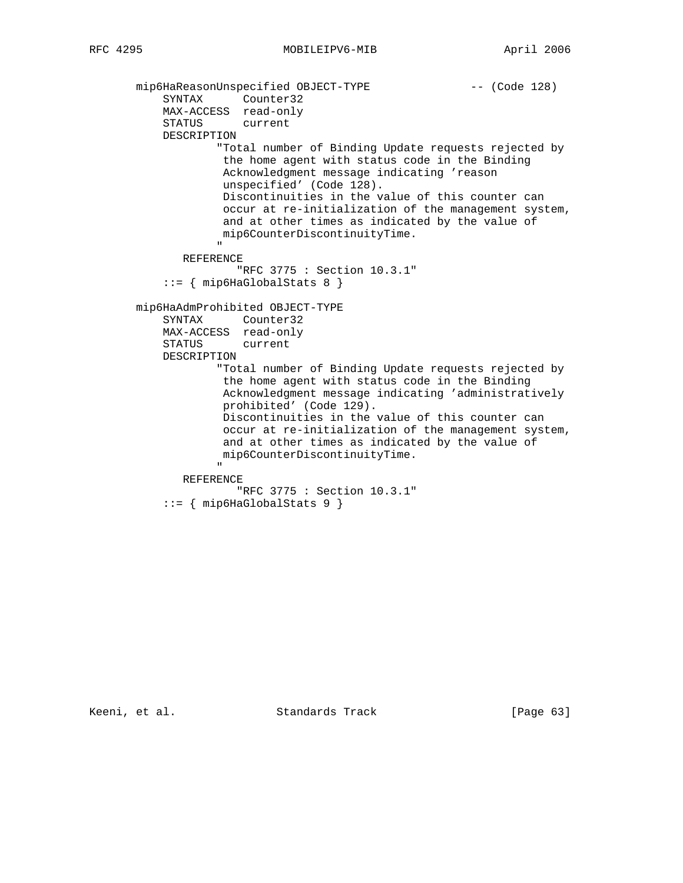```
mip6HaReasonUnspecified OBJECT-TYPE -- (Code 128)
SYNTAX Counter32
 MAX-ACCESS read-only
               STATUS current
               DESCRIPTION
                          "Total number of Binding Update requests rejected by
                          the home agent with status code in the Binding
                           Acknowledgment message indicating 'reason
                           unspecified' (Code 128).
                          Discontinuities in the value of this counter can
                          occur at re-initialization of the management system,
                          and at other times as indicated by the value of
                          mip6CounterDiscontinuityTime.
" "The contract of the contract of the contract of the contract of the contract of the contract of the contract of the contract of the contract of the contract of the contract of the contract of the contract of the contrac
                   REFERENCE
                              "RFC 3775 : Section 10.3.1"
               ::= { mip6HaGlobalStats 8 }
          mip6HaAdmProhibited OBJECT-TYPE
               SYNTAX Counter32
               MAX-ACCESS read-only
               STATUS current
               DESCRIPTION
                          "Total number of Binding Update requests rejected by
                           the home agent with status code in the Binding
                           Acknowledgment message indicating 'administratively
                           prohibited' (Code 129).
                           Discontinuities in the value of this counter can
                          occur at re-initialization of the management system,
                          and at other times as indicated by the value of
                          mip6CounterDiscontinuityTime.
" "The contract of the contract of the contract of the contract of the contract of the contract of the contract of the contract of the contract of the contract of the contract of the contract of the contract of the contrac
                   REFERENCE
                              "RFC 3775 : Section 10.3.1"
              ::= \{ mip6HaGlobalStats 9 \}
```
Keeni, et al. Standards Track [Page 63]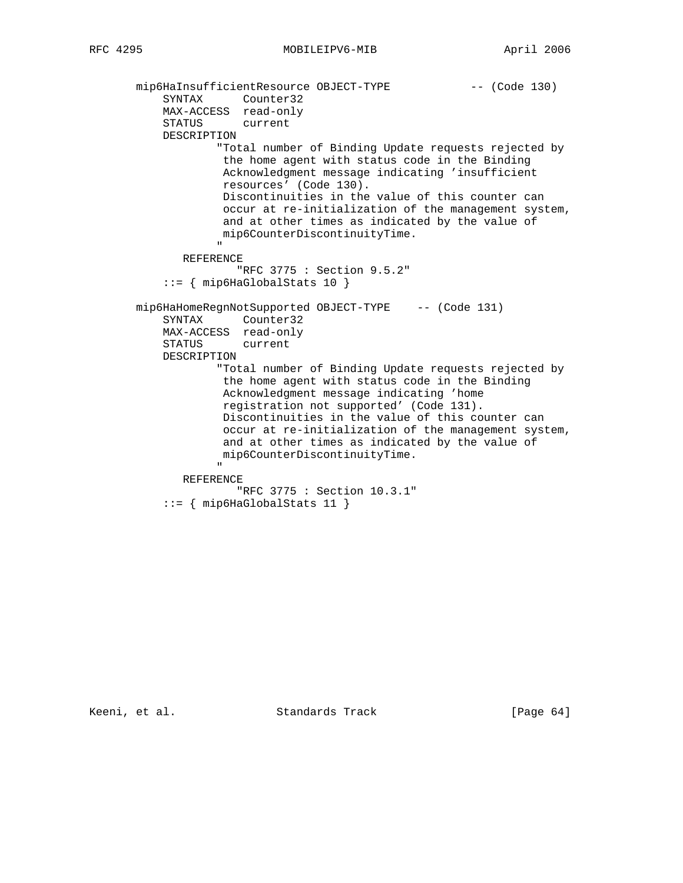```
mip6HaInsufficientResource OBJECT-TYPE -- (Code 130)
SYNTAX Counter32
 MAX-ACCESS read-only
               STATUS current
               DESCRIPTION
                          "Total number of Binding Update requests rejected by
                          the home agent with status code in the Binding
                          Acknowledgment message indicating 'insufficient
                          resources' (Code 130).
                          Discontinuities in the value of this counter can
                          occur at re-initialization of the management system,
                          and at other times as indicated by the value of
                          mip6CounterDiscontinuityTime.
" "The contract of the contract of the contract of the contract of the contract of the contract of the contract of the contract of the contract of the contract of the contract of the contract of the contract of the contrac
                   REFERENCE
                              "RFC 3775 : Section 9.5.2"
               ::= { mip6HaGlobalStats 10 }
          mip6HaHomeRegnNotSupported OBJECT-TYPE -- (Code 131)
               SYNTAX Counter32
               MAX-ACCESS read-only
               STATUS current
               DESCRIPTION
                          "Total number of Binding Update requests rejected by
                          the home agent with status code in the Binding
                           Acknowledgment message indicating 'home
                           registration not supported' (Code 131).
                          Discontinuities in the value of this counter can
                          occur at re-initialization of the management system,
                          and at other times as indicated by the value of
                          mip6CounterDiscontinuityTime.
" "The contract of the contract of the contract of the contract of the contract of the contract of the contract of the contract of the contract of the contract of the contract of the contract of the contract of the contrac
                   REFERENCE
                              "RFC 3775 : Section 10.3.1"
               ::= { mip6HaGlobalStats 11 }
```
Keeni, et al. Standards Track [Page 64]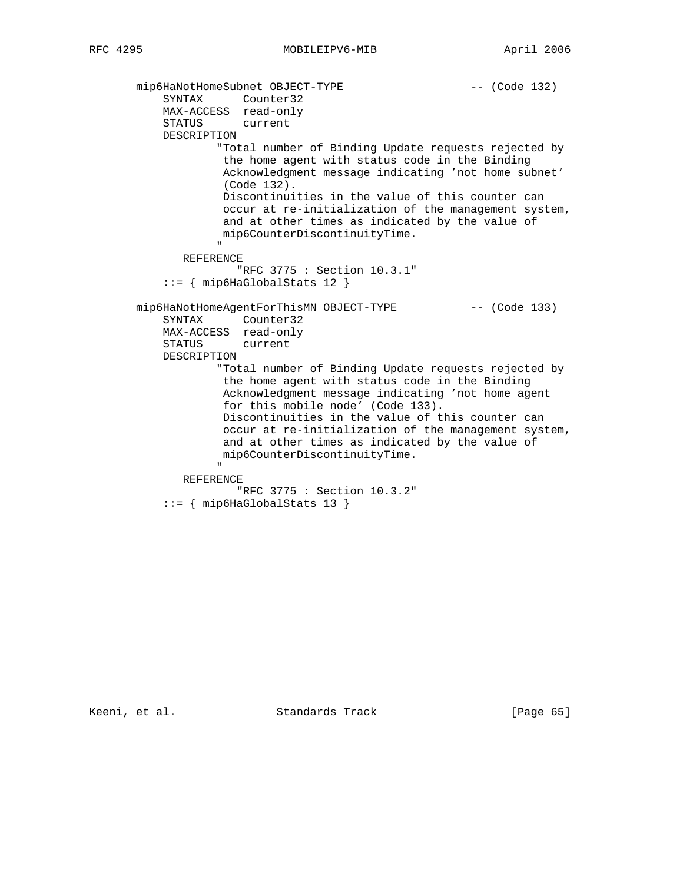```
mip6HaNotHomeSubnet OBJECT-TYPE -- (Code 132)
SYNTAX Counter32
 MAX-ACCESS read-only
               STATUS current
               DESCRIPTION
                         "Total number of Binding Update requests rejected by
                          the home agent with status code in the Binding
                          Acknowledgment message indicating 'not home subnet'
                          (Code 132).
                          Discontinuities in the value of this counter can
                          occur at re-initialization of the management system,
                          and at other times as indicated by the value of
                          mip6CounterDiscontinuityTime.
" "The contract of the contract of the contract of the contract of the contract of the contract of the contract of the contract of the contract of the contract of the contract of the contract of the contract of the contrac
                   REFERENCE
                             "RFC 3775 : Section 10.3.1"
               ::= { mip6HaGlobalStats 12 }
        mip6HaNotHomeAgentForThisMN OBJECT-TYPE -- (Code 133)
               SYNTAX Counter32
               MAX-ACCESS read-only
               STATUS current
               DESCRIPTION
                         "Total number of Binding Update requests rejected by
                          the home agent with status code in the Binding
                          Acknowledgment message indicating 'not home agent
                          for this mobile node' (Code 133).
                          Discontinuities in the value of this counter can
                          occur at re-initialization of the management system,
                          and at other times as indicated by the value of
                          mip6CounterDiscontinuityTime.
" "The contract of the contract of the contract of the contract of the contract of the contract of the contract of the contract of the contract of the contract of the contract of the contract of the contract of the contrac
                   REFERENCE
                             "RFC 3775 : Section 10.3.2"
               ::= { mip6HaGlobalStats 13 }
```
Keeni, et al. Standards Track [Page 65]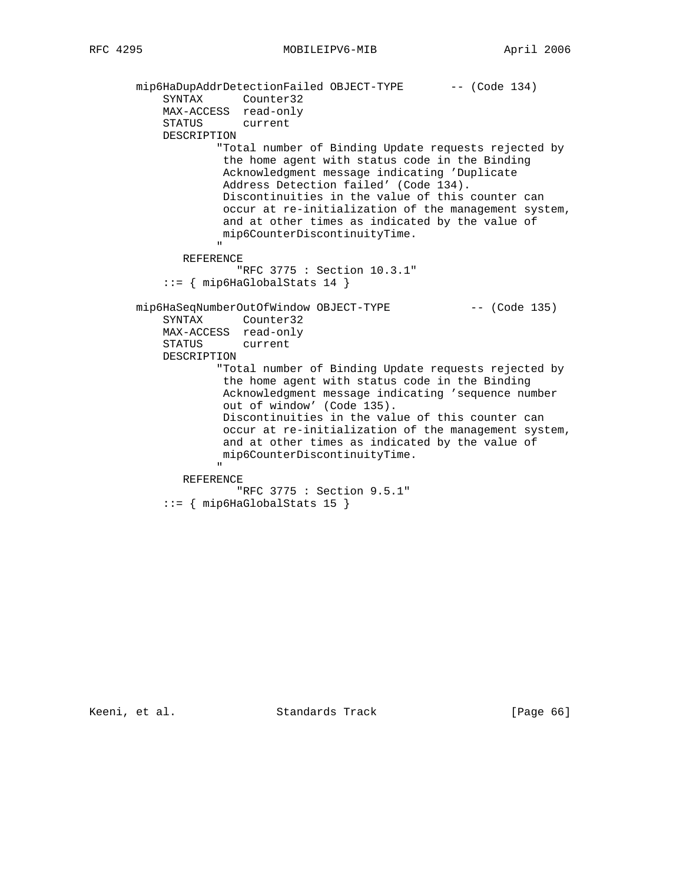```
mip6HaDupAddrDetectionFailed OBJECT-TYPE -- (Code 134)
SYNTAX Counter32
 MAX-ACCESS read-only
               STATUS current
               DESCRIPTION
                         "Total number of Binding Update requests rejected by
                          the home agent with status code in the Binding
                          Acknowledgment message indicating 'Duplicate
                          Address Detection failed' (Code 134).
                          Discontinuities in the value of this counter can
                          occur at re-initialization of the management system,
                          and at other times as indicated by the value of
                          mip6CounterDiscontinuityTime.
" "The contract of the contract of the contract of the contract of the contract of the contract of the contract of the contract of the contract of the contract of the contract of the contract of the contract of the contrac
                   REFERENCE
                             "RFC 3775 : Section 10.3.1"
               ::= { mip6HaGlobalStats 14 }
        mip6HaSeqNumberOutOfWindow OBJECT-TYPE -- (Code 135)
               SYNTAX Counter32
               MAX-ACCESS read-only
               STATUS current
               DESCRIPTION
                         "Total number of Binding Update requests rejected by
                          the home agent with status code in the Binding
                          Acknowledgment message indicating 'sequence number
                          out of window' (Code 135).
                          Discontinuities in the value of this counter can
                          occur at re-initialization of the management system,
                          and at other times as indicated by the value of
                          mip6CounterDiscontinuityTime.
" "The contract of the contract of the contract of the contract of the contract of the contract of the contract of the contract of the contract of the contract of the contract of the contract of the contract of the contrac
                   REFERENCE
                             "RFC 3775 : Section 9.5.1"
               ::= { mip6HaGlobalStats 15 }
```
Keeni, et al. Standards Track [Page 66]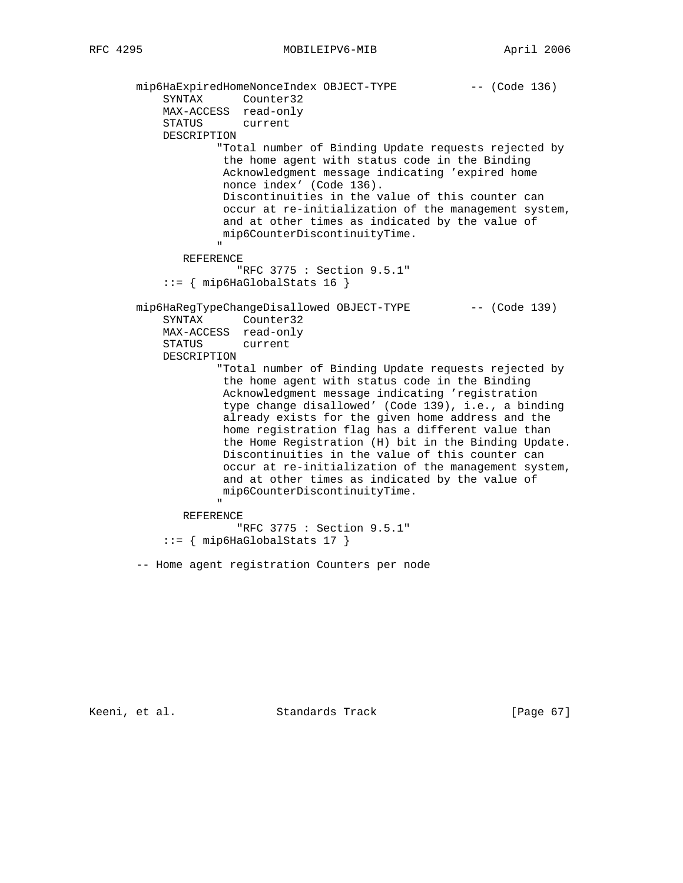mip6HaExpiredHomeNonceIndex OBJECT-TYPE -- (Code 136) SYNTAX Counter32 MAX-ACCESS read-only STATUS current DESCRIPTION "Total number of Binding Update requests rejected by the home agent with status code in the Binding Acknowledgment message indicating 'expired home nonce index' (Code 136). Discontinuities in the value of this counter can occur at re-initialization of the management system, and at other times as indicated by the value of mip6CounterDiscontinuityTime. " "The contract of the contract of the contract of the contract of the contract of the contract of the contract of the contract of the contract of the contract of the contract of the contract of the contract of the contrac REFERENCE "RFC 3775 : Section 9.5.1"  $::=$   $\{$  mip6HaGlobalStats 16  $\}$ mip6HaRegTypeChangeDisallowed OBJECT-TYPE -- (Code 139) SYNTAX Counter32 MAX-ACCESS read-only STATUS current DESCRIPTION "Total number of Binding Update requests rejected by the home agent with status code in the Binding Acknowledgment message indicating 'registration type change disallowed' (Code 139), i.e., a binding already exists for the given home address and the home registration flag has a different value than the Home Registration (H) bit in the Binding Update. Discontinuities in the value of this counter can occur at re-initialization of the management system, and at other times as indicated by the value of mip6CounterDiscontinuityTime. " "The contract of the contract of the contract of the contract of the contract of the contract of the contract of the contract of the contract of the contract of the contract of the contract of the contract of the contrac REFERENCE "RFC 3775 : Section 9.5.1" ::= { mip6HaGlobalStats 17 } -- Home agent registration Counters per node

Keeni, et al. Standards Track [Page 67]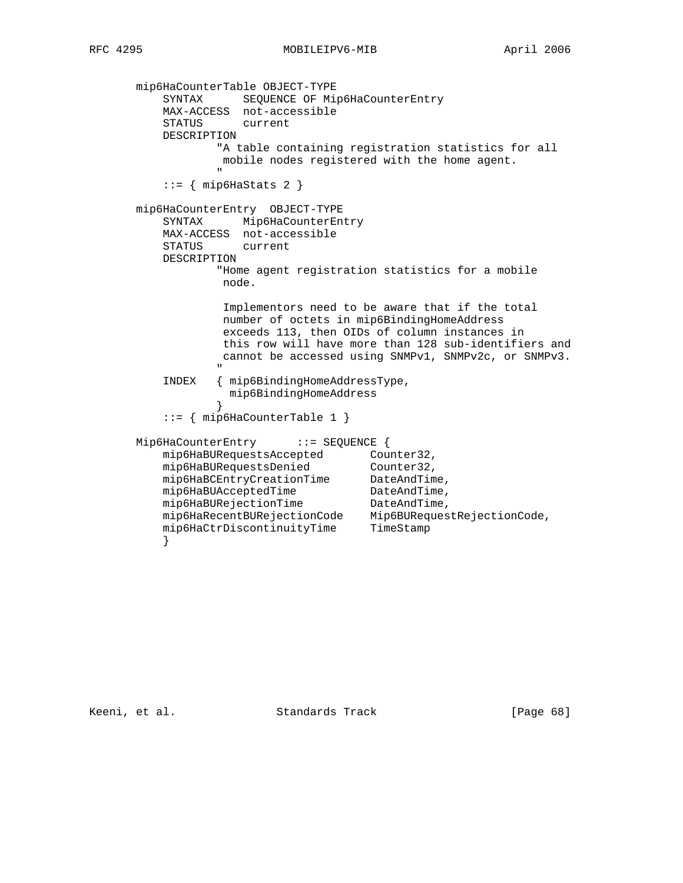mip6HaCounterTable OBJECT-TYPE SYNTAX SEQUENCE OF Mip6HaCounterEntry MAX-ACCESS not-accessible STATUS current DESCRIPTION "A table containing registration statistics for all mobile nodes registered with the home agent. " "The contract of the contract of the contract of the contract of the contract of the contract of the contract of the contract of the contract of the contract of the contract of the contract of the contract of the contrac  $::=$  { mip6HaStats 2 } mip6HaCounterEntry OBJECT-TYPE SYNTAX Mip6HaCounterEntry MAX-ACCESS not-accessible STATUS current DESCRIPTION "Home agent registration statistics for a mobile node. Implementors need to be aware that if the total number of octets in mip6BindingHomeAddress exceeds 113, then OIDs of column instances in this row will have more than 128 sub-identifiers and cannot be accessed using SNMPv1, SNMPv2c, or SNMPv3. " INDEX { mip6BindingHomeAddressType, mip6BindingHomeAddress<br>} } ::= { mip6HaCounterTable 1 } Mip6HaCounterEntry ::= SEQUENCE { mip6HaBURequestsAccepted Counter32, mip6HaBURequestsDenied Counter32, mip6HaBCEntryCreationTime DateAndTime, mip6HaBUAcceptedTime DateAndTime, mip6HaBURejectionTime DateAndTime, mip6HaRecentBURejectionCode Mip6BURequestRejectionCode, mip6HaCtrDiscontinuityTime TimeStamp }

Keeni, et al. Standards Track [Page 68]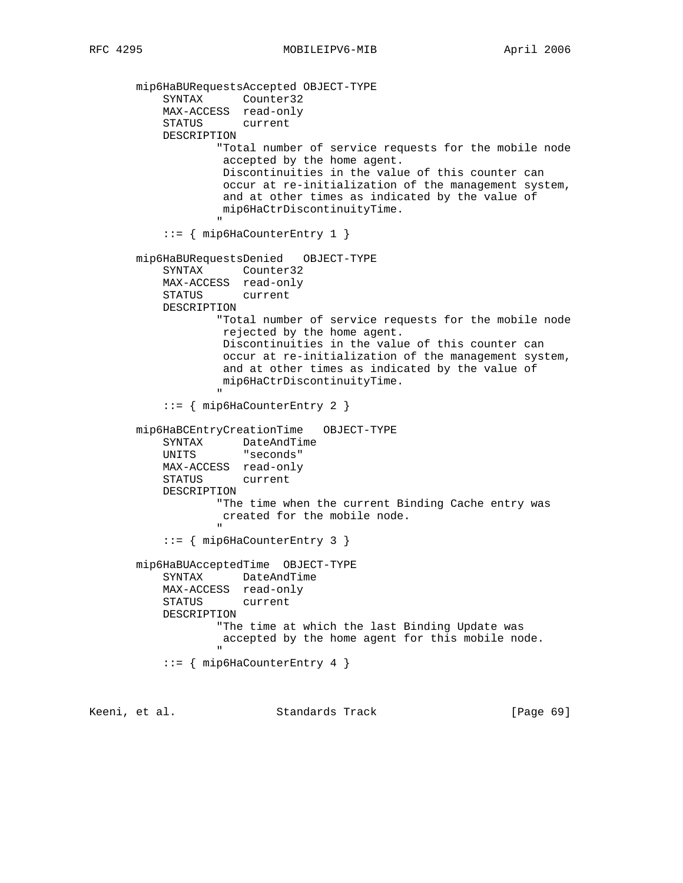mip6HaBURequestsAccepted OBJECT-TYPE SYNTAX Counter32 MAX-ACCESS read-only STATUS current DESCRIPTION "Total number of service requests for the mobile node accepted by the home agent. Discontinuities in the value of this counter can occur at re-initialization of the management system, and at other times as indicated by the value of mip6HaCtrDiscontinuityTime. " ::= { mip6HaCounterEntry 1 } mip6HaBURequestsDenied OBJECT-TYPE SYNTAX Counter32 MAX-ACCESS read-only STATUS current DESCRIPTION "Total number of service requests for the mobile node rejected by the home agent. Discontinuities in the value of this counter can occur at re-initialization of the management system, and at other times as indicated by the value of mip6HaCtrDiscontinuityTime. " "The contract of the contract of the contract of the contract of the contract of the contract of the contract of the contract of the contract of the contract of the contract of the contract of the contract of the contrac ::= { mip6HaCounterEntry 2 } mip6HaBCEntryCreationTime OBJECT-TYPE SYNTAX DateAndTime<br>UNITS "seconds" "seconds" MAX-ACCESS read-only STATUS current DESCRIPTION "The time when the current Binding Cache entry was created for the mobile node. " "The contract of the contract of the contract of the contract of the contract of the contract of the contract of the contract of the contract of the contract of the contract of the contract of the contract of the contrac ::= { mip6HaCounterEntry 3 } mip6HaBUAcceptedTime OBJECT-TYPE SYNTAX DateAndTime MAX-ACCESS read-only STATUS current DESCRIPTION "The time at which the last Binding Update was accepted by the home agent for this mobile node. " "The contract of the contract of the contract of the contract of the contract of the contract of the contract of the contract of the contract of the contract of the contract of the contract of the contract of the contrac ::= { mip6HaCounterEntry 4 }

Keeni, et al. Standards Track [Page 69]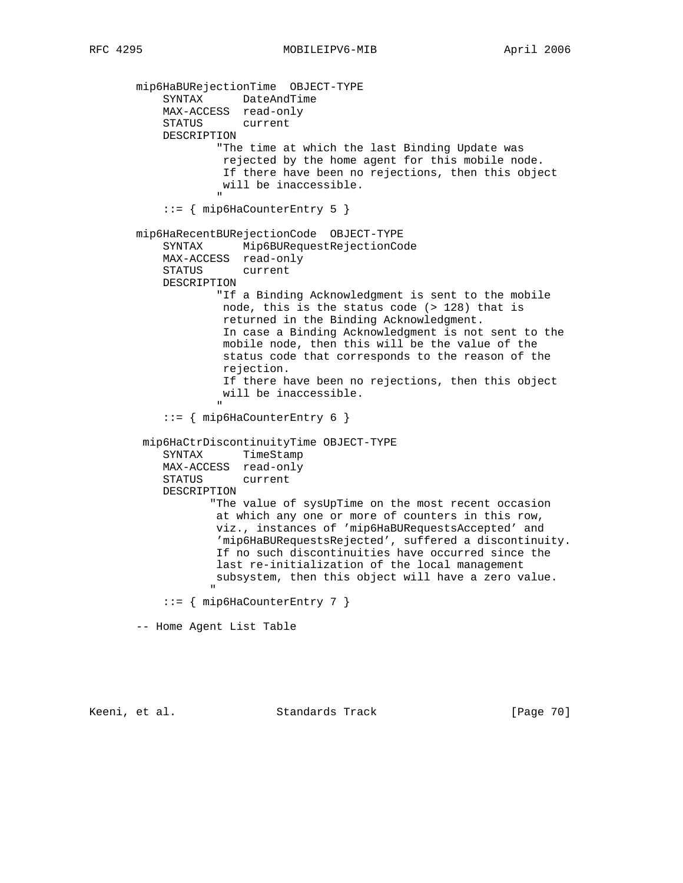mip6HaBURejectionTime OBJECT-TYPE SYNTAX DateAndTime MAX-ACCESS read-only STATUS current DESCRIPTION "The time at which the last Binding Update was rejected by the home agent for this mobile node. If there have been no rejections, then this object will be inaccessible. " "The contract of the contract of the contract of the contract of the contract of the contract of the contract of the contract of the contract of the contract of the contract of the contract of the contract of the contrac ::= { mip6HaCounterEntry 5 } mip6HaRecentBURejectionCode OBJECT-TYPE SYNTAX Mip6BURequestRejectionCode MAX-ACCESS read-only STATUS current DESCRIPTION "If a Binding Acknowledgment is sent to the mobile node, this is the status code (> 128) that is returned in the Binding Acknowledgment. In case a Binding Acknowledgment is not sent to the mobile node, then this will be the value of the status code that corresponds to the reason of the rejection. If there have been no rejections, then this object will be inaccessible. " ::= { mip6HaCounterEntry 6 } mip6HaCtrDiscontinuityTime OBJECT-TYPE SYNTAX TimeStamp MAX-ACCESS read-only STATUS current DESCRIPTION "The value of sysUpTime on the most recent occasion at which any one or more of counters in this row, viz., instances of 'mip6HaBURequestsAccepted' and 'mip6HaBURequestsRejected', suffered a discontinuity. If no such discontinuities have occurred since the last re-initialization of the local management subsystem, then this object will have a zero value. " "The contract of the contract of the contract of the contract of the contract of the contract of the contract of the contract of the contract of the contract of the contract of the contract of the contract of the contrac ::= { mip6HaCounterEntry 7 } -- Home Agent List Table

Keeni, et al. Standards Track [Page 70]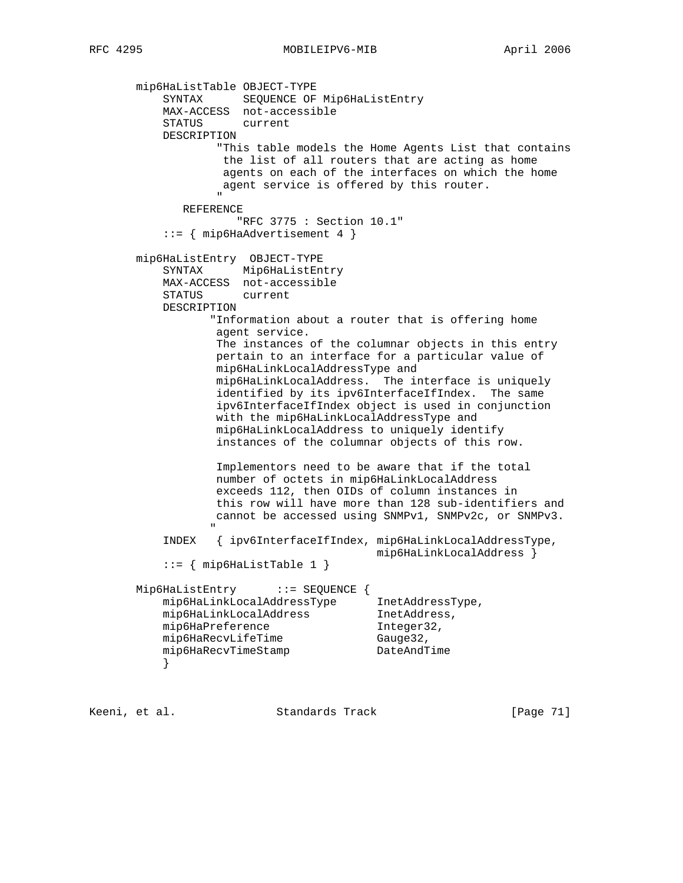mip6HaListTable OBJECT-TYPE SYNTAX SEQUENCE OF Mip6HaListEntry MAX-ACCESS not-accessible STATUS current DESCRIPTION "This table models the Home Agents List that contains the list of all routers that are acting as home agents on each of the interfaces on which the home agent service is offered by this router. " "The contract of the contract of the contract of the contract of the contract of the contract of the contract of the contract of the contract of the contract of the contract of the contract of the contract of the contrac REFERENCE "RFC 3775 : Section 10.1" ::= { mip6HaAdvertisement 4 } mip6HaListEntry OBJECT-TYPE SYNTAX Mip6HaListEntry MAX-ACCESS not-accessible STATUS current DESCRIPTION "Information about a router that is offering home agent service. The instances of the columnar objects in this entry pertain to an interface for a particular value of mip6HaLinkLocalAddressType and mip6HaLinkLocalAddress. The interface is uniquely identified by its ipv6InterfaceIfIndex. The same ipv6InterfaceIfIndex object is used in conjunction with the mip6HaLinkLocalAddressType and mip6HaLinkLocalAddress to uniquely identify instances of the columnar objects of this row. Implementors need to be aware that if the total number of octets in mip6HaLinkLocalAddress exceeds 112, then OIDs of column instances in this row will have more than 128 sub-identifiers and cannot be accessed using SNMPv1, SNMPv2c, or SNMPv3. " "The contract of the contract of the contract of the contract of the contract of the contract of the contract of the contract of the contract of the contract of the contract of the contract of the contract of the contrac INDEX { ipv6InterfaceIfIndex, mip6HaLinkLocalAddressType, mip6HaLinkLocalAddress }  $::=$  { mip6HaListTable 1 } Mip6HaListEntry ::= SEQUENCE { mip6HaLinkLocalAddressType InetAddressType, mip6HaLinkLocalAddress InetAddress, mip6HaPreference integer32, mip6HaRecvLifeTime Gauge32, mip6HaRecvTimeStamp DateAndTime }

Keeni, et al. Standards Track [Page 71]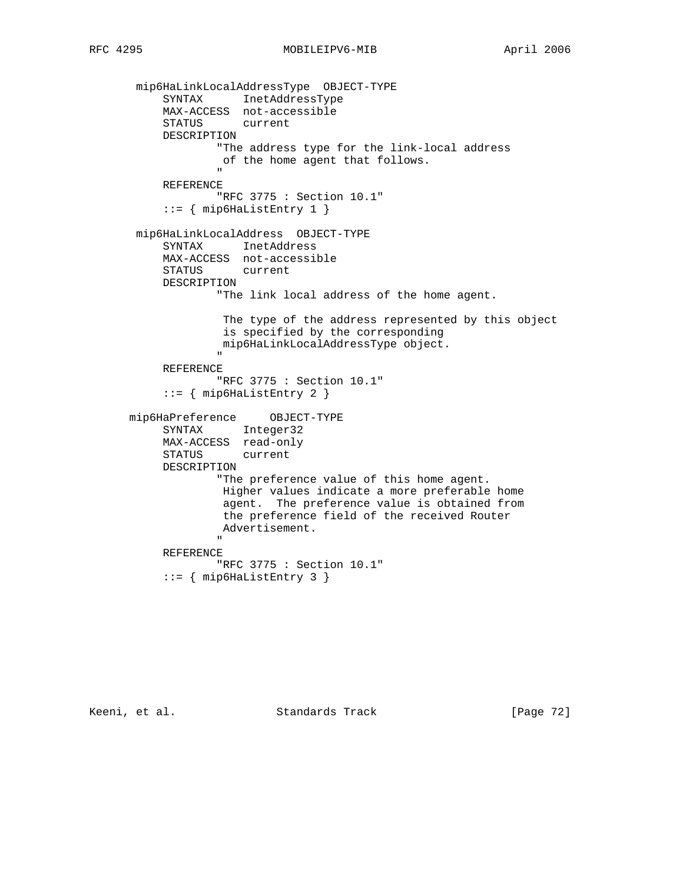mip6HaLinkLocalAddressType OBJECT-TYPE SYNTAX InetAddressType MAX-ACCESS not-accessible STATUS current DESCRIPTION "The address type for the link-local address of the home agent that follows. " "The contract of the contract of the contract of the contract of the contract of the contract of the contract of the contract of the contract of the contract of the contract of the contract of the contract of the contrac REFERENCE "RFC 3775 : Section 10.1" ::= { mip6HaListEntry 1 } mip6HaLinkLocalAddress OBJECT-TYPE SYNTAX InetAddress MAX-ACCESS not-accessible STATUS current DESCRIPTION "The link local address of the home agent. The type of the address represented by this object is specified by the corresponding mip6HaLinkLocalAddressType object. " "The contract of the contract of the contract of the contract of the contract of the contract of the contract of the contract of the contract of the contract of the contract of the contract of the contract of the contrac REFERENCE "RFC 3775 : Section 10.1"  $::=$   $\{$  mip6HaListEntry 2  $\}$  mip6HaPreference OBJECT-TYPE SYNTAX Integer32 MAX-ACCESS read-only STATUS current DESCRIPTION "The preference value of this home agent. Higher values indicate a more preferable home agent. The preference value is obtained from the preference field of the received Router Advertisement. " "The contract of the contract of the contract of the contract of the contract of the contract of the contract of the contract of the contract of the contract of the contract of the contract of the contract of the contrac REFERENCE "RFC 3775 : Section 10.1"  $::=$   $\{$  mip6HaListEntry 3  $\}$ 

Keeni, et al. Standards Track [Page 72]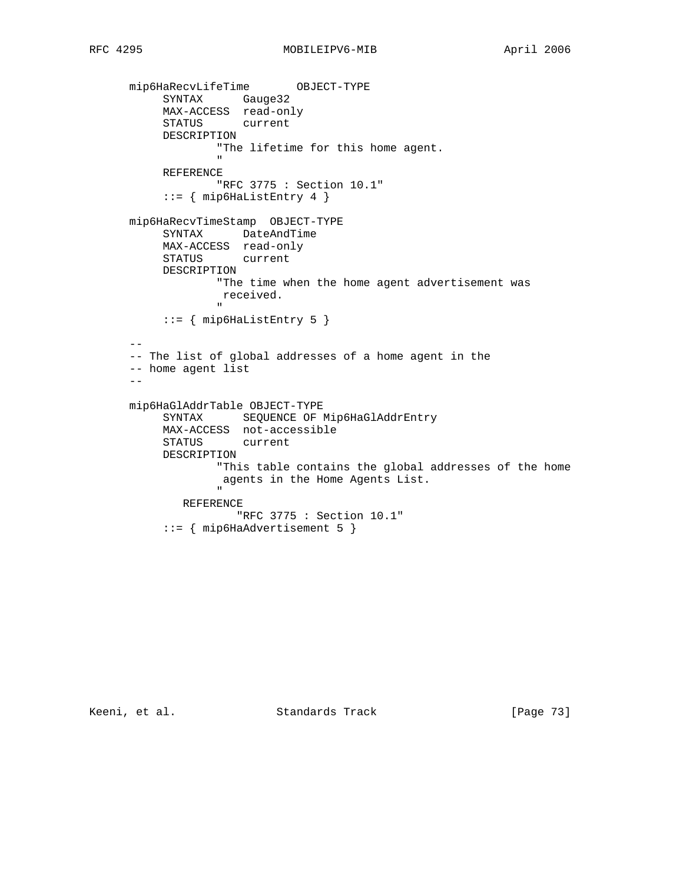```
 mip6HaRecvLifeTime OBJECT-TYPE
SYNTAX Gauge32
 MAX-ACCESS read-only
                  STATUS current
                  DESCRIPTION
                                "The lifetime for this home agent.
" "The contract of the contract of the contract of the contract of the contract of the contract of the contract of the contract of the contract of the contract of the contract of the contract of the contract of the contrac
                  REFERENCE
                                "RFC 3775 : Section 10.1"
                   ::= { mip6HaListEntry 4 }
          mip6HaRecvTimeStamp OBJECT-TYPE
                  SYNTAX DateAndTime
                  MAX-ACCESS read-only
                  STATUS current
                  DESCRIPTION
                               "The time when the home agent advertisement was
                                 received.
" "The contract of the contract of the contract of the contract of the contract of the contract of the contract of the contract of the contract of the contract of the contract of the contract of the contract of the contrac
                  ::= { mip6HaListEntry 5 { } --
          -- The list of global addresses of a home agent in the
          -- home agent list
         - mip6HaGlAddrTable OBJECT-TYPE
                  SYNTAX SEQUENCE OF Mip6HaGlAddrEntry
                  MAX-ACCESS not-accessible
                  STATUS current
                  DESCRIPTION
                               "This table contains the global addresses of the home
                                agents in the Home Agents List.
" "The contract of the contract of the contract of the contract of the contract of the contract of the contract of the contract of the contract of the contract of the contract of the contract of the contract of the contrac
                       REFERENCE
                                    "RFC 3775 : Section 10.1"
                   ::= { mip6HaAdvertisement 5 }
```
Keeni, et al. Standards Track [Page 73]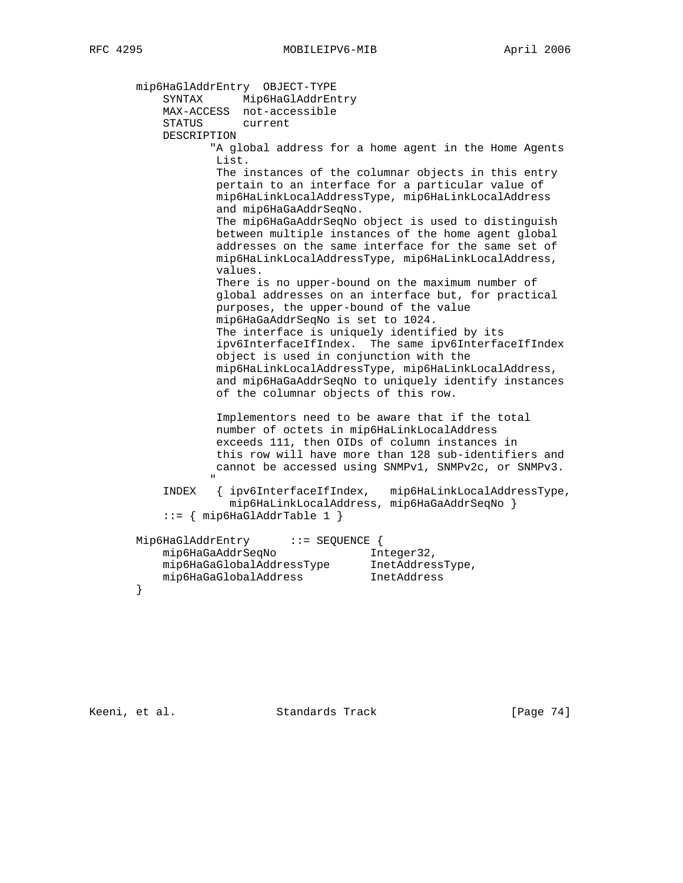mip6HaGlAddrEntry OBJECT-TYPE SYNTAX Mip6HaGlAddrEntry MAX-ACCESS not-accessible STATUS current DESCRIPTION "A global address for a home agent in the Home Agents List. The instances of the columnar objects in this entry pertain to an interface for a particular value of mip6HaLinkLocalAddressType, mip6HaLinkLocalAddress and mip6HaGaAddrSeqNo. The mip6HaGaAddrSeqNo object is used to distinguish between multiple instances of the home agent global addresses on the same interface for the same set of mip6HaLinkLocalAddressType, mip6HaLinkLocalAddress, values. There is no upper-bound on the maximum number of global addresses on an interface but, for practical purposes, the upper-bound of the value mip6HaGaAddrSeqNo is set to 1024. The interface is uniquely identified by its ipv6InterfaceIfIndex. The same ipv6InterfaceIfIndex object is used in conjunction with the mip6HaLinkLocalAddressType, mip6HaLinkLocalAddress, and mip6HaGaAddrSeqNo to uniquely identify instances of the columnar objects of this row. Implementors need to be aware that if the total number of octets in mip6HaLinkLocalAddress exceeds 111, then OIDs of column instances in this row will have more than 128 sub-identifiers and cannot be accessed using SNMPv1, SNMPv2c, or SNMPv3. " "The contract of the contract of the contract of the contract of the contract of the contract of the contract of the contract of the contract of the contract of the contract of the contract of the contract of the contrac INDEX { ipv6InterfaceIfIndex, mip6HaLinkLocalAddressType, mip6HaLinkLocalAddress, mip6HaGaAddrSeqNo } ::= { mip6HaGlAddrTable 1 } Mip6HaGlAddrEntry ::= SEQUENCE { mip6HaGaAddrSeqNo Integer32, mip6HaGaGlobalAddressType InetAddressType, mip6HaGaGlobalAddress InetAddress }

Keeni, et al. Standards Track [Page 74]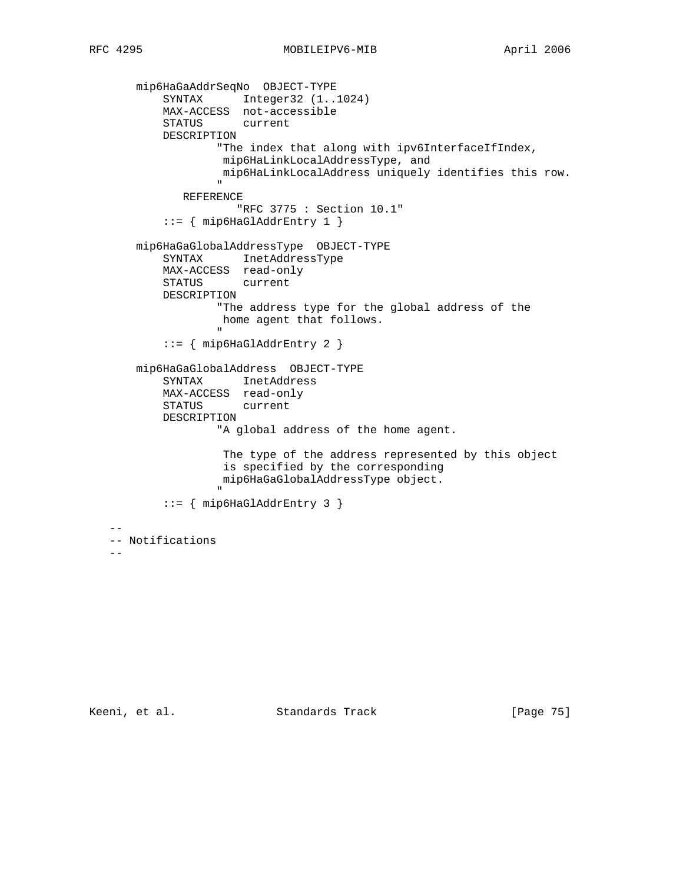mip6HaGaAddrSeqNo OBJECT-TYPE SYNTAX Integer32 (1..1024) MAX-ACCESS not-accessible STATUS current DESCRIPTION "The index that along with ipv6InterfaceIfIndex, mip6HaLinkLocalAddressType, and mip6HaLinkLocalAddress uniquely identifies this row. " REFERENCE "RFC 3775 : Section 10.1" ::= { mip6HaGlAddrEntry 1 } mip6HaGaGlobalAddressType OBJECT-TYPE SYNTAX InetAddressType MAX-ACCESS read-only STATUS current DESCRIPTION "The address type for the global address of the home agent that follows. " ::= { mip6HaGlAddrEntry 2 } mip6HaGaGlobalAddress OBJECT-TYPE SYNTAX InetAddress MAX-ACCESS read-only STATUS current DESCRIPTION "A global address of the home agent. The type of the address represented by this object is specified by the corresponding mip6HaGaGlobalAddressType object. " "The contract of the contract of the contract of the contract of the contract of the contract of the contract of the contract of the contract of the contract of the contract of the contract of the contract of the contrac ::= { mip6HaGlAddrEntry 3 } -- -- Notifications  $-$ 

Keeni, et al. Standards Track [Page 75]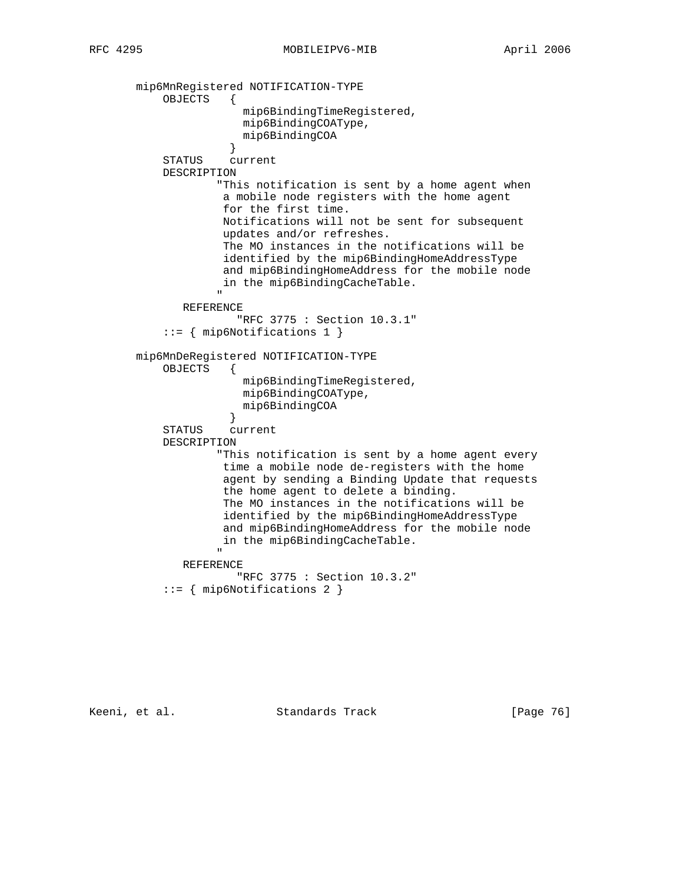mip6MnRegistered NOTIFICATION-TYPE OBJECTS { mip6BindingTimeRegistered, mip6BindingCOAType, mip6BindingCOA } STATUS current DESCRIPTION "This notification is sent by a home agent when a mobile node registers with the home agent for the first time. Notifications will not be sent for subsequent updates and/or refreshes. The MO instances in the notifications will be identified by the mip6BindingHomeAddressType and mip6BindingHomeAddress for the mobile node in the mip6BindingCacheTable. " REFERENCE "RFC 3775 : Section 10.3.1" ::= { mip6Notifications 1 } mip6MnDeRegistered NOTIFICATION-TYPE OBJECTS { mip6BindingTimeRegistered, mip6BindingCOAType, mip6BindingCOA } STATUS current DESCRIPTION "This notification is sent by a home agent every time a mobile node de-registers with the home agent by sending a Binding Update that requests the home agent to delete a binding. The MO instances in the notifications will be identified by the mip6BindingHomeAddressType and mip6BindingHomeAddress for the mobile node in the mip6BindingCacheTable. " REFERENCE "RFC 3775 : Section 10.3.2" ::= { mip6Notifications 2 }

Keeni, et al. Standards Track [Page 76]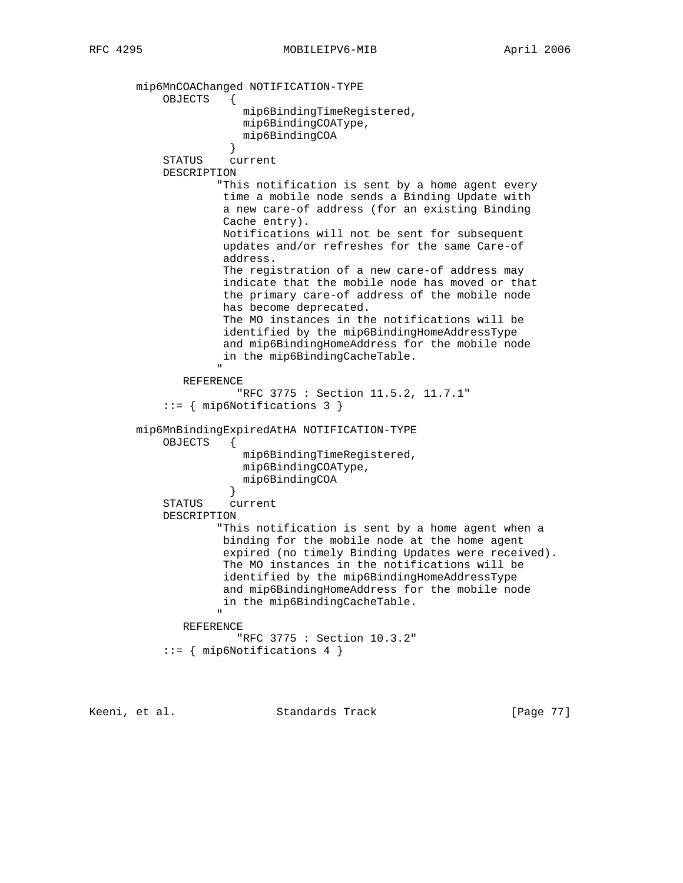mip6MnCOAChanged NOTIFICATION-TYPE OBJECTS { mip6BindingTimeRegistered, mip6BindingCOAType, mip6BindingCOA } STATUS current DESCRIPTION "This notification is sent by a home agent every time a mobile node sends a Binding Update with a new care-of address (for an existing Binding Cache entry). Notifications will not be sent for subsequent updates and/or refreshes for the same Care-of address. The registration of a new care-of address may indicate that the mobile node has moved or that the primary care-of address of the mobile node has become deprecated. The MO instances in the notifications will be identified by the mip6BindingHomeAddressType and mip6BindingHomeAddress for the mobile node in the mip6BindingCacheTable. " REFERENCE "RFC 3775 : Section 11.5.2, 11.7.1" ::= { mip6Notifications 3 } mip6MnBindingExpiredAtHA NOTIFICATION-TYPE OBJECTS { mip6BindingTimeRegistered, mip6BindingCOAType, mip6BindingCOA } STATUS current DESCRIPTION "This notification is sent by a home agent when a binding for the mobile node at the home agent expired (no timely Binding Updates were received). The MO instances in the notifications will be identified by the mip6BindingHomeAddressType and mip6BindingHomeAddress for the mobile node in the mip6BindingCacheTable. " "The contract of the contract of the contract of the contract of the contract of the contract of the contract of the contract of the contract of the contract of the contract of the contract of the contract of the contrac REFERENCE "RFC 3775 : Section 10.3.2" ::= { mip6Notifications 4 }

Keeni, et al. Standards Track [Page 77]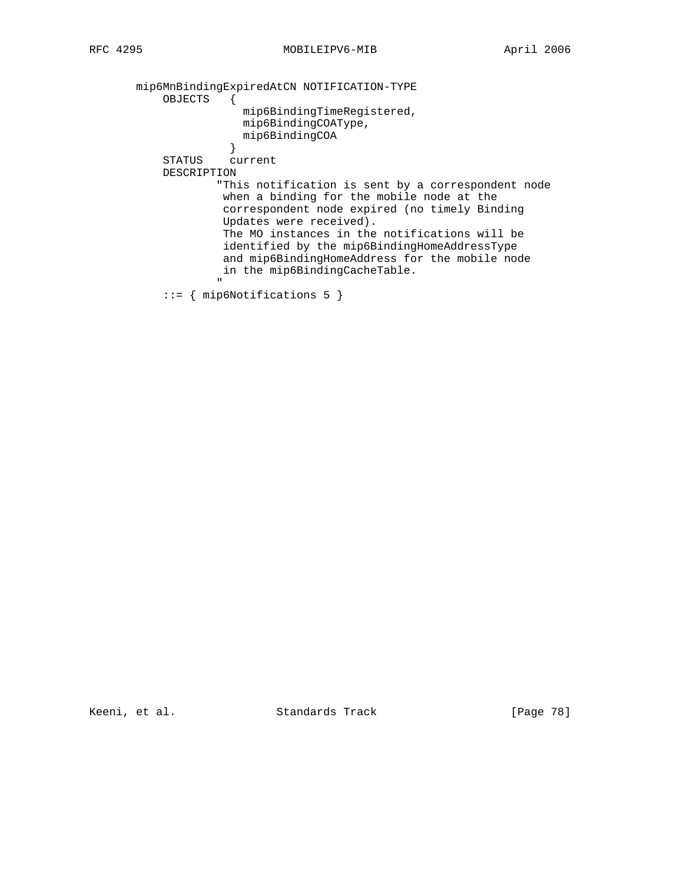mip6MnBindingExpiredAtCN NOTIFICATION-TYPE OBJECTS { mip6BindingTimeRegistered, mip6BindingCOAType, mip6BindingCOA<br>} } STATUS current DESCRIPTION "This notification is sent by a correspondent node when a binding for the mobile node at the correspondent node expired (no timely Binding Updates were received). The MO instances in the notifications will be identified by the mip6BindingHomeAddressType and mip6BindingHomeAddress for the mobile node in the mip6BindingCacheTable. " "The contract of the contract of the contract of the contract of the contract of the contract of the contract of the contract of the contract of the contract of the contract of the contract of the contract of the contrac

::= { mip6Notifications 5 }

Keeni, et al. Standards Track [Page 78]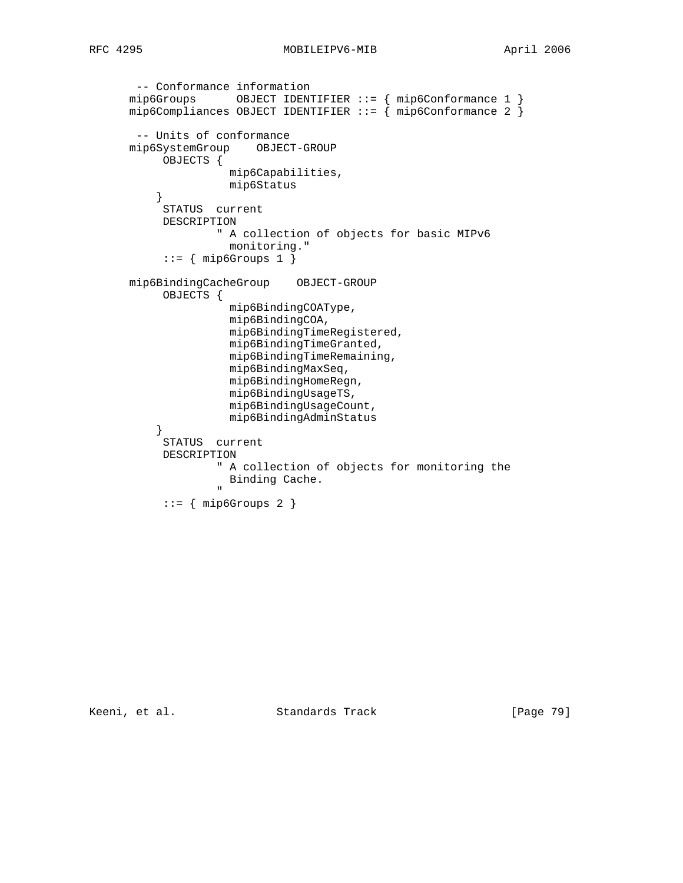```
 -- Conformance information
 mip6Groups OBJECT IDENTIFIER ::= { mip6Conformance 1 }
 mip6Compliances OBJECT IDENTIFIER ::= { mip6Conformance 2 }
         -- Units of conformance
       mip6SystemGroup OBJECT-GROUP
              OBJECTS {
                          mip6Capabilities,
            mip6Status}
 }
              STATUS current
              DESCRIPTION
                        " A collection of objects for basic MIPv6
                         monitoring."
             ::= { mip6Groups 1 }
        mip6BindingCacheGroup OBJECT-GROUP
              OBJECTS {
                          mip6BindingCOAType,
                          mip6BindingCOA,
                          mip6BindingTimeRegistered,
                          mip6BindingTimeGranted,
                          mip6BindingTimeRemaining,
                          mip6BindingMaxSeq,
                          mip6BindingHomeRegn,
                          mip6BindingUsageTS,
                          mip6BindingUsageCount,
                          mip6BindingAdminStatus
 }
              STATUS current
              DESCRIPTION
                        " A collection of objects for monitoring the
                         Binding Cache.
" "The contract of the contract of the contract of the contract of the contract of the contract of the contract of the contract of the contract of the contract of the contract of the contract of the contract of the contrac
             ::= { mip6Groups 2 }
```
Keeni, et al. Standards Track [Page 79]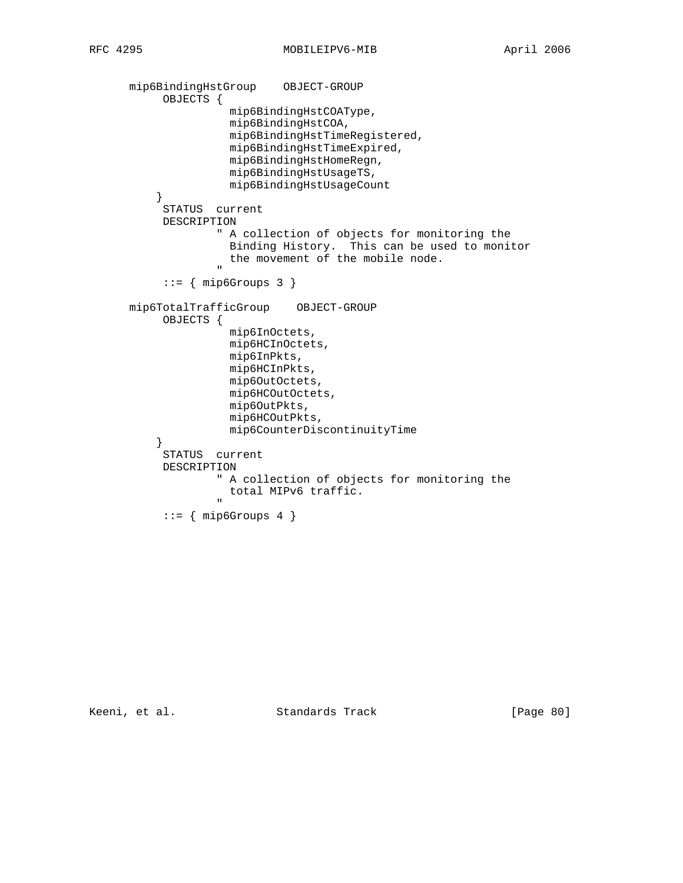```
 mip6BindingHstGroup OBJECT-GROUP
                 OBJECTS {
                                 mip6BindingHstCOAType,
                                 mip6BindingHstCOA,
                                 mip6BindingHstTimeRegistered,
                                 mip6BindingHstTimeExpired,
                                 mip6BindingHstHomeRegn,
                                 mip6BindingHstUsageTS,
                                 mip6BindingHstUsageCount
 }
                 STATUS current
                 DESCRIPTION
                              " A collection of objects for monitoring the
                               Binding History. This can be used to monitor
                                 the movement of the mobile node.
" "The contract of the contract of the contract of the contract of the contract of the contract of the contract of the contract of the contract of the contract of the contract of the contract of the contract of the contrac
                 ::= { mip6Groups 3 } mip6TotalTrafficGroup OBJECT-GROUP
                 OBJECTS {
                                 mip6InOctets,
                                 mip6HCInOctets,
                                 mip6InPkts,
                                 mip6HCInPkts,
                                 mip6OutOctets,
                                 mip6HCOutOctets,
                                 mip6OutPkts,
                                mip6HCOutPkts,
                                mip6CounterDiscontinuityTime
 }
                 STATUS current
                 DESCRIPTION
                              " A collection of objects for monitoring the
                               total MIPv6 traffic.
" "The contract of the contract of the contract of the contract of the contract of the contract of the contract of the contract of the contract of the contract of the contract of the contract of the contract of the contrac
                 ::= { mip6Groups 4 }
```
Keeni, et al. Standards Track [Page 80]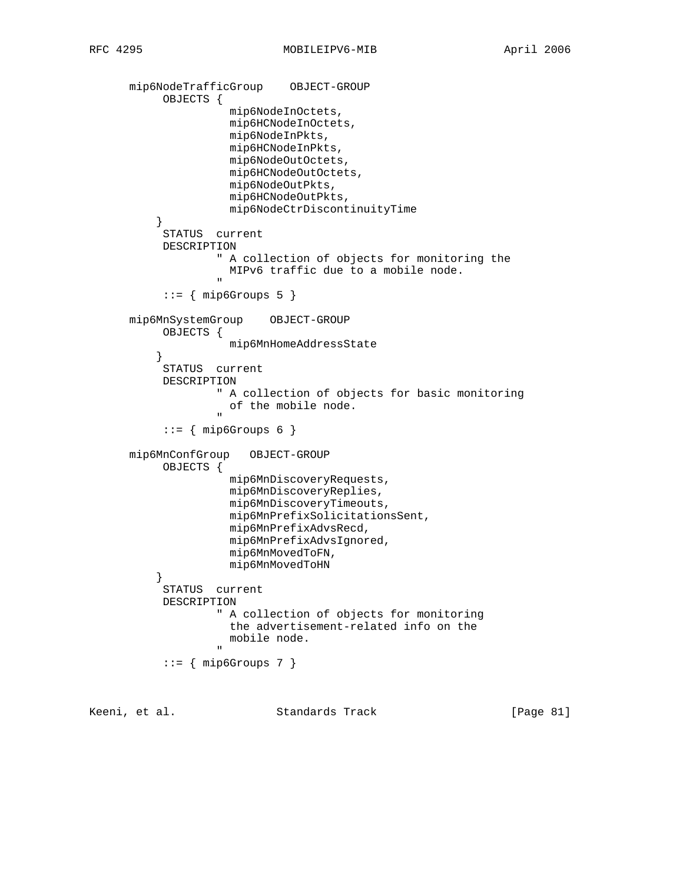```
 mip6NodeTrafficGroup OBJECT-GROUP
                  OBJECTS {
                                  mip6NodeInOctets,
                                  mip6HCNodeInOctets,
                                  mip6NodeInPkts,
                                  mip6HCNodeInPkts,
                                  mip6NodeOutOctets,
                                  mip6HCNodeOutOctets,
                                  mip6NodeOutPkts,
                                  mip6HCNodeOutPkts,
                                  mip6NodeCtrDiscontinuityTime
 }
                  STATUS current
                  DESCRIPTION
                               " A collection of objects for monitoring the
                                 MIPv6 traffic due to a mobile node.
" "The contract of the contract of the contract of the contract of the contract of the contract of the contract of the contract of the contract of the contract of the contract of the contract of the contract of the contrac
                 ::= { mip6Groups 5 }
          mip6MnSystemGroup OBJECT-GROUP
                  OBJECTS {
                                  mip6MnHomeAddressState
 }
                  STATUS current
                  DESCRIPTION
                               " A collection of objects for basic monitoring
                                 of the mobile node.
" "The contract of the contract of the contract of the contract of the contract of the contract of the contract of the contract of the contract of the contract of the contract of the contract of the contract of the contrac
                 ::= { mip6Groups 6 }
          mip6MnConfGroup OBJECT-GROUP
                  OBJECTS {
                                  mip6MnDiscoveryRequests,
                                  mip6MnDiscoveryReplies,
                                  mip6MnDiscoveryTimeouts,
                                  mip6MnPrefixSolicitationsSent,
                                  mip6MnPrefixAdvsRecd,
                                  mip6MnPrefixAdvsIgnored,
                                  mip6MnMovedToFN,
                                  mip6MnMovedToHN
 }
                  STATUS current
                  DESCRIPTION
                               " A collection of objects for monitoring
                                 the advertisement-related info on the
                                  mobile node.
" "The contract of the contract of the contract of the contract of the contract of the contract of the contract of the contract of the contract of the contract of the contract of the contract of the contract of the contrac
                 ::= { mip6Groups 7 }
```
Keeni, et al. Standards Track [Page 81]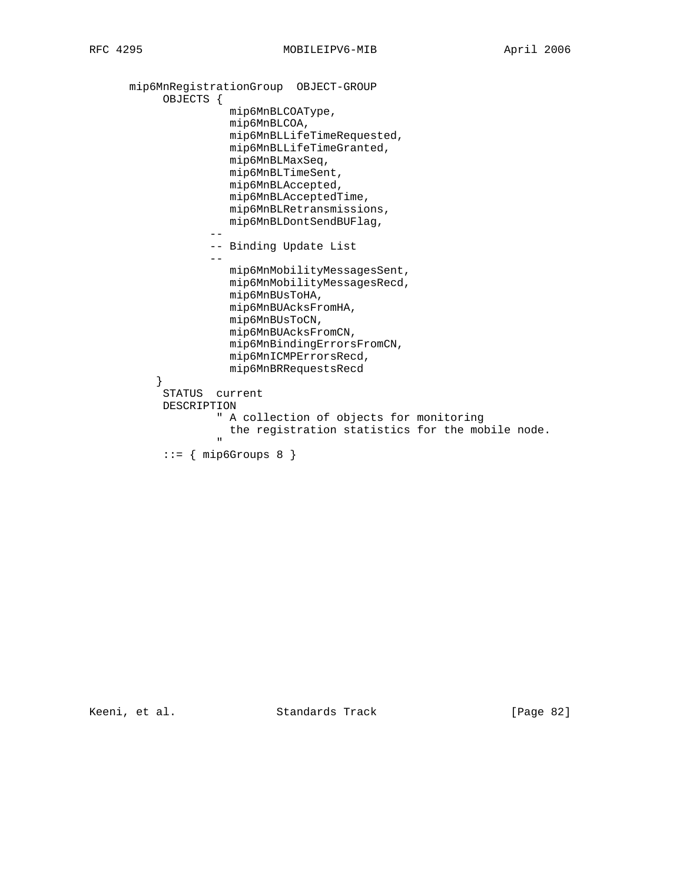```
 mip6MnRegistrationGroup OBJECT-GROUP
           OBJECTS {
                    mip6MnBLCOAType,
                    mip6MnBLCOA,
                    mip6MnBLLifeTimeRequested,
                    mip6MnBLLifeTimeGranted,
                    mip6MnBLMaxSeq,
                    mip6MnBLTimeSent,
                    mip6MnBLAccepted,
                    mip6MnBLAcceptedTime,
                    mip6MnBLRetransmissions,
                    mip6MnBLDontSendBUFlag,
 --
                  -- Binding Update List
 --
                    mip6MnMobilityMessagesSent,
                    mip6MnMobilityMessagesRecd,
                    mip6MnBUsToHA,
                    mip6MnBUAcksFromHA,
                    mip6MnBUsToCN,
                    mip6MnBUAcksFromCN,
                    mip6MnBindingErrorsFromCN,
                    mip6MnICMPErrorsRecd,
         mip6MnBRRequestsRecd<br>}
 }
           STATUS current
           DESCRIPTION
                   " A collection of objects for monitoring
                   the registration statistics for the mobile node.
 "
          ::= { mip6Groups 8 }
```
Keeni, et al. Standards Track [Page 82]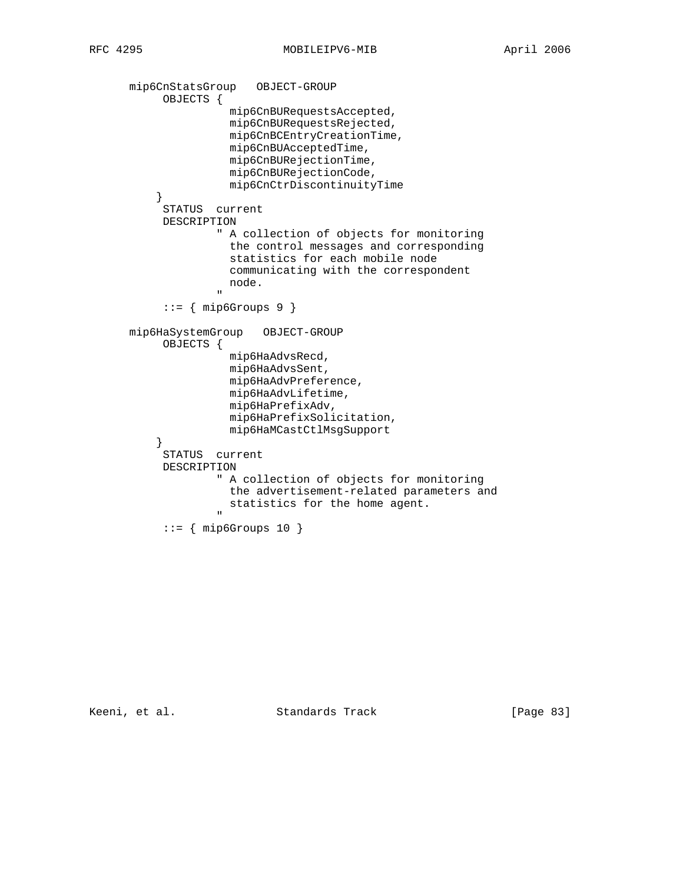```
 mip6CnStatsGroup OBJECT-GROUP
           OBJECTS {
                     mip6CnBURequestsAccepted,
                     mip6CnBURequestsRejected,
                     mip6CnBCEntryCreationTime,
                     mip6CnBUAcceptedTime,
                     mip6CnBURejectionTime,
                     mip6CnBURejectionCode,
                     mip6CnCtrDiscontinuityTime
 }
           STATUS current
           DESCRIPTION
                   " A collection of objects for monitoring
                     the control messages and corresponding
                     statistics for each mobile node
                     communicating with the correspondent
                     node.
 "
          ::= { mip6Groups 9 }
      mip6HaSystemGroup OBJECT-GROUP
           OBJECTS {
                     mip6HaAdvsRecd,
                     mip6HaAdvsSent,
                     mip6HaAdvPreference,
                     mip6HaAdvLifetime,
                     mip6HaPrefixAdv,
                     mip6HaPrefixSolicitation,
                     mip6HaMCastCtlMsgSupport
 }
           STATUS current
           DESCRIPTION
                   " A collection of objects for monitoring
                    the advertisement-related parameters and
                    statistics for the home agent.
 "
           ::= { mip6Groups 10 }
```
Keeni, et al. Standards Track [Page 83]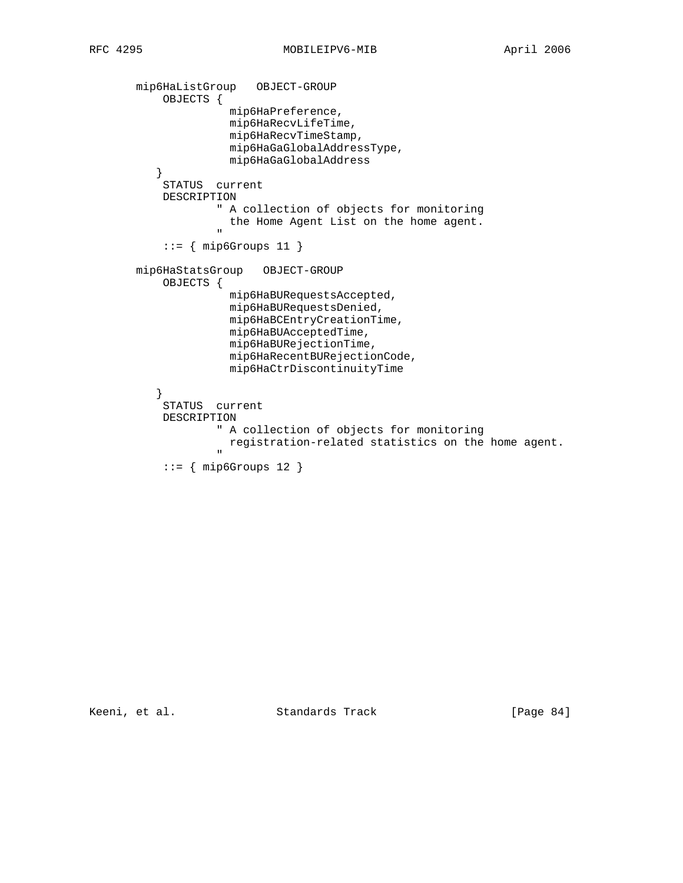```
 mip6HaListGroup OBJECT-GROUP
                 OBJECTS {
                                 mip6HaPreference,
                                 mip6HaRecvLifeTime,
                                 mip6HaRecvTimeStamp,
                                 mip6HaGaGlobalAddressType,
                                 mip6HaGaGlobalAddress
 }
                  STATUS current
                 DESCRIPTION
                               " A collection of objects for monitoring
                               the Home Agent List on the home agent.
" "The contract of the contract of the contract of the contract of the contract of the contract of the contract of the contract of the contract of the contract of the contract of the contract of the contract of the contrac
                 ::= { mip6Groups 11 {} mip6HaStatsGroup OBJECT-GROUP
                 OBJECTS {
                                 mip6HaBURequestsAccepted,
                                 mip6HaBURequestsDenied,
                                 mip6HaBCEntryCreationTime,
                                 mip6HaBUAcceptedTime,
                                 mip6HaBURejectionTime,
                                 mip6HaRecentBURejectionCode,
                                 mip6HaCtrDiscontinuityTime
 }
                  STATUS current
                  DESCRIPTION
                               " A collection of objects for monitoring
                               registration-related statistics on the home agent.
" "The contract of the contract of the contract of the contract of the contract of the contract of the contract of the contract of the contract of the contract of the contract of the contract of the contract of the contrac
                 ::= { mip6Groups 12 }
```
Keeni, et al. Standards Track [Page 84]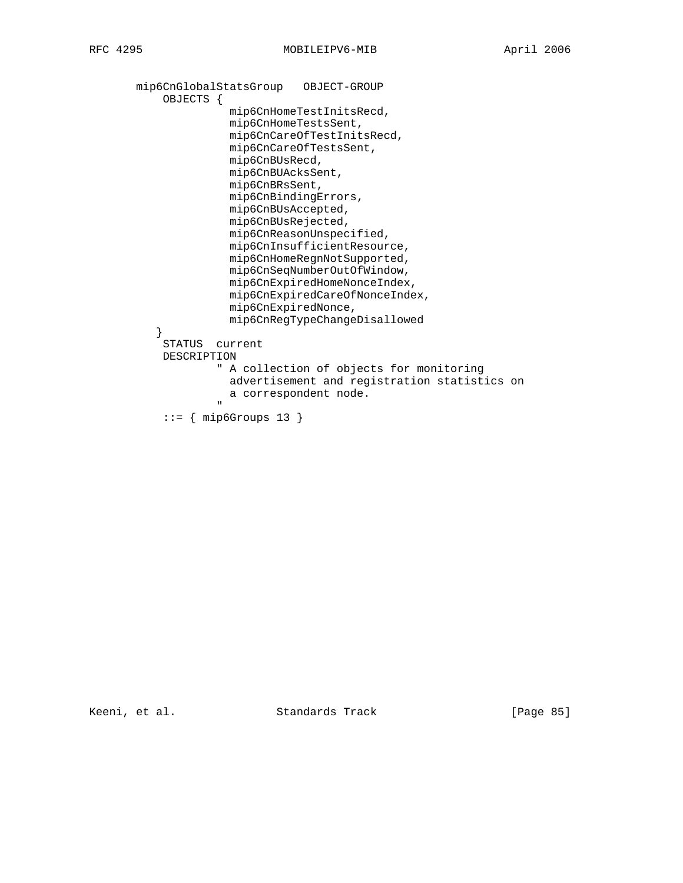```
 mip6CnGlobalStatsGroup OBJECT-GROUP
           OBJECTS {
                     mip6CnHomeTestInitsRecd,
                     mip6CnHomeTestsSent,
                     mip6CnCareOfTestInitsRecd,
                     mip6CnCareOfTestsSent,
                     mip6CnBUsRecd,
                     mip6CnBUAcksSent,
                     mip6CnBRsSent,
                     mip6CnBindingErrors,
                     mip6CnBUsAccepted,
                     mip6CnBUsRejected,
                     mip6CnReasonUnspecified,
                     mip6CnInsufficientResource,
                     mip6CnHomeRegnNotSupported,
                     mip6CnSeqNumberOutOfWindow,
                     mip6CnExpiredHomeNonceIndex,
                     mip6CnExpiredCareOfNonceIndex,
                     mip6CnExpiredNonce,
                     mip6CnRegTypeChangeDisallowed
 }
           STATUS current
           DESCRIPTION
                    " A collection of objects for monitoring
                     advertisement and registration statistics on
                   a correspondent node.
 "
            ::= { mip6Groups 13 }
```
Keeni, et al. Standards Track [Page 85]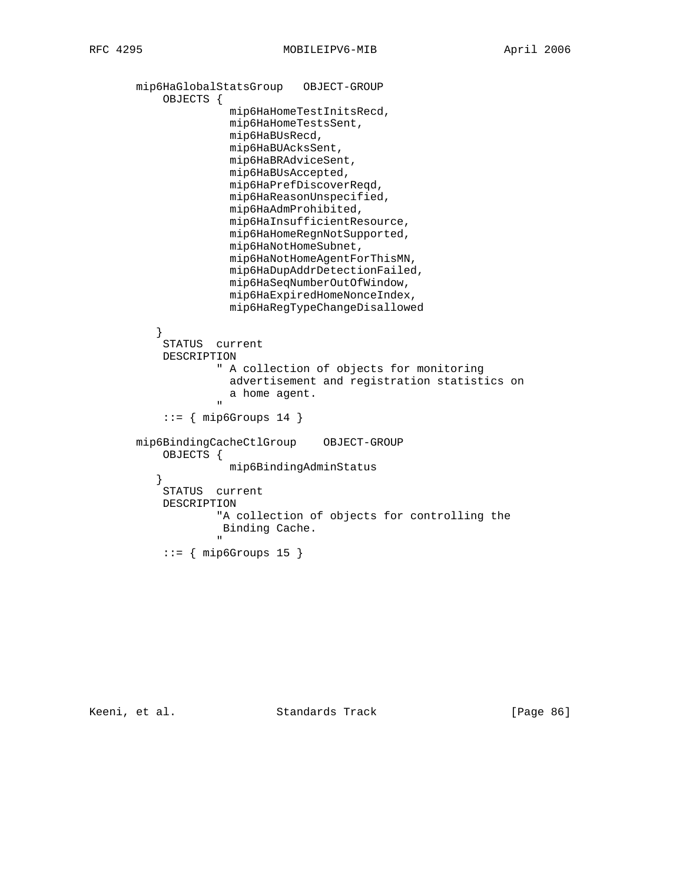```
 mip6HaGlobalStatsGroup OBJECT-GROUP
              OBJECTS {
                          mip6HaHomeTestInitsRecd,
                          mip6HaHomeTestsSent,
                          mip6HaBUsRecd,
                          mip6HaBUAcksSent,
                          mip6HaBRAdviceSent,
                          mip6HaBUsAccepted,
                          mip6HaPrefDiscoverReqd,
                          mip6HaReasonUnspecified,
                          mip6HaAdmProhibited,
                          mip6HaInsufficientResource,
                          mip6HaHomeRegnNotSupported,
                          mip6HaNotHomeSubnet,
                          mip6HaNotHomeAgentForThisMN,
                          mip6HaDupAddrDetectionFailed,
                          mip6HaSeqNumberOutOfWindow,
                          mip6HaExpiredHomeNonceIndex,
                          mip6HaRegTypeChangeDisallowed
 }
              STATUS current
              DESCRIPTION
                        " A collection of objects for monitoring
                          advertisement and registration statistics on
                       a home agent.
 "
             ::= { mip6Groups 14 }
         mip6BindingCacheCtlGroup OBJECT-GROUP
              OBJECTS {
                          mip6BindingAdminStatus
 }
              STATUS current
              DESCRIPTION
                        "A collection of objects for controlling the
                         Binding Cache.
" "The contract of the contract of the contract of the contract of the contract of the contract of the contract of the contract of the contract of the contract of the contract of the contract of the contract of the contrac
             ::= { mip6Groups 15 }
```
Keeni, et al. Standards Track [Page 86]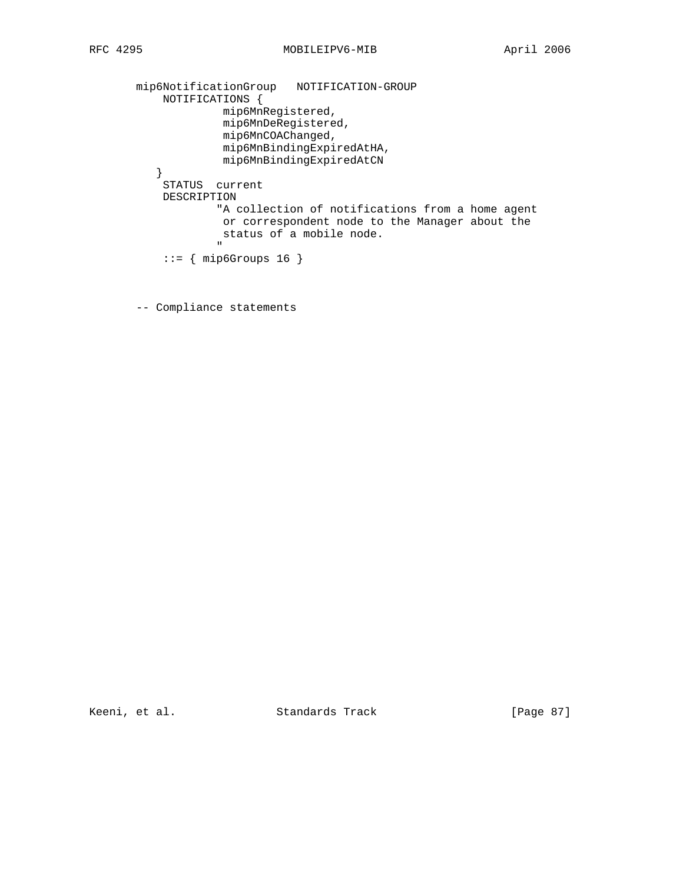```
 mip6NotificationGroup NOTIFICATION-GROUP
                 NOTIFICATIONS {
                               mip6MnRegistered,
                               mip6MnDeRegistered,
                              mip6MnCOAChanged,
                               mip6MnBindingExpiredAtHA,
               mip6MnBindingExpiredAtCN<br>}
 }
                 STATUS current
                 DESCRIPTION
                              "A collection of notifications from a home agent
                              or correspondent node to the Manager about the
                             status of a mobile node.<br>"
" "The contract of the contract of the contract of the contract of the contract of the contract of the contract of the contract of the contract of the contract of the contract of the contract of the contract of the contrac
                ::= { mip6Groups 16 }
```
-- Compliance statements

Keeni, et al. Standards Track [Page 87]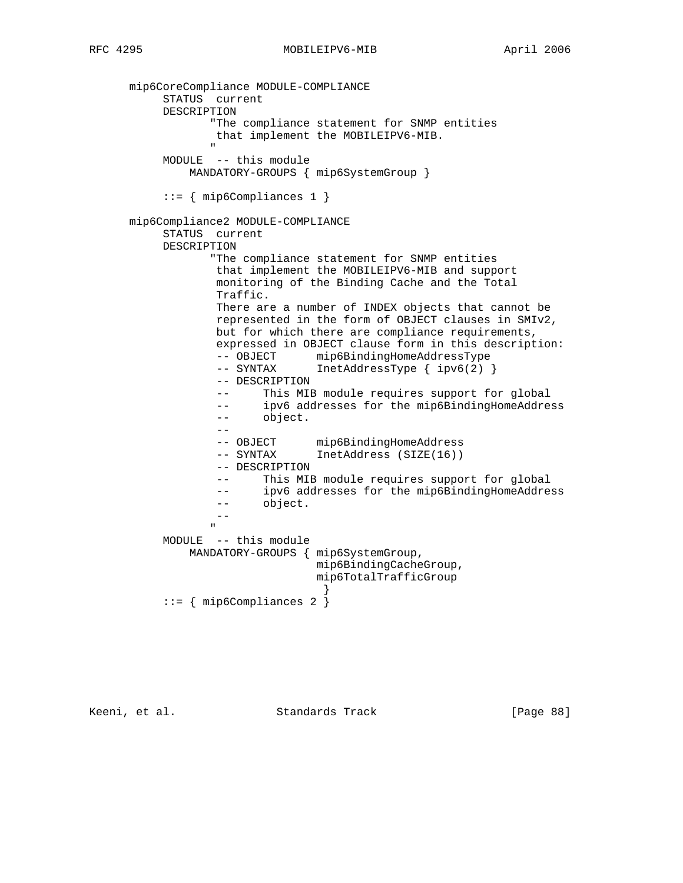```
 mip6CoreCompliance MODULE-COMPLIANCE
             STATUS current
             DESCRIPTION
                      "The compliance statement for SNMP entities
                      that implement the MOBILEIPV6-MIB.
" "The contract of the contract of the contract of the contract of the contract of the contract of the contract of the contract of the contract of the contract of the contract of the contract of the contract of the contrac
             MODULE -- this module
                  MANDATORY-GROUPS { mip6SystemGroup }
              ::= { mip6Compliances 1 }
       mip6Compliance2 MODULE-COMPLIANCE
             STATUS current
             DESCRIPTION
                      "The compliance statement for SNMP entities
                       that implement the MOBILEIPV6-MIB and support
                       monitoring of the Binding Cache and the Total
                       Traffic.
                       There are a number of INDEX objects that cannot be
                       represented in the form of OBJECT clauses in SMIv2,
                       but for which there are compliance requirements,
                       expressed in OBJECT clause form in this description:
-- OBJECT mip6BindingHomeAddressType
 -- SYNTAX InetAddressType { ipv6(2) }
                       -- DESCRIPTION
                       -- This MIB module requires support for global
                       -- ipv6 addresses for the mip6BindingHomeAddress
                       -- object.
 --
-- OBJECT mip6BindingHomeAddress
 -- SYNTAX InetAddress (SIZE(16))
                       -- DESCRIPTION
                       -- This MIB module requires support for global
                       -- ipv6 addresses for the mip6BindingHomeAddress
                       -- object.
 --
" "The contract of the contract of the contract of the contract of the contract of the contract of the contract of the contract of the contract of the contract of the contract of the contract of the contract of the contrac
             MODULE -- this module
                  MANDATORY-GROUPS { mip6SystemGroup,
                                         mip6BindingCacheGroup,
                                         mip6TotalTrafficGroup
 }
             ::= { mip6Compliances 2 }
```
Keeni, et al. Standards Track [Page 88]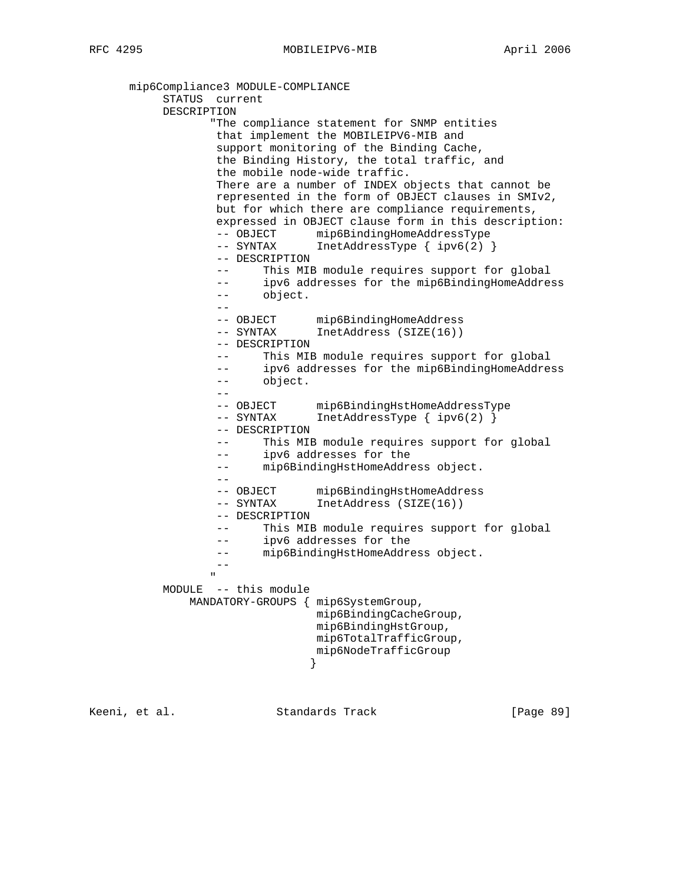mip6Compliance3 MODULE-COMPLIANCE STATUS current DESCRIPTION "The compliance statement for SNMP entities that implement the MOBILEIPV6-MIB and support monitoring of the Binding Cache, the Binding History, the total traffic, and the mobile node-wide traffic. There are a number of INDEX objects that cannot be represented in the form of OBJECT clauses in SMIv2, but for which there are compliance requirements, expressed in OBJECT clause form in this description: -- OBJECT mip6BindingHomeAddressType -- SYNTAX InetAddressType { ipv6(2) } -- DESCRIPTION -- This MIB module requires support for global -- ipv6 addresses for the mip6BindingHomeAddress -- object. -- -- OBJECT mip6BindingHomeAddress -- SYNTAX InetAddress (SIZE(16)) -- DESCRIPTION -- This MIB module requires support for global -- ipv6 addresses for the mip6BindingHomeAddress -- object. -- -- OBJECT mip6BindingHstHomeAddressType -- SYNTAX InetAddressType { ipv6(2) } -- DESCRIPTION -- This MIB module requires support for global -- ipv6 addresses for the -- mip6BindingHstHomeAddress object. -- -- OBJECT mip6BindingHstHomeAddress -- SYNTAX InetAddress (SIZE(16)) -- DESCRIPTION -- This MIB module requires support for global -- ipv6 addresses for the -- mip6BindingHstHomeAddress object.  $\frac{-}{\pi}$ " "The contract of the contract of the contract of the contract of the contract of the contract of the contract of the contract of the contract of the contract of the contract of the contract of the contract of the contrac MODULE -- this module MANDATORY-GROUPS { mip6SystemGroup, mip6BindingCacheGroup, mip6BindingHstGroup, mip6TotalTrafficGroup, mip6NodeTrafficGroup<br>} }

Keeni, et al. Standards Track [Page 89]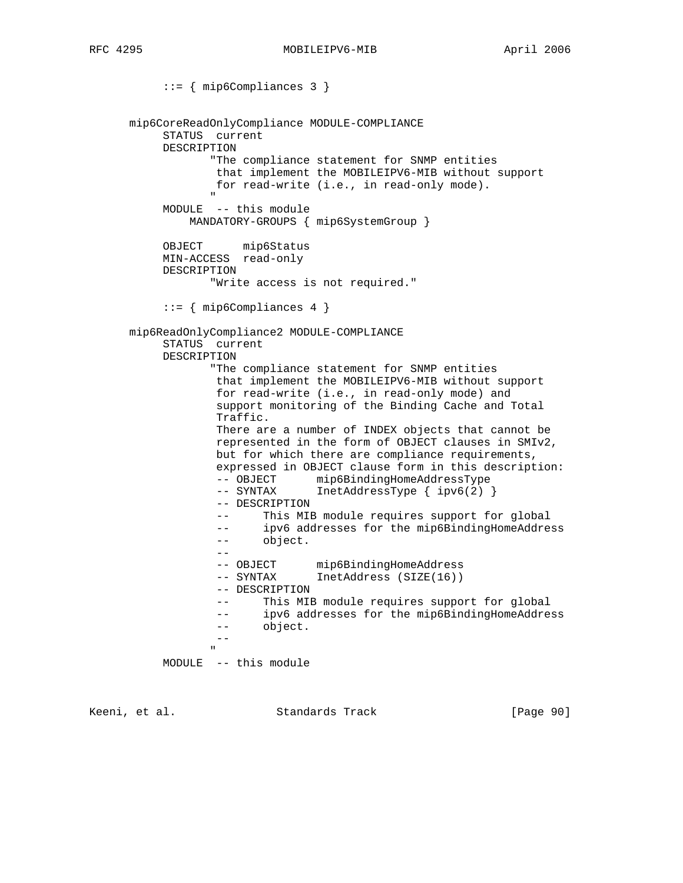::= { mip6Compliances 3 } mip6CoreReadOnlyCompliance MODULE-COMPLIANCE STATUS current DESCRIPTION "The compliance statement for SNMP entities that implement the MOBILEIPV6-MIB without support for read-write (i.e., in read-only mode). " "The contract of the contract of the contract of the contract of the contract of the contract of the contract of the contract of the contract of the contract of the contract of the contract of the contract of the contrac MODULE -- this module MANDATORY-GROUPS { mip6SystemGroup } OBJECT mip6Status MIN-ACCESS read-only DESCRIPTION "Write access is not required." ::= { mip6Compliances 4 } mip6ReadOnlyCompliance2 MODULE-COMPLIANCE STATUS current DESCRIPTION "The compliance statement for SNMP entities that implement the MOBILEIPV6-MIB without support for read-write (i.e., in read-only mode) and support monitoring of the Binding Cache and Total Traffic. There are a number of INDEX objects that cannot be represented in the form of OBJECT clauses in SMIv2, but for which there are compliance requirements, expressed in OBJECT clause form in this description: -- OBJECT mip6BindingHomeAddressType -- SYNTAX InetAddressType { ipv6(2) } -- DESCRIPTION -- This MIB module requires support for global -- ipv6 addresses for the mip6BindingHomeAddress -- object. -- -- OBJECT mip6BindingHomeAddress -- SYNTAX InetAddress (SIZE(16)) -- DESCRIPTION -- This MIB module requires support for global -- ipv6 addresses for the mip6BindingHomeAddress -- object. -- " "The contract of the contract of the contract of the contract of the contract of the contract of the contract of the contract of the contract of the contract of the contract of the contract of the contract of the contrac MODULE -- this module

Keeni, et al. Standards Track [Page 90]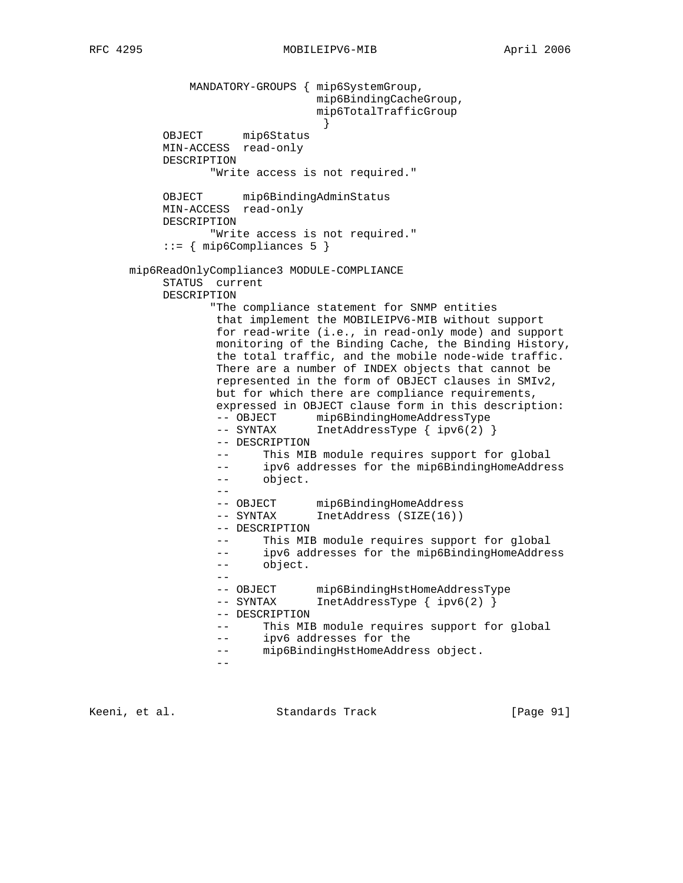MANDATORY-GROUPS { mip6SystemGroup, mip6BindingCacheGroup, mip6TotalTrafficGroup } OBJECT mip6Status MIN-ACCESS read-only DESCRIPTION "Write access is not required." OBJECT mip6BindingAdminStatus MIN-ACCESS read-only DESCRIPTION "Write access is not required."  $::= \{ \text{min6Compliances 5 } \}$  mip6ReadOnlyCompliance3 MODULE-COMPLIANCE STATUS current DESCRIPTION "The compliance statement for SNMP entities that implement the MOBILEIPV6-MIB without support for read-write (i.e., in read-only mode) and support monitoring of the Binding Cache, the Binding History, the total traffic, and the mobile node-wide traffic. There are a number of INDEX objects that cannot be represented in the form of OBJECT clauses in SMIv2, but for which there are compliance requirements, expressed in OBJECT clause form in this description: -- OBJECT mip6BindingHomeAddressType -- SYNTAX InetAddressType { ipv6(2) } -- DESCRIPTION -- This MIB module requires support for global -- ipv6 addresses for the mip6BindingHomeAddress -- object. -- -- OBJECT mip6BindingHomeAddress -- SYNTAX InetAddress (SIZE(16)) -- DESCRIPTION -- This MIB module requires support for global -- ipv6 addresses for the mip6BindingHomeAddress -- object. -- -- OBJECT mip6BindingHstHomeAddressType -- SYNTAX InetAddressType { ipv6(2) } -- DESCRIPTION -- This MIB module requires support for global -- ipv6 addresses for the -- mip6BindingHstHomeAddress object. --

Keeni, et al. Standards Track [Page 91]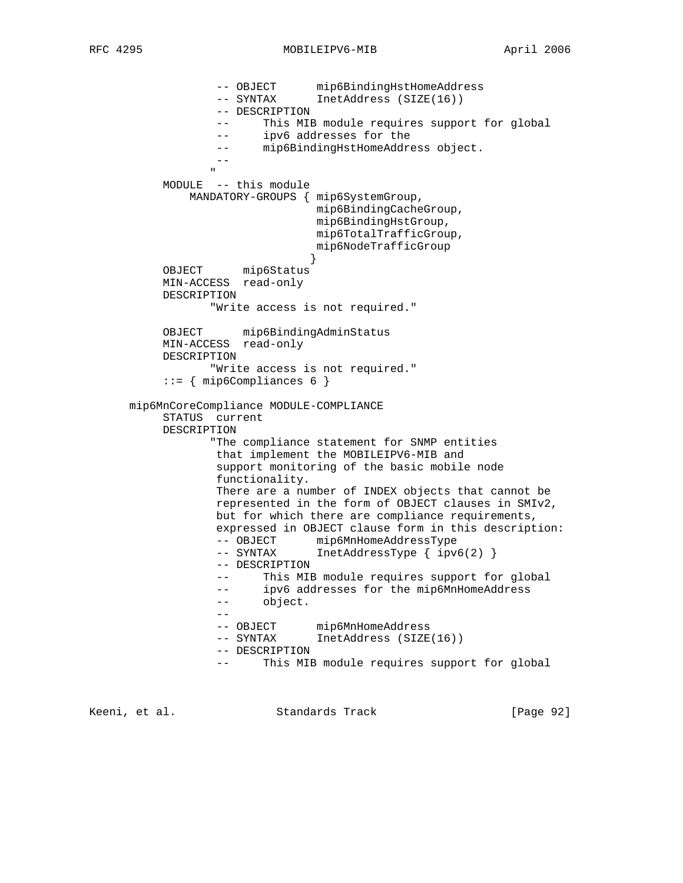-- OBJECT mip6BindingHstHomeAddress<br>-- SYNTAX InetAddress (SIZE(16)) InetAddress (SIZE(16)) -- DESCRIPTION -- This MIB module requires support for global -- ipv6 addresses for the -- mip6BindingHstHomeAddress object. -- " "The contract of the contract of the contract of the contract of the contract of the contract of the contract of the contract of the contract of the contract of the contract of the contract of the contract of the contrac MODULE -- this module MANDATORY-GROUPS { mip6SystemGroup, mip6BindingCacheGroup, mip6BindingHstGroup, mip6TotalTrafficGroup, mip6NodeTrafficGroup } OBJECT mip6Status MIN-ACCESS read-only DESCRIPTION "Write access is not required." OBJECT mip6BindingAdminStatus MIN-ACCESS read-only DESCRIPTION "Write access is not required." ::= { mip6Compliances 6 } mip6MnCoreCompliance MODULE-COMPLIANCE STATUS current DESCRIPTION "The compliance statement for SNMP entities that implement the MOBILEIPV6-MIB and support monitoring of the basic mobile node functionality. There are a number of INDEX objects that cannot be represented in the form of OBJECT clauses in SMIv2, but for which there are compliance requirements, expressed in OBJECT clause form in this description: -- OBJECT mip6MnHomeAddressType -- SYNTAX InetAddressType { ipv6(2) } -- DESCRIPTION -- This MIB module requires support for global -- ipv6 addresses for the mip6MnHomeAddress -- object. -- -- OBJECT mip6MnHomeAddress -- SYNTAX InetAddress (SIZE(16)) -- DESCRIPTION -- This MIB module requires support for global

Keeni, et al. Standards Track [Page 92]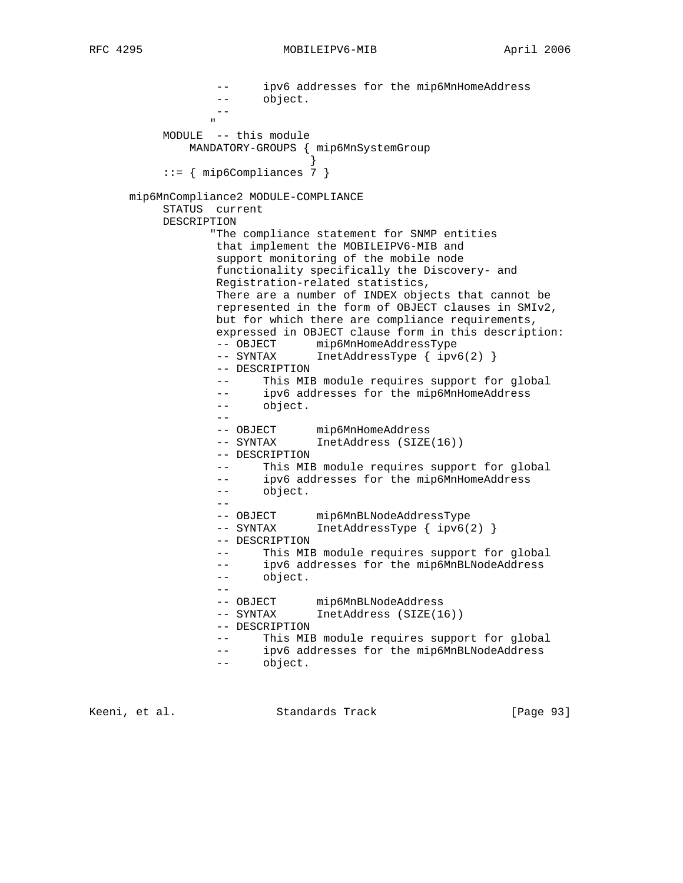-- ipv6 addresses for the mip6MnHomeAddress -- object. -- " "The contract of the contract of the contract of the contract of the contract of the contract of the contract of the contract of the contract of the contract of the contract of the contract of the contract of the contrac MODULE -- this module MANDATORY-GROUPS { mip6MnSystemGroup } ::= { mip6Compliances 7 } mip6MnCompliance2 MODULE-COMPLIANCE STATUS current DESCRIPTION "The compliance statement for SNMP entities that implement the MOBILEIPV6-MIB and support monitoring of the mobile node functionality specifically the Discovery- and Registration-related statistics, There are a number of INDEX objects that cannot be represented in the form of OBJECT clauses in SMIv2, but for which there are compliance requirements, expressed in OBJECT clause form in this description: -- OBJECT mip6MnHomeAddressType -- SYNTAX InetAddressType { ipv6(2) } -- DESCRIPTION -- This MIB module requires support for global -- ipv6 addresses for the mip6MnHomeAddress -- object. -- -- OBJECT mip6MnHomeAddress -- SYNTAX InetAddress (SIZE(16)) -- DESCRIPTION -- This MIB module requires support for global -- ipv6 addresses for the mip6MnHomeAddress -- object. -- -- OBJECT mip6MnBLNodeAddressType<br>-- SYNTAX InetAddressType { ipv6(2  $IntAddressType { ipv6(2) }$  -- DESCRIPTION -- This MIB module requires support for global -- ipv6 addresses for the mip6MnBLNodeAddress -- object. -- -- OBJECT mip6MnBLNodeAddress -- SYNTAX InetAddress (SIZE(16)) -- DESCRIPTION -- This MIB module requires support for global -- ipv6 addresses for the mip6MnBLNodeAddress -- object.

Keeni, et al. Standards Track [Page 93]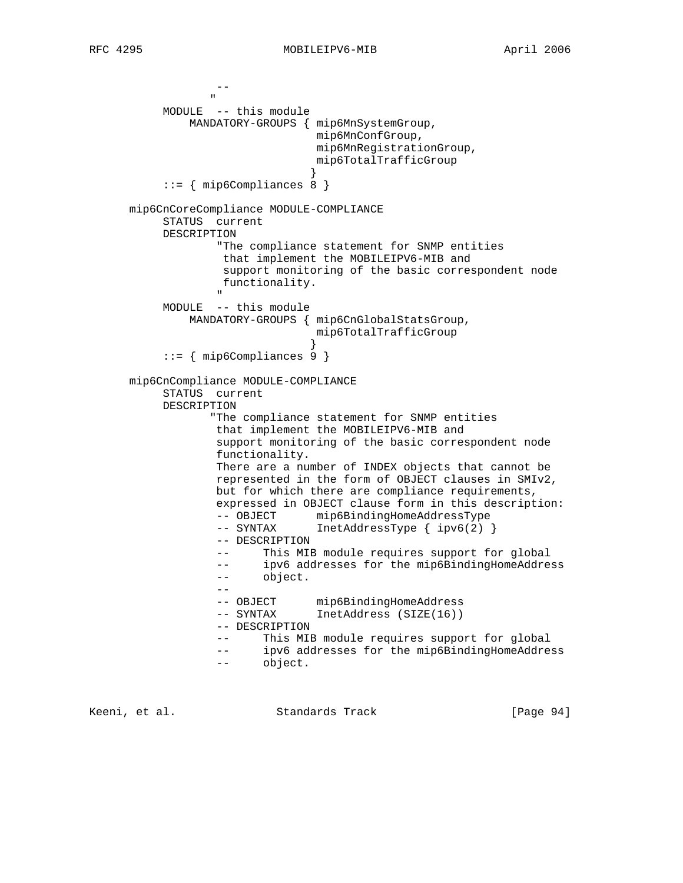```
 --
" "The contract of the contract of the contract of the contract of the contract of the contract of the contract of the contract of the contract of the contract of the contract of the contract of the contract of the contrac
            MODULE -- this module
                 MANDATORY-GROUPS { mip6MnSystemGroup,
                                      mip6MnConfGroup,
                                      mip6MnRegistrationGroup,
                                     mip6TotalTrafficGroup
 }
             ::= { mip6Compliances 8 }
       mip6CnCoreCompliance MODULE-COMPLIANCE
            STATUS current
            DESCRIPTION
                     "The compliance statement for SNMP entities
                      that implement the MOBILEIPV6-MIB and
                      support monitoring of the basic correspondent node
                      functionality.
 "
            MODULE -- this module
                 MANDATORY-GROUPS { mip6CnGlobalStatsGroup,
                                      mip6TotalTrafficGroup
 }
             ::= { mip6Compliances 9 }
       mip6CnCompliance MODULE-COMPLIANCE
            STATUS current
            DESCRIPTION
                    "The compliance statement for SNMP entities
                     that implement the MOBILEIPV6-MIB and
                     support monitoring of the basic correspondent node
                     functionality.
                     There are a number of INDEX objects that cannot be
                     represented in the form of OBJECT clauses in SMIv2,
                     but for which there are compliance requirements,
                     expressed in OBJECT clause form in this description:
                    -- OBJECT mip6BindingHomeAddressType<br>-- SYNTAX InetAddressType { ipv6(2)
                                   IntAddressType { ipv6(2) } -- DESCRIPTION
                     -- This MIB module requires support for global
                     -- ipv6 addresses for the mip6BindingHomeAddress
                     -- object.
 --
                    -<br>-- OBJECT mip6BindingHomeAddress
                     -- SYNTAX InetAddress (SIZE(16))
                     -- DESCRIPTION
                     -- This MIB module requires support for global
                     -- ipv6 addresses for the mip6BindingHomeAddress
                     -- object.
```
Keeni, et al. Standards Track [Page 94]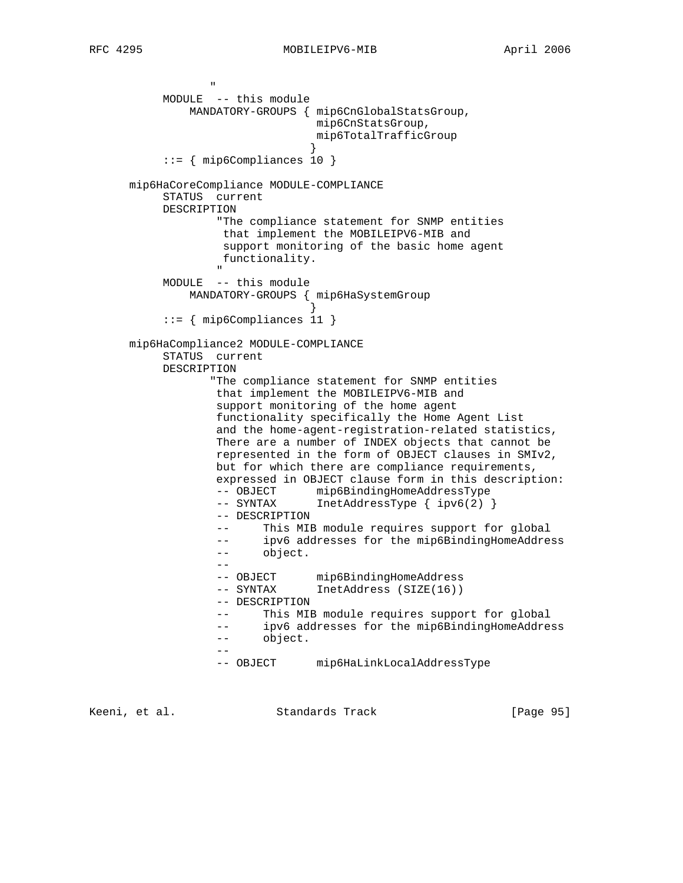```
RFC 4295 MOBILEIPV6-MIB April 2006
```

```
" "The contract of the contract of the contract of the contract of the contract of the contract of the contract of the contract of the contract of the contract of the contract of the contract of the contract of the contrac
             MODULE -- this module
                  MANDATORY-GROUPS { mip6CnGlobalStatsGroup,
                                        mip6CnStatsGroup,
                                        mip6TotalTrafficGroup
 }
              ::= { mip6Compliances 10 }
       mip6HaCoreCompliance MODULE-COMPLIANCE
             STATUS current
             DESCRIPTION
                       "The compliance statement for SNMP entities
                       that implement the MOBILEIPV6-MIB and
                        support monitoring of the basic home agent
                       functionality.
" "The contract of the contract of the contract of the contract of the contract of the contract of the contract of the contract of the contract of the contract of the contract of the contract of the contract of the contrac
             MODULE -- this module
                  MANDATORY-GROUPS { mip6HaSystemGroup
 }
              ::= { mip6Compliances 11 }
       mip6HaCompliance2 MODULE-COMPLIANCE
             STATUS current
             DESCRIPTION
                      "The compliance statement for SNMP entities
                       that implement the MOBILEIPV6-MIB and
                       support monitoring of the home agent
                       functionality specifically the Home Agent List
                       and the home-agent-registration-related statistics,
                       There are a number of INDEX objects that cannot be
                       represented in the form of OBJECT clauses in SMIv2,
                      but for which there are compliance requirements,
                       expressed in OBJECT clause form in this description:
                       -- OBJECT mip6BindingHomeAddressType
                      -- SYNTAX InetAddressType { ipv6(2) }
                       -- DESCRIPTION
                       -- This MIB module requires support for global
 -- ipv6 addresses for the mip6BindingHomeAddress
 -- object.
 --
                      -- OBJECT mip6BindingHomeAddress
                       -- SYNTAX InetAddress (SIZE(16))
                       -- DESCRIPTION
                       -- This MIB module requires support for global
                       -- ipv6 addresses for the mip6BindingHomeAddress
                       -- object.
 --
                       -- OBJECT mip6HaLinkLocalAddressType
```
Keeni, et al. Standards Track [Page 95]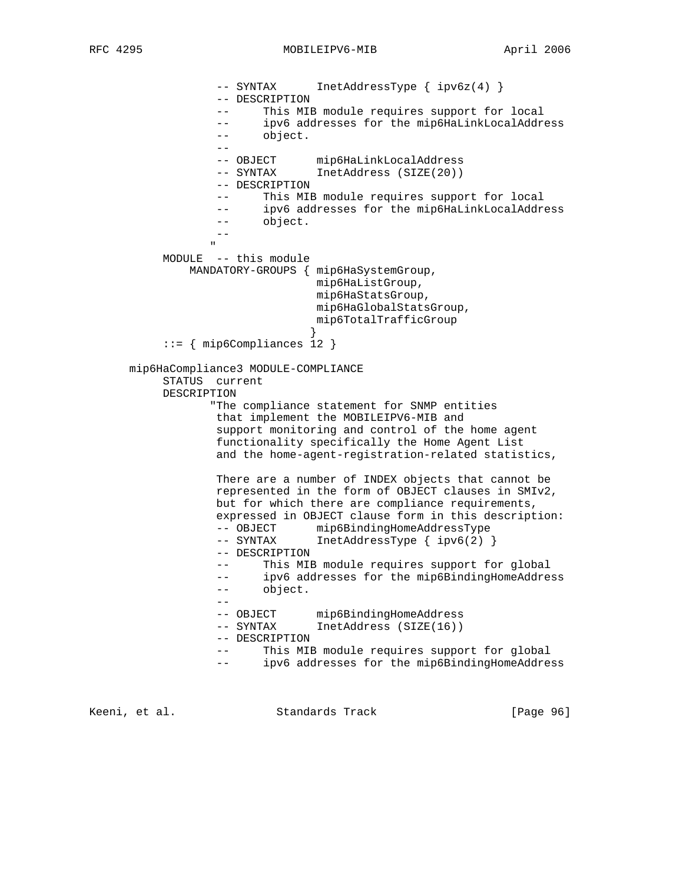RFC 4295 MOBILEIPV6-MIB April 2006

 -- SYNTAX InetAddressType { ipv6z(4) } -- DESCRIPTION -- This MIB module requires support for local -- ipv6 addresses for the mip6HaLinkLocalAddress -- object. -- -- OBJECT mip6HaLinkLocalAddress -- SYNTAX InetAddress (SIZE(20)) -- DESCRIPTION -- This MIB module requires support for local -- ipv6 addresses for the mip6HaLinkLocalAddress -- object. -- " "The contract of the contract of the contract of the contract of the contract of the contract of the contract of the contract of the contract of the contract of the contract of the contract of the contract of the contrac MODULE -- this module MANDATORY-GROUPS { mip6HaSystemGroup, mip6HaListGroup, mip6HaStatsGroup, mip6HaGlobalStatsGroup, mip6TotalTrafficGroup } ::= { mip6Compliances 12 } mip6HaCompliance3 MODULE-COMPLIANCE STATUS current DESCRIPTION "The compliance statement for SNMP entities that implement the MOBILEIPV6-MIB and support monitoring and control of the home agent functionality specifically the Home Agent List and the home-agent-registration-related statistics, There are a number of INDEX objects that cannot be represented in the form of OBJECT clauses in SMIv2, but for which there are compliance requirements, expressed in OBJECT clause form in this description: -- OBJECT mip6BindingHomeAddressType -- SYNTAX InetAddressType { ipv6(2) } -- DESCRIPTION -- This MIB module requires support for global -- ipv6 addresses for the mip6BindingHomeAddress -- object. -- -- OBJECT mip6BindingHomeAddress -- SYNTAX InetAddress (SIZE(16)) -- DESCRIPTION -- This MIB module requires support for global -- ipv6 addresses for the mip6BindingHomeAddress

Keeni, et al. Standards Track [Page 96]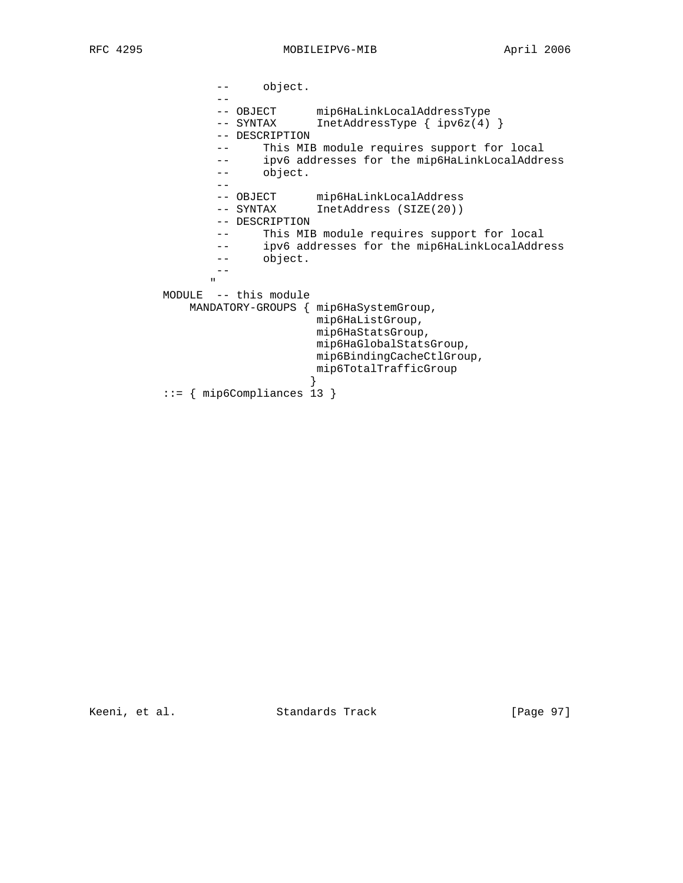-- object. -- -- OBJECT mip6HaLinkLocalAddressType -- SYNTAX InetAddressType { ipv6z(4) } -- DESCRIPTION -- This MIB module requires support for local -- ipv6 addresses for the mip6HaLinkLocalAddress -- object. -- -- OBJECT mip6HaLinkLocalAddress -- SYNTAX InetAddress (SIZE(20)) -- DESCRIPTION -- This MIB module requires support for local -- ipv6 addresses for the mip6HaLinkLocalAddress -- object.  $\overline{a}$ " "The contract of the contract of the contract of the contract of the contract of the contract of the contract of the contract of the contract of the contract of the contract of the contract of the contract of the contrac MODULE -- this module MANDATORY-GROUPS { mip6HaSystemGroup, mip6HaListGroup, mip6HaStatsGroup, mip6HaGlobalStatsGroup, mip6BindingCacheCtlGroup, mip6TotalTrafficGroup<br>} } ::= { mip6Compliances 13 }

Keeni, et al. Standards Track [Page 97]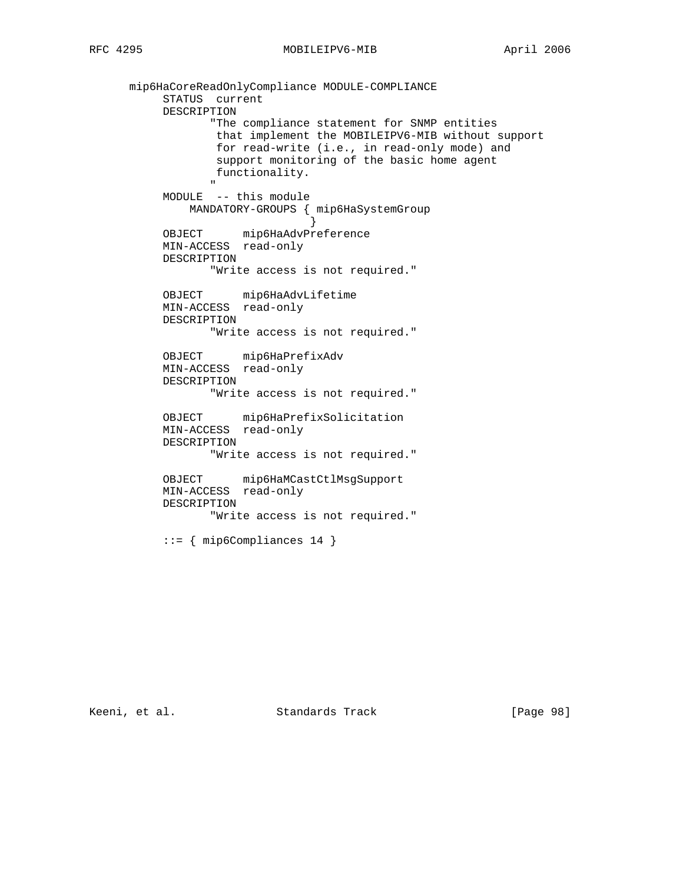mip6HaCoreReadOnlyCompliance MODULE-COMPLIANCE STATUS current DESCRIPTION "The compliance statement for SNMP entities that implement the MOBILEIPV6-MIB without support for read-write (i.e., in read-only mode) and support monitoring of the basic home agent functionality. " "The contract of the contract of the contract of the contract of the contract of the contract of the contract of the contract of the contract of the contract of the contract of the contract of the contract of the contrac MODULE -- this module MANDATORY-GROUPS { mip6HaSystemGroup } OBJECT mip6HaAdvPreference MIN-ACCESS read-only DESCRIPTION "Write access is not required." OBJECT mip6HaAdvLifetime MIN-ACCESS read-only DESCRIPTION "Write access is not required." OBJECT mip6HaPrefixAdv MIN-ACCESS read-only DESCRIPTION "Write access is not required." OBJECT mip6HaPrefixSolicitation MIN-ACCESS read-only DESCRIPTION "Write access is not required." OBJECT mip6HaMCastCtlMsgSupport MIN-ACCESS read-only DESCRIPTION "Write access is not required."  $::=$  { mip6Compliances 14 }

Keeni, et al. Standards Track [Page 98]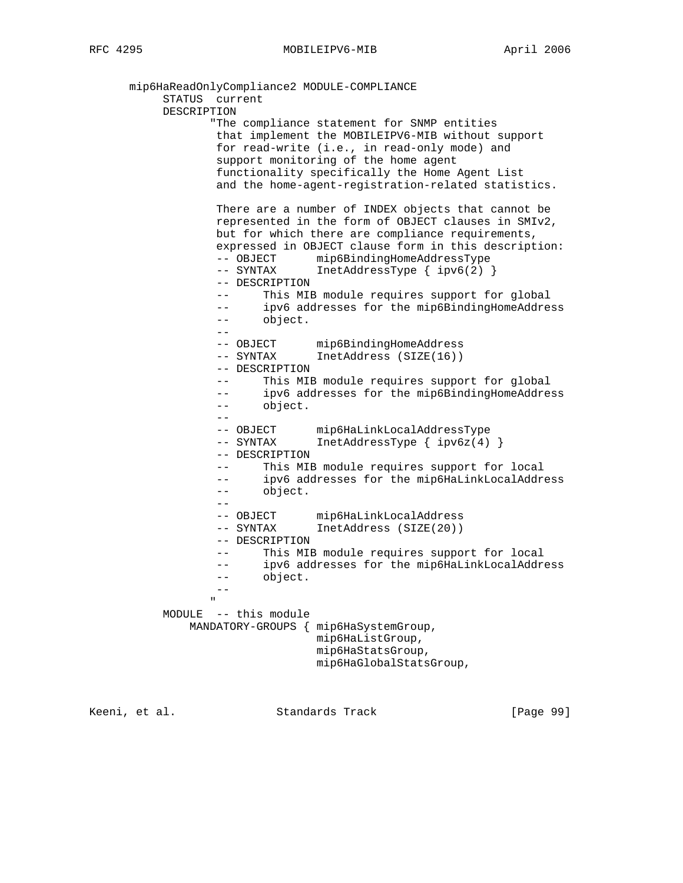mip6HaReadOnlyCompliance2 MODULE-COMPLIANCE STATUS current DESCRIPTION "The compliance statement for SNMP entities that implement the MOBILEIPV6-MIB without support for read-write (i.e., in read-only mode) and support monitoring of the home agent functionality specifically the Home Agent List and the home-agent-registration-related statistics. There are a number of INDEX objects that cannot be represented in the form of OBJECT clauses in SMIv2, but for which there are compliance requirements, expressed in OBJECT clause form in this description: -- OBJECT mip6BindingHomeAddressType -- SYNTAX InetAddressType { ipv6(2) } -- DESCRIPTION -- This MIB module requires support for global -- ipv6 addresses for the mip6BindingHomeAddress -- object. -- -- OBJECT mip6BindingHomeAddress -- SYNTAX InetAddress (SIZE(16)) -- DESCRIPTION -- This MIB module requires support for global -- ipv6 addresses for the mip6BindingHomeAddress -- object. -- -- OBJECT mip6HaLinkLocalAddressType -- SYNTAX InetAddressType { ipv6z(4) } -- DESCRIPTION -- This MIB module requires support for local -- ipv6 addresses for the mip6HaLinkLocalAddress -- object. -- -- OBJECT mip6HaLinkLocalAddress -- SYNTAX InetAddress (SIZE(20)) -- DESCRIPTION This MIB module requires support for local -- ipv6 addresses for the mip6HaLinkLocalAddress -- object. -- " "The contract of the contract of the contract of the contract of the contract of the contract of the contract of the contract of the contract of the contract of the contract of the contract of the contract of the contrac MODULE -- this module MANDATORY-GROUPS { mip6HaSystemGroup, mip6HaListGroup, mip6HaStatsGroup, mip6HaGlobalStatsGroup,

Keeni, et al. Standards Track [Page 99]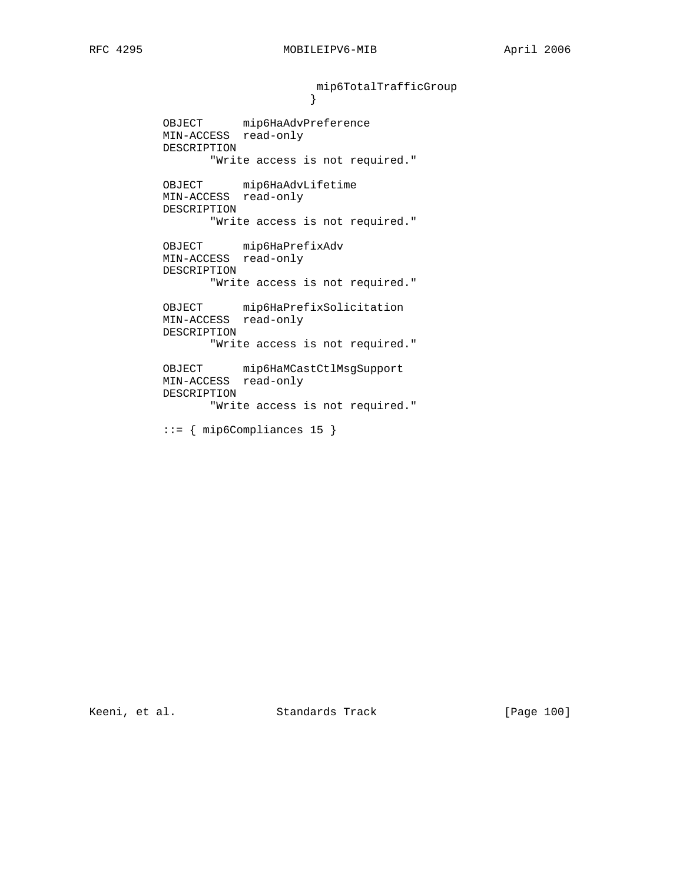mip6TotalTrafficGroup }

 OBJECT mip6HaAdvPreference MIN-ACCESS read-only DESCRIPTION "Write access is not required."

> OBJECT mip6HaAdvLifetime MIN-ACCESS read-only DESCRIPTION "Write access is not required."

 OBJECT mip6HaPrefixAdv MIN-ACCESS read-only DESCRIPTION "Write access is not required."

> OBJECT mip6HaPrefixSolicitation MIN-ACCESS read-only DESCRIPTION "Write access is not required."

> OBJECT mip6HaMCastCtlMsgSupport MIN-ACCESS read-only DESCRIPTION "Write access is not required."

::= { mip6Compliances 15 }

Keeni, et al. Standards Track [Page 100]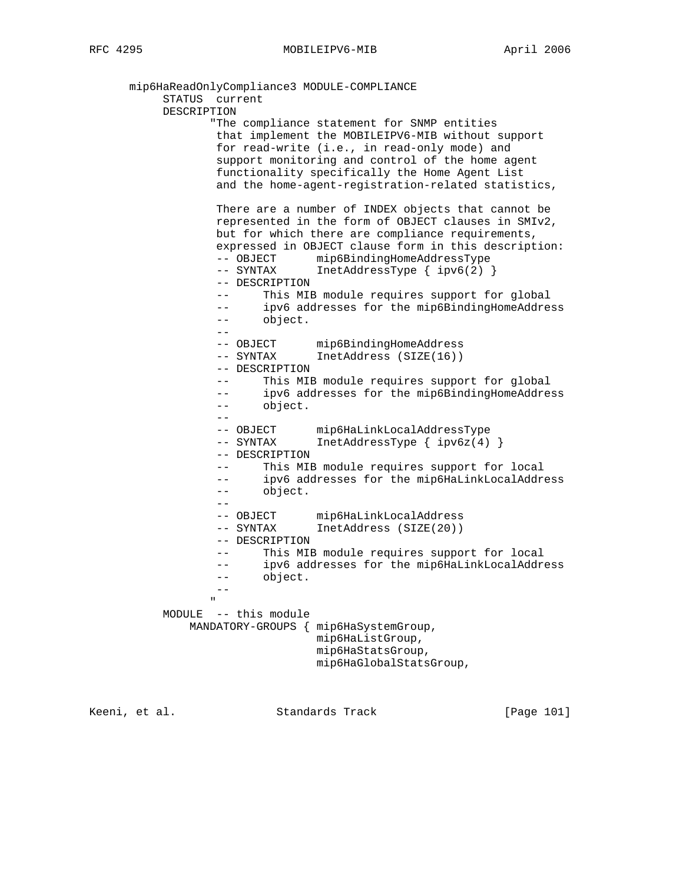mip6HaReadOnlyCompliance3 MODULE-COMPLIANCE STATUS current DESCRIPTION "The compliance statement for SNMP entities that implement the MOBILEIPV6-MIB without support for read-write (i.e., in read-only mode) and support monitoring and control of the home agent functionality specifically the Home Agent List and the home-agent-registration-related statistics, There are a number of INDEX objects that cannot be represented in the form of OBJECT clauses in SMIv2, but for which there are compliance requirements, expressed in OBJECT clause form in this description: -- OBJECT mip6BindingHomeAddressType -- SYNTAX InetAddressType { ipv6(2) } -- DESCRIPTION -- This MIB module requires support for global -- ipv6 addresses for the mip6BindingHomeAddress -- object. -- -- OBJECT mip6BindingHomeAddress -- SYNTAX InetAddress (SIZE(16)) -- DESCRIPTION -- This MIB module requires support for global -- ipv6 addresses for the mip6BindingHomeAddress -- object. -- -- OBJECT mip6HaLinkLocalAddressType -- SYNTAX InetAddressType { ipv6z(4) } -- DESCRIPTION -- This MIB module requires support for local -- ipv6 addresses for the mip6HaLinkLocalAddress -- object. -- -- OBJECT mip6HaLinkLocalAddress -- SYNTAX InetAddress (SIZE(20)) -- DESCRIPTION This MIB module requires support for local -- ipv6 addresses for the mip6HaLinkLocalAddress -- object. -- " "The contract of the contract of the contract of the contract of the contract of the contract of the contract of the contract of the contract of the contract of the contract of the contract of the contract of the contrac MODULE -- this module MANDATORY-GROUPS { mip6HaSystemGroup, mip6HaListGroup, mip6HaStatsGroup, mip6HaGlobalStatsGroup,

Keeni, et al. Standards Track [Page 101]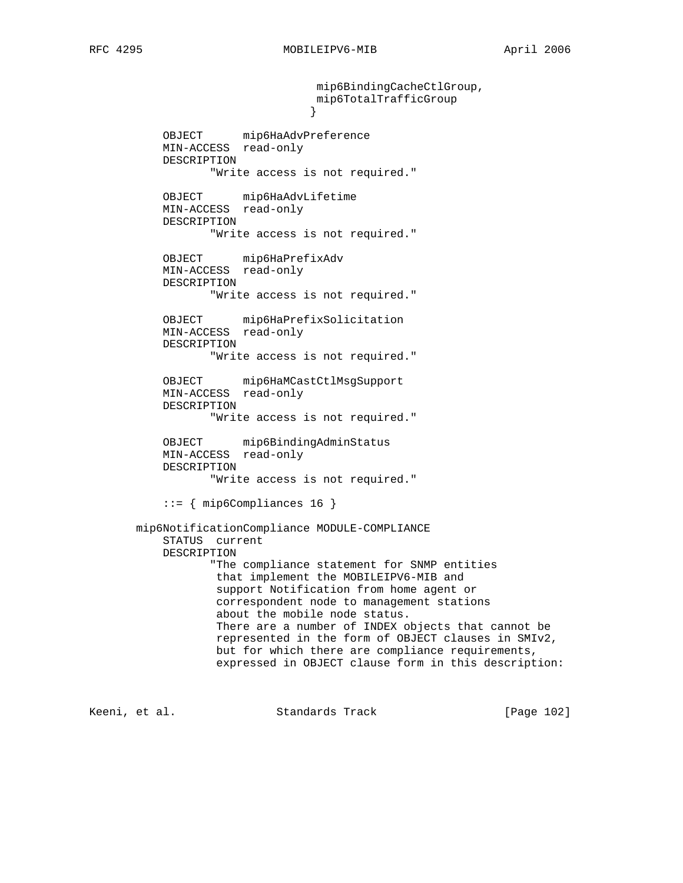mip6BindingCacheCtlGroup, mip6TotalTrafficGroup } OBJECT mip6HaAdvPreference MIN-ACCESS read-only DESCRIPTION "Write access is not required." OBJECT mip6HaAdvLifetime MIN-ACCESS read-only DESCRIPTION "Write access is not required." OBJECT mip6HaPrefixAdv MIN-ACCESS read-only DESCRIPTION "Write access is not required." OBJECT mip6HaPrefixSolicitation MIN-ACCESS read-only DESCRIPTION "Write access is not required." OBJECT mip6HaMCastCtlMsgSupport MIN-ACCESS read-only DESCRIPTION "Write access is not required." OBJECT mip6BindingAdminStatus MIN-ACCESS read-only DESCRIPTION "Write access is not required." ::= { mip6Compliances 16 } mip6NotificationCompliance MODULE-COMPLIANCE STATUS current DESCRIPTION "The compliance statement for SNMP entities that implement the MOBILEIPV6-MIB and support Notification from home agent or correspondent node to management stations about the mobile node status. There are a number of INDEX objects that cannot be represented in the form of OBJECT clauses in SMIv2, but for which there are compliance requirements, expressed in OBJECT clause form in this description:

Keeni, et al. Standards Track [Page 102]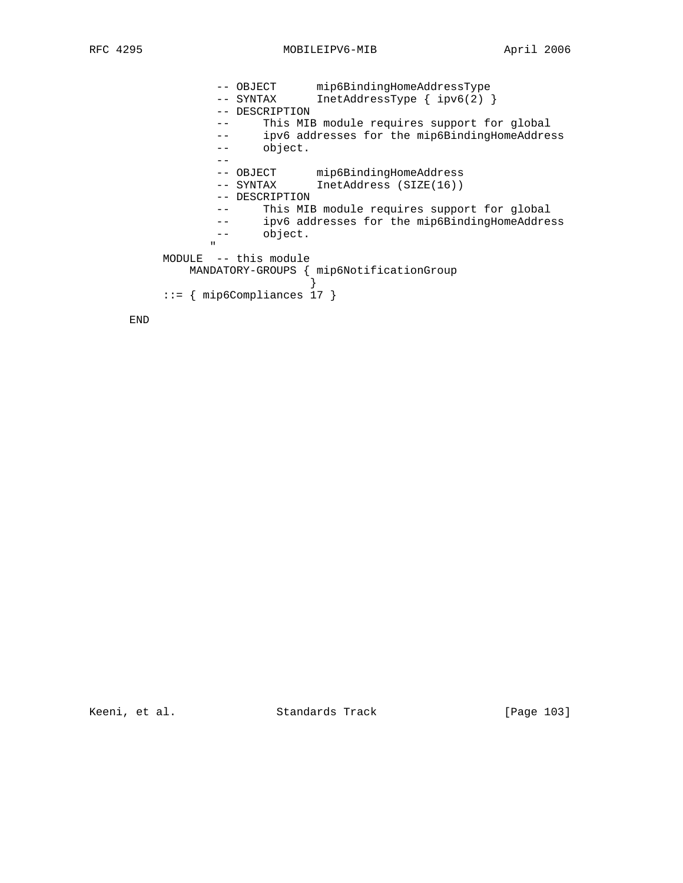-- OBJECT mip6BindingHomeAddressType -- SYNTAX InetAddressType { ipv6(2) } -- DESCRIPTION -- This MIB module requires support for global -- ipv6 addresses for the mip6BindingHomeAddress -- object. -- -- OBJECT mip6BindingHomeAddress -- SYNTAX InetAddress (SIZE(16)) -- DESCRIPTION -- This MIB module requires support for global -- ipv6 addresses for the mip6BindingHomeAddress -- object. " "The contract of the contract of the contract of the contract of the contract of the contract of the contract of the contract of the contract of the contract of the contract of the contract of the contract of the contrac MODULE -- this module MANDATORY-GROUPS { mip6NotificationGroup } ::= { mip6Compliances 17 }

END

Keeni, et al. Standards Track [Page 103]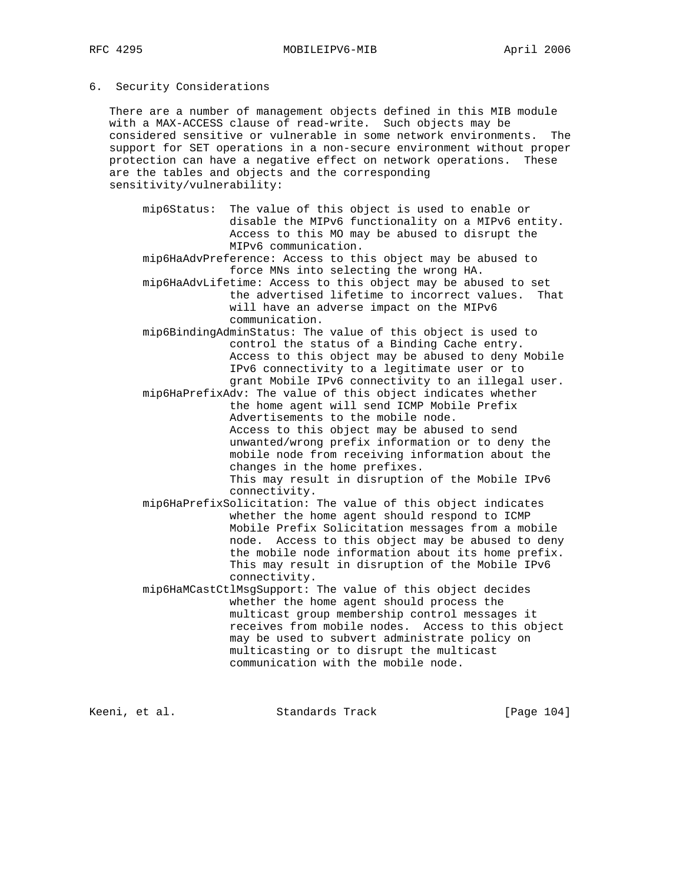## 6. Security Considerations

 There are a number of management objects defined in this MIB module with a MAX-ACCESS clause of read-write. Such objects may be considered sensitive or vulnerable in some network environments. The support for SET operations in a non-secure environment without proper protection can have a negative effect on network operations. These are the tables and objects and the corresponding sensitivity/vulnerability:

 mip6Status: The value of this object is used to enable or disable the MIPv6 functionality on a MIPv6 entity. Access to this MO may be abused to disrupt the MIPv6 communication.

 mip6HaAdvPreference: Access to this object may be abused to force MNs into selecting the wrong HA.

- mip6HaAdvLifetime: Access to this object may be abused to set the advertised lifetime to incorrect values. That will have an adverse impact on the MIPv6 communication.
- mip6BindingAdminStatus: The value of this object is used to control the status of a Binding Cache entry. Access to this object may be abused to deny Mobile IPv6 connectivity to a legitimate user or to grant Mobile IPv6 connectivity to an illegal user.
- mip6HaPrefixAdv: The value of this object indicates whether the home agent will send ICMP Mobile Prefix Advertisements to the mobile node. Access to this object may be abused to send unwanted/wrong prefix information or to deny the mobile node from receiving information about the changes in the home prefixes. This may result in disruption of the Mobile IPv6 connectivity.
- mip6HaPrefixSolicitation: The value of this object indicates whether the home agent should respond to ICMP Mobile Prefix Solicitation messages from a mobile node. Access to this object may be abused to deny the mobile node information about its home prefix. This may result in disruption of the Mobile IPv6 connectivity.
- mip6HaMCastCtlMsgSupport: The value of this object decides whether the home agent should process the multicast group membership control messages it receives from mobile nodes. Access to this object may be used to subvert administrate policy on multicasting or to disrupt the multicast communication with the mobile node.

Keeni, et al. Standards Track [Page 104]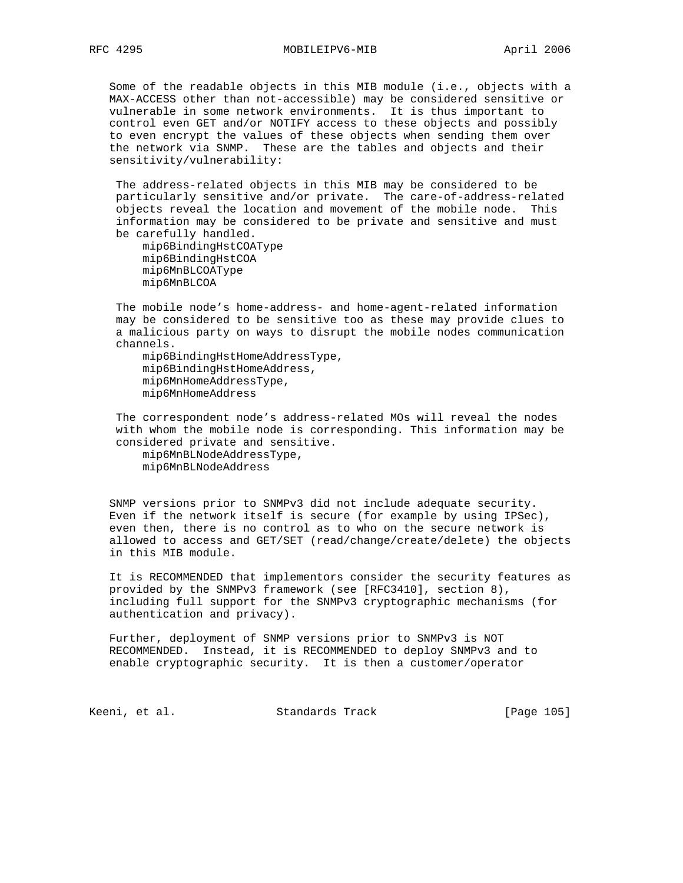Some of the readable objects in this MIB module (i.e., objects with a MAX-ACCESS other than not-accessible) may be considered sensitive or vulnerable in some network environments. It is thus important to control even GET and/or NOTIFY access to these objects and possibly to even encrypt the values of these objects when sending them over the network via SNMP. These are the tables and objects and their sensitivity/vulnerability:

 The address-related objects in this MIB may be considered to be particularly sensitive and/or private. The care-of-address-related objects reveal the location and movement of the mobile node. This information may be considered to be private and sensitive and must be carefully handled.

 mip6BindingHstCOAType mip6BindingHstCOA mip6MnBLCOAType mip6MnBLCOA

 The mobile node's home-address- and home-agent-related information may be considered to be sensitive too as these may provide clues to a malicious party on ways to disrupt the mobile nodes communication channels.

 mip6BindingHstHomeAddressType, mip6BindingHstHomeAddress, mip6MnHomeAddressType, mip6MnHomeAddress

 The correspondent node's address-related MOs will reveal the nodes with whom the mobile node is corresponding. This information may be considered private and sensitive. mip6MnBLNodeAddressType,

mip6MnBLNodeAddress

 SNMP versions prior to SNMPv3 did not include adequate security. Even if the network itself is secure (for example by using IPSec), even then, there is no control as to who on the secure network is allowed to access and GET/SET (read/change/create/delete) the objects in this MIB module.

 It is RECOMMENDED that implementors consider the security features as provided by the SNMPv3 framework (see [RFC3410], section 8), including full support for the SNMPv3 cryptographic mechanisms (for authentication and privacy).

 Further, deployment of SNMP versions prior to SNMPv3 is NOT RECOMMENDED. Instead, it is RECOMMENDED to deploy SNMPv3 and to enable cryptographic security. It is then a customer/operator

Keeni, et al. Standards Track [Page 105]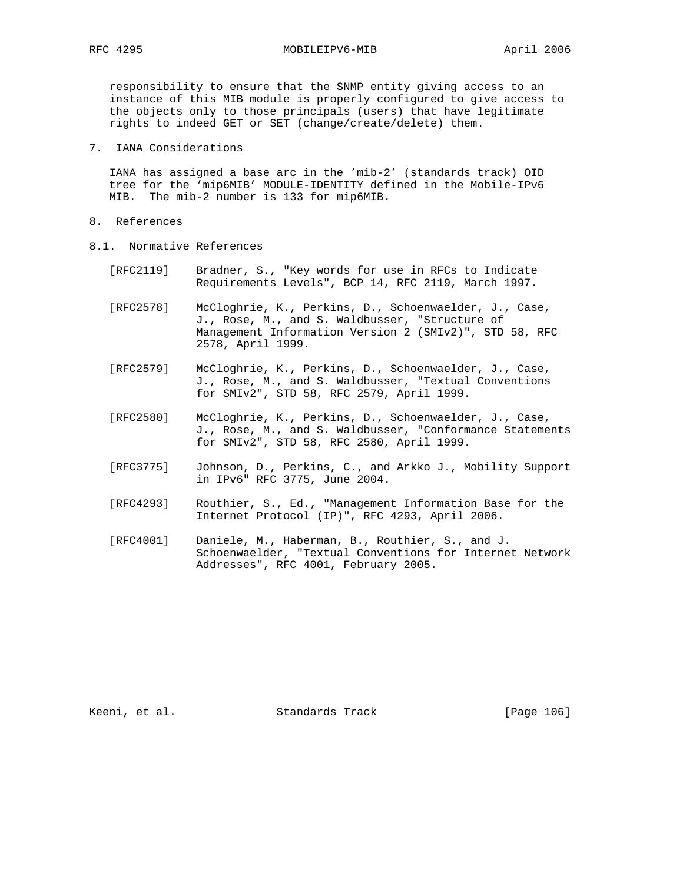RFC 4295 MOBILEIPV6-MIB April 2006

 responsibility to ensure that the SNMP entity giving access to an instance of this MIB module is properly configured to give access to the objects only to those principals (users) that have legitimate rights to indeed GET or SET (change/create/delete) them.

7. IANA Considerations

 IANA has assigned a base arc in the 'mib-2' (standards track) OID tree for the 'mip6MIB' MODULE-IDENTITY defined in the Mobile-IPv6 MIB. The mib-2 number is 133 for mip6MIB.

- 8. References
- 8.1. Normative References
	- [RFC2119] Bradner, S., "Key words for use in RFCs to Indicate Requirements Levels", BCP 14, RFC 2119, March 1997.
	- [RFC2578] McCloghrie, K., Perkins, D., Schoenwaelder, J., Case, J., Rose, M., and S. Waldbusser, "Structure of Management Information Version 2 (SMIv2)", STD 58, RFC 2578, April 1999.
	- [RFC2579] McCloghrie, K., Perkins, D., Schoenwaelder, J., Case, J., Rose, M., and S. Waldbusser, "Textual Conventions for SMIv2", STD 58, RFC 2579, April 1999.
	- [RFC2580] McCloghrie, K., Perkins, D., Schoenwaelder, J., Case, J., Rose, M., and S. Waldbusser, "Conformance Statements for SMIv2", STD 58, RFC 2580, April 1999.
	- [RFC3775] Johnson, D., Perkins, C., and Arkko J., Mobility Support in IPv6" RFC 3775, June 2004.
	- [RFC4293] Routhier, S., Ed., "Management Information Base for the Internet Protocol (IP)", RFC 4293, April 2006.
	- [RFC4001] Daniele, M., Haberman, B., Routhier, S., and J. Schoenwaelder, "Textual Conventions for Internet Network Addresses", RFC 4001, February 2005.

Keeni, et al. Standards Track [Page 106]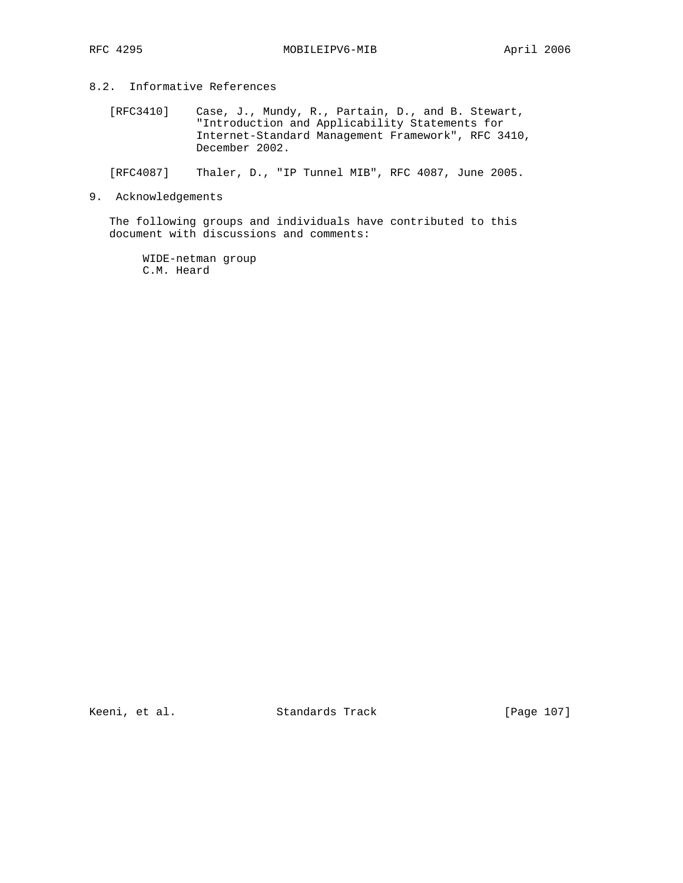## 8.2. Informative References

- [RFC3410] Case, J., Mundy, R., Partain, D., and B. Stewart, "Introduction and Applicability Statements for Internet-Standard Management Framework", RFC 3410, December 2002.
- [RFC4087] Thaler, D., "IP Tunnel MIB", RFC 4087, June 2005.
- 9. Acknowledgements

 The following groups and individuals have contributed to this document with discussions and comments:

 WIDE-netman group C.M. Heard

Keeni, et al. Standards Track [Page 107]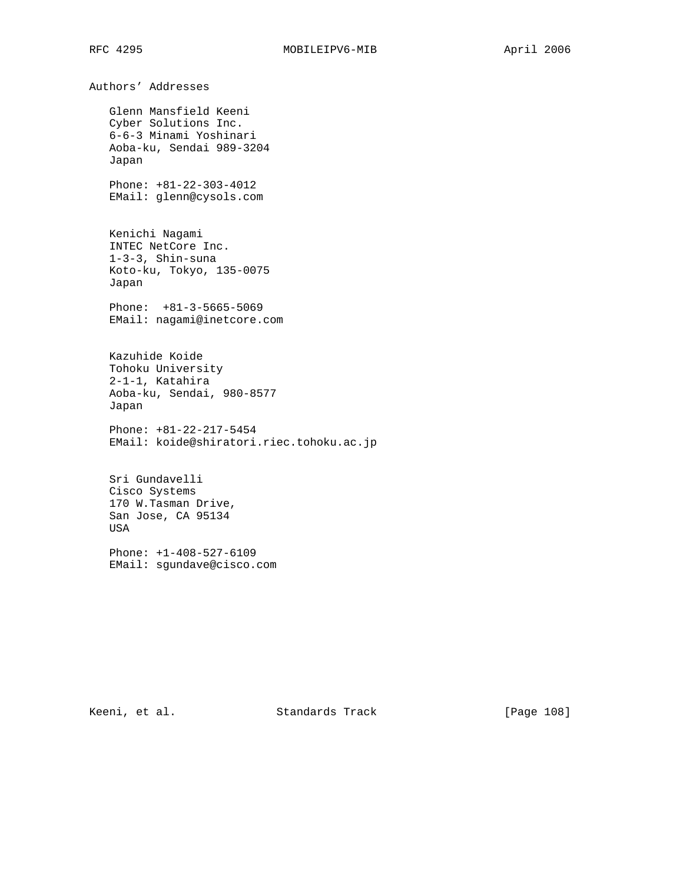Authors' Addresses Glenn Mansfield Keeni Cyber Solutions Inc. 6-6-3 Minami Yoshinari Aoba-ku, Sendai 989-3204 Japan Phone: +81-22-303-4012 EMail: glenn@cysols.com Kenichi Nagami INTEC NetCore Inc. 1-3-3, Shin-suna Koto-ku, Tokyo, 135-0075 Japan Phone: +81-3-5665-5069 EMail: nagami@inetcore.com Kazuhide Koide Tohoku University 2-1-1, Katahira Aoba-ku, Sendai, 980-8577 Japan Phone: +81-22-217-5454 EMail: koide@shiratori.riec.tohoku.ac.jp Sri Gundavelli Cisco Systems 170 W.Tasman Drive, San Jose, CA 95134 USA Phone: +1-408-527-6109 EMail: sgundave@cisco.com

Keeni, et al. Standards Track [Page 108]